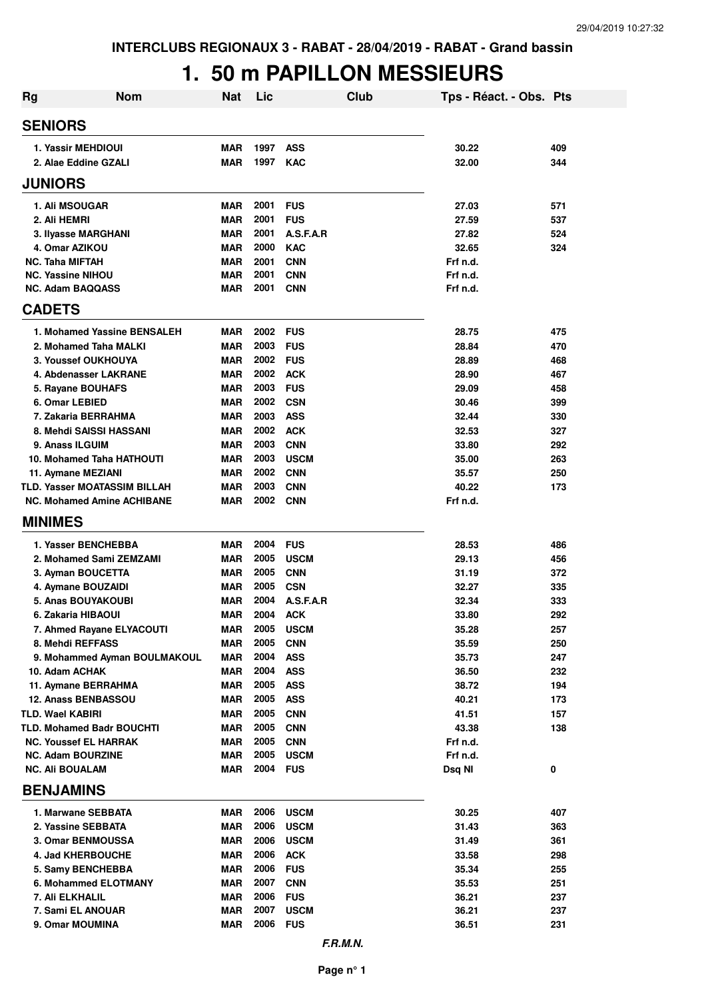### **1. 50 m PAPILLON MESSIEURS**

| <b>Rg</b> | <b>Nom</b>                                 | <b>Nat</b>               | Lic          | Club                      | Tps - Réact. - Obs. Pts |            |
|-----------|--------------------------------------------|--------------------------|--------------|---------------------------|-------------------------|------------|
|           | <b>SENIORS</b>                             |                          |              |                           |                         |            |
|           | 1. Yassir MEHDIOUI                         | <b>MAR</b>               | 1997         | <b>ASS</b>                | 30.22                   | 409        |
|           | 2. Alae Eddine GZALI                       | <b>MAR</b>               | 1997         | <b>KAC</b>                | 32.00                   | 344        |
|           | <b>JUNIORS</b>                             |                          |              |                           |                         |            |
|           | 1. Ali MSOUGAR                             | <b>MAR</b>               | 2001         | <b>FUS</b>                | 27.03                   | 571        |
|           | 2. Ali HEMRI                               | <b>MAR</b>               | 2001         | <b>FUS</b>                | 27.59                   | 537        |
|           | 3. Ilyasse MARGHANI                        | <b>MAR</b>               | 2001         | A.S.F.A.R                 | 27.82                   | 524        |
|           | 4. Omar AZIKOU                             | <b>MAR</b>               | 2000         | <b>KAC</b>                | 32.65                   | 324        |
|           | <b>NC. Taha MIFTAH</b>                     | <b>MAR</b>               | 2001         | <b>CNN</b>                | Frf n.d.                |            |
|           | <b>NC. Yassine NIHOU</b>                   | <b>MAR</b>               | 2001         | <b>CNN</b>                | Frf n.d.                |            |
|           | <b>NC. Adam BAQQASS</b>                    | <b>MAR</b>               | 2001         | <b>CNN</b>                | Frf n.d.                |            |
|           | <b>CADETS</b>                              |                          |              |                           |                         |            |
|           | 1. Mohamed Yassine BENSALEH                | <b>MAR</b>               | 2002         | <b>FUS</b>                | 28.75                   | 475        |
|           | 2. Mohamed Taha MALKI                      | <b>MAR</b>               | 2003         | <b>FUS</b>                | 28.84                   | 470        |
|           | 3. Youssef OUKHOUYA                        | <b>MAR</b>               | 2002         | <b>FUS</b>                | 28.89                   | 468        |
|           | 4. Abdenasser LAKRANE                      | <b>MAR</b>               | 2002         | <b>ACK</b>                | 28.90                   | 467        |
|           | 5. Rayane BOUHAFS<br>6. Omar LEBIED        | <b>MAR</b><br><b>MAR</b> | 2003<br>2002 | <b>FUS</b><br><b>CSN</b>  | 29.09<br>30.46          | 458<br>399 |
|           | 7. Zakaria BERRAHMA                        | <b>MAR</b>               | 2003         | <b>ASS</b>                | 32.44                   | 330        |
|           | 8. Mehdi SAISSI HASSANI                    | <b>MAR</b>               | 2002         | <b>ACK</b>                | 32.53                   | 327        |
|           | 9. Anass ILGUIM                            | <b>MAR</b>               | 2003         | <b>CNN</b>                | 33.80                   | 292        |
|           | 10. Mohamed Taha HATHOUTI                  | <b>MAR</b>               | 2003         | <b>USCM</b>               | 35.00                   | 263        |
|           | 11. Aymane MEZIANI                         | <b>MAR</b>               | 2002         | <b>CNN</b>                | 35.57                   | 250        |
|           | TLD. Yasser MOATASSIM BILLAH               | <b>MAR</b>               | 2003         | <b>CNN</b>                | 40.22                   | 173        |
|           | <b>NC. Mohamed Amine ACHIBANE</b>          | MAR                      | 2002         | <b>CNN</b>                | Frf n.d.                |            |
|           | <b>MINIMES</b>                             |                          |              |                           |                         |            |
|           | 1. Yasser BENCHEBBA                        | <b>MAR</b>               | 2004         | <b>FUS</b>                | 28.53                   | 486        |
|           | 2. Mohamed Sami ZEMZAMI                    | <b>MAR</b>               | 2005         | <b>USCM</b>               | 29.13                   | 456        |
|           | 3. Ayman BOUCETTA                          | <b>MAR</b>               | 2005         | <b>CNN</b>                | 31.19                   | 372        |
|           | 4. Aymane BOUZAIDI                         | <b>MAR</b>               | 2005         | <b>CSN</b>                | 32.27                   | 335        |
|           | <b>5. Anas BOUYAKOUBI</b>                  | <b>MAR</b>               | 2004         | A.S.F.A.R                 | 32.34                   | 333        |
|           | 6. Zakaria HIBAOUI                         | <b>MAR</b>               | 2004         | <b>ACK</b>                | 33.80                   | 292        |
|           | 7. Ahmed Rayane ELYACOUTI                  | MAR                      | 2005         | <b>USCM</b>               | 35.28                   | 257        |
|           | 8. Mehdi REFFASS                           | <b>MAR</b>               | 2005         | <b>CNN</b>                | 35.59                   | 250        |
|           | 9. Mohammed Ayman BOULMAKOUL               | <b>MAR</b>               | 2004         | <b>ASS</b>                | 35.73                   | 247        |
|           | 10. Adam ACHAK                             | <b>MAR</b><br><b>MAR</b> | 2004<br>2005 | <b>ASS</b><br><b>ASS</b>  | 36.50<br>38.72          | 232<br>194 |
|           | 11. Aymane BERRAHMA<br>12. Anass BENBASSOU | MAR                      | 2005         | <b>ASS</b>                | 40.21                   | 173        |
|           | <b>TLD. Wael KABIRI</b>                    | MAR                      | 2005         | <b>CNN</b>                | 41.51                   | 157        |
|           | <b>TLD. Mohamed Badr BOUCHTI</b>           | MAR                      | 2005         | <b>CNN</b>                | 43.38                   | 138        |
|           | <b>NC. Youssef EL HARRAK</b>               | MAR                      | 2005         | <b>CNN</b>                | Frf n.d.                |            |
|           | <b>NC. Adam BOURZINE</b>                   | <b>MAR</b>               | 2005         | <b>USCM</b>               | Frf n.d.                |            |
|           | <b>NC. Ali BOUALAM</b>                     | MAR                      | 2004         | <b>FUS</b>                | Dsq NI                  | 0          |
|           | <b>BENJAMINS</b>                           |                          |              |                           |                         |            |
|           | 1. Marwane SEBBATA                         | MAR                      | 2006         | <b>USCM</b>               | 30.25                   | 407        |
|           | 2. Yassine SEBBATA                         | <b>MAR</b>               | 2006         | <b>USCM</b>               | 31.43                   | 363        |
|           | 3. Omar BENMOUSSA                          | <b>MAR</b>               | 2006         | <b>USCM</b>               | 31.49                   | 361        |
|           | 4. Jad KHERBOUCHE                          | <b>MAR</b>               | 2006         | <b>ACK</b>                | 33.58                   | 298        |
|           | 5. Samy BENCHEBBA                          | <b>MAR</b>               | 2006         | <b>FUS</b>                | 35.34                   | 255        |
|           | 6. Mohammed ELOTMANY                       | <b>MAR</b>               | 2007         | <b>CNN</b>                | 35.53                   | 251        |
|           | 7. Ali ELKHALIL<br>7. Sami EL ANOUAR       | <b>MAR</b><br><b>MAR</b> | 2006<br>2007 | <b>FUS</b><br><b>USCM</b> | 36.21<br>36.21          | 237<br>237 |
|           | 9. Omar MOUMINA                            | MAR                      | 2006         | <b>FUS</b>                | 36.51                   | 231        |
|           |                                            |                          |              | F.R.M.N.                  |                         |            |
|           |                                            |                          |              |                           |                         |            |

**Page n° 1**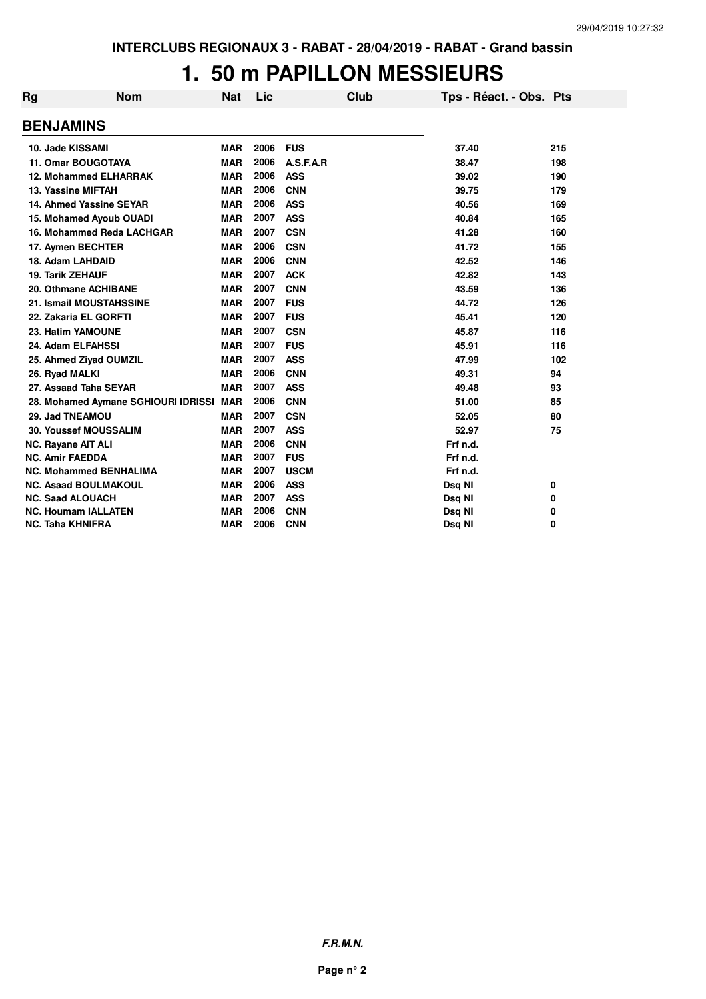#### **1. 50 m PAPILLON MESSIEURS**

| Rg | <b>Nom</b>                          | <b>Nat</b> | Lic  |             | <b>Club</b> | Tps - Réact. - Obs. Pts |     |
|----|-------------------------------------|------------|------|-------------|-------------|-------------------------|-----|
|    | <b>BENJAMINS</b>                    |            |      |             |             |                         |     |
|    | 10. Jade KISSAMI                    | <b>MAR</b> | 2006 | <b>FUS</b>  |             | 37.40                   | 215 |
|    | <b>11. Omar BOUGOTAYA</b>           | <b>MAR</b> | 2006 | A.S.F.A.R   |             | 38.47                   | 198 |
|    | <b>12. Mohammed ELHARRAK</b>        | <b>MAR</b> | 2006 | <b>ASS</b>  |             | 39.02                   | 190 |
|    | 13. Yassine MIFTAH                  | <b>MAR</b> | 2006 | <b>CNN</b>  |             | 39.75                   | 179 |
|    | 14. Ahmed Yassine SEYAR             | <b>MAR</b> | 2006 | <b>ASS</b>  |             | 40.56                   | 169 |
|    | 15. Mohamed Ayoub OUADI             | <b>MAR</b> | 2007 | <b>ASS</b>  |             | 40.84                   | 165 |
|    | 16. Mohammed Reda LACHGAR           | <b>MAR</b> | 2007 | <b>CSN</b>  |             | 41.28                   | 160 |
|    | 17. Aymen BECHTER                   | <b>MAR</b> | 2006 | <b>CSN</b>  |             | 41.72                   | 155 |
|    | 18. Adam LAHDAID                    | <b>MAR</b> | 2006 | <b>CNN</b>  |             | 42.52                   | 146 |
|    | <b>19. Tarik ZEHAUF</b>             | <b>MAR</b> | 2007 | <b>ACK</b>  |             | 42.82                   | 143 |
|    | 20. Othmane ACHIBANE                | <b>MAR</b> | 2007 | <b>CNN</b>  |             | 43.59                   | 136 |
|    | 21. Ismail MOUSTAHSSINE             | <b>MAR</b> | 2007 | <b>FUS</b>  |             | 44.72                   | 126 |
|    | 22. Zakaria EL GORFTI               | <b>MAR</b> | 2007 | <b>FUS</b>  |             | 45.41                   | 120 |
|    | 23. Hatim YAMOUNE                   | <b>MAR</b> | 2007 | <b>CSN</b>  |             | 45.87                   | 116 |
|    | 24. Adam ELFAHSSI                   | <b>MAR</b> | 2007 | <b>FUS</b>  |             | 45.91                   | 116 |
|    | 25. Ahmed Ziyad OUMZIL              | <b>MAR</b> | 2007 | <b>ASS</b>  |             | 47.99                   | 102 |
|    | 26. Ryad MALKI                      | <b>MAR</b> | 2006 | <b>CNN</b>  |             | 49.31                   | 94  |
|    | 27. Assaad Taha SEYAR               | <b>MAR</b> | 2007 | <b>ASS</b>  |             | 49.48                   | 93  |
|    | 28. Mohamed Aymane SGHIOURI IDRISSI | <b>MAR</b> | 2006 | <b>CNN</b>  |             | 51.00                   | 85  |
|    | 29. Jad TNEAMOU                     | <b>MAR</b> | 2007 | <b>CSN</b>  |             | 52.05                   | 80  |
|    | <b>30. Youssef MOUSSALIM</b>        | <b>MAR</b> | 2007 | <b>ASS</b>  |             | 52.97                   | 75  |
|    | <b>NC. Rayane AIT ALI</b>           | <b>MAR</b> | 2006 | <b>CNN</b>  |             | Frf n.d.                |     |
|    | <b>NC. Amir FAEDDA</b>              | <b>MAR</b> | 2007 | <b>FUS</b>  |             | Frf n.d.                |     |
|    | <b>NC. Mohammed BENHALIMA</b>       | <b>MAR</b> | 2007 | <b>USCM</b> |             | Frf n.d.                |     |
|    | <b>NC. Asaad BOULMAKOUL</b>         | <b>MAR</b> | 2006 | <b>ASS</b>  |             | Dsq NI                  | 0   |
|    | <b>NC. Saad ALOUACH</b>             | <b>MAR</b> | 2007 | <b>ASS</b>  |             | Dsq NI                  | 0   |
|    | <b>NC. Houmam IALLATEN</b>          | <b>MAR</b> | 2006 | <b>CNN</b>  |             | Dsq NI                  | 0   |
|    | <b>NC. Taha KHNIFRA</b>             | <b>MAR</b> | 2006 | <b>CNN</b>  |             | Dsg NI                  | 0   |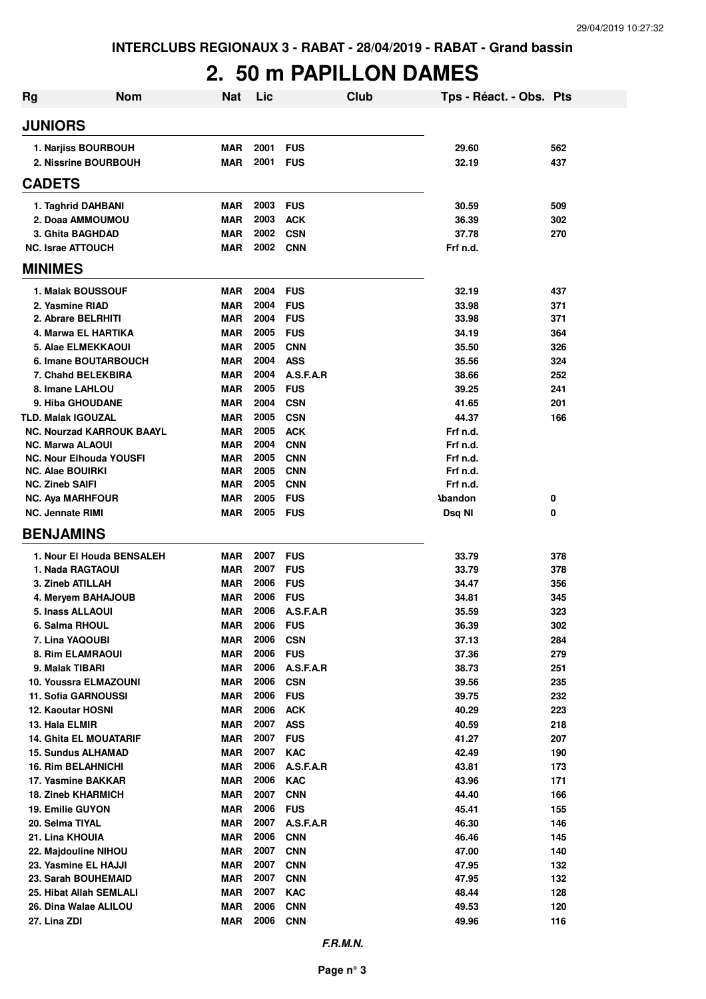# **2. 50 m PAPILLON DAMES**

| Rg                                                          | <b>Nom</b><br><b>Nat</b> | Lic          |                          | Club | Tps - Réact. - Obs. Pts |            |
|-------------------------------------------------------------|--------------------------|--------------|--------------------------|------|-------------------------|------------|
| <b>JUNIORS</b>                                              |                          |              |                          |      |                         |            |
| 1. Narjiss BOURBOUH                                         | MAR                      | 2001         | <b>FUS</b>               |      | 29.60                   | 562        |
| 2. Nissrine BOURBOUH                                        | MAR                      | 2001         | <b>FUS</b>               |      | 32.19                   | 437        |
| <b>CADETS</b>                                               |                          |              |                          |      |                         |            |
| 1. Taghrid DAHBANI                                          | <b>MAR</b>               | 2003         | <b>FUS</b>               |      | 30.59                   | 509        |
| 2. Doaa AMMOUMOU                                            | <b>MAR</b>               | 2003         | <b>ACK</b>               |      | 36.39                   | 302        |
| 3. Ghita BAGHDAD                                            | <b>MAR</b>               | 2002         | <b>CSN</b>               |      | 37.78                   | 270        |
| <b>NC. Israe ATTOUCH</b>                                    | <b>MAR</b>               | 2002 CNN     |                          |      | Frf n.d.                |            |
| <b>MINIMES</b>                                              |                          |              |                          |      |                         |            |
| 1. Malak BOUSSOUF                                           | <b>MAR</b>               | 2004         | <b>FUS</b>               |      | 32.19                   | 437        |
| 2. Yasmine RIAD                                             | <b>MAR</b>               | 2004         | <b>FUS</b>               |      | 33.98                   | 371        |
| 2. Abrare BELRHITI                                          | MAR                      | 2004         | <b>FUS</b>               |      | 33.98                   | 371        |
| 4. Marwa EL HARTIKA                                         | <b>MAR</b>               | 2005         | <b>FUS</b>               |      | 34.19                   | 364        |
| <b>5. Alae ELMEKKAOUI</b>                                   | <b>MAR</b>               | 2005         | <b>CNN</b>               |      | 35.50                   | 326        |
| 6. Imane BOUTARBOUCH                                        | <b>MAR</b>               | 2004         | <b>ASS</b>               |      | 35.56                   | 324        |
| 7. Chahd BELEKBIRA                                          | MAR                      | 2004         | A.S.F.A.R                |      | 38.66                   | 252        |
| 8. Imane LAHLOU                                             | <b>MAR</b>               | 2005         | <b>FUS</b>               |      | 39.25                   | 241        |
| 9. Hiba GHOUDANE                                            | MAR                      | 2004         | <b>CSN</b>               |      | 41.65                   | 201        |
| <b>TLD. Malak IGOUZAL</b>                                   | <b>MAR</b>               | 2005         | <b>CSN</b>               |      | 44.37                   | 166        |
| <b>NC. Nourzad KARROUK BAAYL</b><br><b>NC. Marwa ALAOUI</b> | <b>MAR</b><br><b>MAR</b> | 2005<br>2004 | <b>ACK</b><br><b>CNN</b> |      | Frf n.d.<br>Frf n.d.    |            |
| <b>NC. Nour Elhouda YOUSFI</b>                              | <b>MAR</b>               | 2005         | <b>CNN</b>               |      | Frf n.d.                |            |
| <b>NC. Alae BOUIRKI</b>                                     | <b>MAR</b>               | 2005         | <b>CNN</b>               |      | Frf n.d.                |            |
| <b>NC. Zineb SAIFI</b>                                      | MAR                      | 2005         | <b>CNN</b>               |      | Frf n.d.                |            |
| <b>NC. Aya MARHFOUR</b>                                     | MAR                      | 2005         | <b>FUS</b>               |      | <b>Abandon</b>          | 0          |
| <b>NC. Jennate RIMI</b>                                     | <b>MAR</b>               | 2005 FUS     |                          |      | Dsq NI                  | 0          |
| <b>BENJAMINS</b>                                            |                          |              |                          |      |                         |            |
| 1. Nour El Houda BENSALEH                                   | <b>MAR</b>               | 2007         | <b>FUS</b>               |      | 33.79                   | 378        |
| 1. Nada RAGTAOUI                                            | <b>MAR</b>               | 2007         | <b>FUS</b>               |      | 33.79                   | 378        |
| 3. Zineb ATILLAH                                            | <b>MAR</b>               | 2006         | <b>FUS</b>               |      | 34.47                   | 356        |
| 4. Meryem BAHAJOUB                                          | <b>MAR</b>               | 2006         | <b>FUS</b>               |      | 34.81                   | 345        |
| 5. Inass ALLAOUI                                            | <b>MAR</b>               | 2006         | A.S.F.A.R                |      | 35.59                   | 323        |
| 6. Salma RHOUL                                              | <b>MAR</b>               | 2006         | <b>FUS</b>               |      | 36.39                   | 302        |
| 7. Lina YAQOUBI                                             | <b>MAR</b>               | 2006         | <b>CSN</b>               |      | 37.13                   | 284        |
| 8. Rim ELAMRAOUI                                            | <b>MAR</b>               | 2006         | <b>FUS</b>               |      | 37.36                   | 279        |
| 9. Malak TIBARI                                             | MAR                      | 2006         | A.S.F.A.R                |      | 38.73                   | 251        |
| 10. Youssra ELMAZOUNI                                       | MAR                      | 2006<br>2006 | <b>CSN</b>               |      | 39.56                   | 235        |
| 11. Sofia GARNOUSSI                                         | <b>MAR</b><br>MAR        | 2006         | <b>FUS</b><br><b>ACK</b> |      | 39.75                   | 232<br>223 |
| 12. Kaoutar HOSNI<br>13. Hala ELMIR                         | MAR                      | 2007         | <b>ASS</b>               |      | 40.29<br>40.59          | 218        |
| <b>14. Ghita EL MOUATARIF</b>                               | <b>MAR</b>               | 2007         | <b>FUS</b>               |      | 41.27                   | 207        |
| <b>15. Sundus ALHAMAD</b>                                   | <b>MAR</b>               | 2007         | <b>KAC</b>               |      | 42.49                   | 190        |
| <b>16. Rim BELAHNICHI</b>                                   | MAR                      | 2006         | A.S.F.A.R                |      | 43.81                   | 173        |
| 17. Yasmine BAKKAR                                          | <b>MAR</b>               | 2006         | <b>KAC</b>               |      | 43.96                   | 171        |
| <b>18. Zineb KHARMICH</b>                                   | <b>MAR</b>               | 2007         | <b>CNN</b>               |      | 44.40                   | 166        |
| <b>19. Emilie GUYON</b>                                     | MAR                      | 2006         | <b>FUS</b>               |      | 45.41                   | 155        |
| 20. Selma TIYAL                                             | MAR                      | 2007         | A.S.F.A.R                |      | 46.30                   | 146        |
| 21. Lina KHOUIA                                             | <b>MAR</b>               | 2006         | <b>CNN</b>               |      | 46.46                   | 145        |
| 22. Majdouline NIHOU                                        | MAR                      | 2007         | <b>CNN</b>               |      | 47.00                   | 140        |
| 23. Yasmine EL HAJJI                                        | MAR                      | 2007         | <b>CNN</b>               |      | 47.95                   | 132        |
| 23. Sarah BOUHEMAID                                         | <b>MAR</b>               | 2007         | <b>CNN</b>               |      | 47.95                   | 132        |
| 25. Hibat Allah SEMLALI                                     | <b>MAR</b>               | 2007         | <b>KAC</b>               |      | 48.44                   | 128        |
| 26. Dina Walae ALILOU                                       | <b>MAR</b>               | 2006         | <b>CNN</b>               |      | 49.53                   | 120        |
| 27. Lina ZDI                                                | <b>MAR</b>               | 2006         | <b>CNN</b>               |      | 49.96                   | 116        |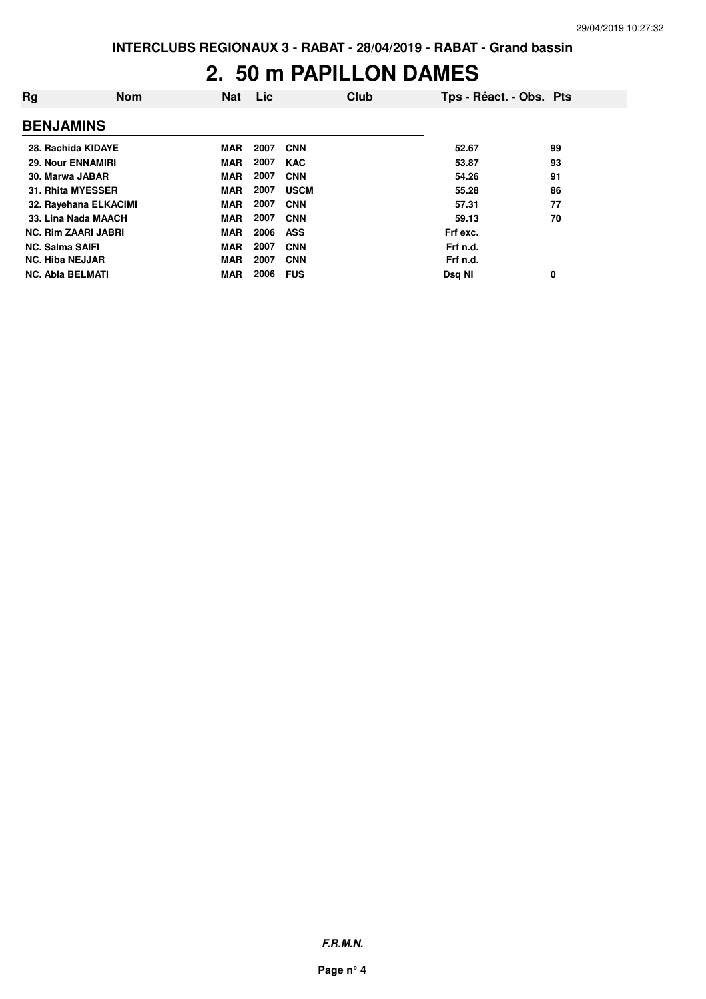### **2. 50 m PAPILLON DAMES**

| Rg                         | <b>Nom</b>            | <b>Nat</b> | Lic  | Club        | Tps - Réact. - Obs. Pts |    |
|----------------------------|-----------------------|------------|------|-------------|-------------------------|----|
| <b>BENJAMINS</b>           |                       |            |      |             |                         |    |
| 28. Rachida KIDAYE         |                       | <b>MAR</b> | 2007 | <b>CNN</b>  | 52.67                   | 99 |
| <b>29. Nour ENNAMIRI</b>   |                       | <b>MAR</b> | 2007 | <b>KAC</b>  | 53.87                   | 93 |
| 30. Marwa JABAR            |                       | <b>MAR</b> | 2007 | <b>CNN</b>  | 54.26                   | 91 |
| 31. Rhita MYESSER          |                       | <b>MAR</b> | 2007 | <b>USCM</b> | 55.28                   | 86 |
|                            | 32. Rayehana ELKACIMI | <b>MAR</b> | 2007 | <b>CNN</b>  | 57.31                   | 77 |
|                            | 33. Lina Nada MAACH   | <b>MAR</b> | 2007 | <b>CNN</b>  | 59.13                   | 70 |
| <b>NC. Rim ZAARI JABRI</b> |                       | <b>MAR</b> | 2006 | <b>ASS</b>  | Frf exc.                |    |
| <b>NC. Salma SAIFI</b>     |                       | <b>MAR</b> | 2007 | <b>CNN</b>  | Frf n.d.                |    |
| <b>NC. Hiba NEJJAR</b>     |                       | <b>MAR</b> | 2007 | <b>CNN</b>  | Frf n.d.                |    |
| <b>NC. Abla BELMATI</b>    |                       | <b>MAR</b> | 2006 | <b>FUS</b>  | Dsq NI                  | 0  |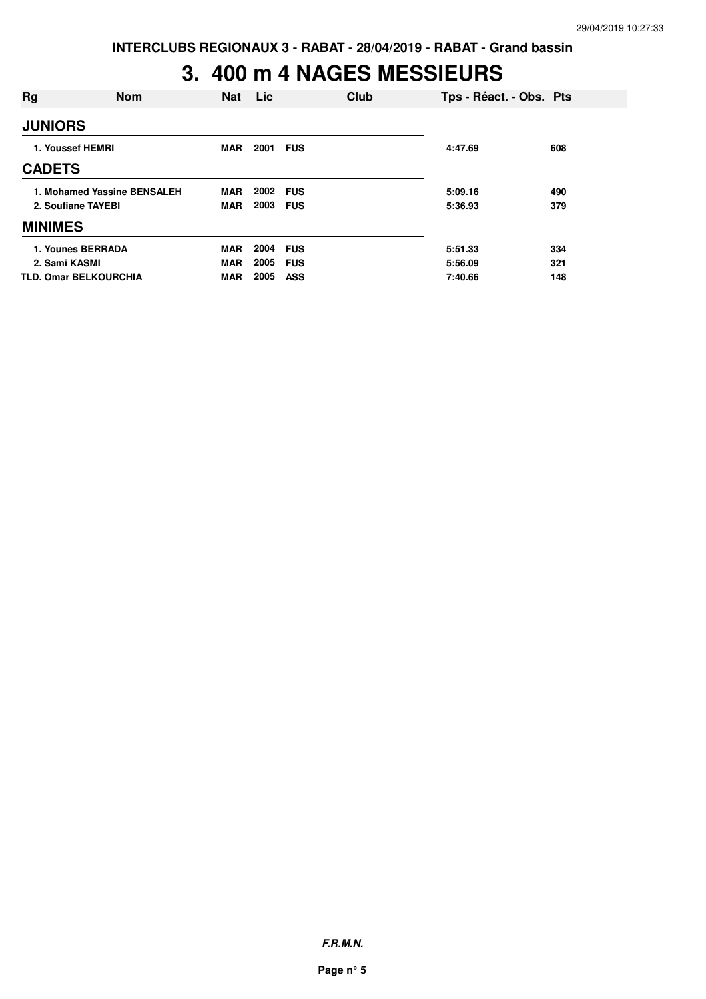### **3. 400 m 4 NAGES MESSIEURS**

| Rg             | <b>Nom</b>                   | <b>Nat</b> | Lic. | Club       | Tps - Réact. - Obs. Pts |     |
|----------------|------------------------------|------------|------|------------|-------------------------|-----|
| <b>JUNIORS</b> |                              |            |      |            |                         |     |
|                | 1. Youssef HEMRI             | MAR        | 2001 | <b>FUS</b> | 4:47.69                 | 608 |
| <b>CADETS</b>  |                              |            |      |            |                         |     |
|                | 1. Mohamed Yassine BENSALEH  | <b>MAR</b> | 2002 | <b>FUS</b> | 5:09.16                 | 490 |
|                | 2. Soufiane TAYEBI           | <b>MAR</b> | 2003 | <b>FUS</b> | 5:36.93                 | 379 |
| <b>MINIMES</b> |                              |            |      |            |                         |     |
|                | 1. Younes BERRADA            | <b>MAR</b> | 2004 | <b>FUS</b> | 5:51.33                 | 334 |
| 2. Sami KASMI  |                              | <b>MAR</b> | 2005 | <b>FUS</b> | 5:56.09                 | 321 |
|                | <b>TLD. Omar BELKOURCHIA</b> | <b>MAR</b> | 2005 | ASS        | 7:40.66                 | 148 |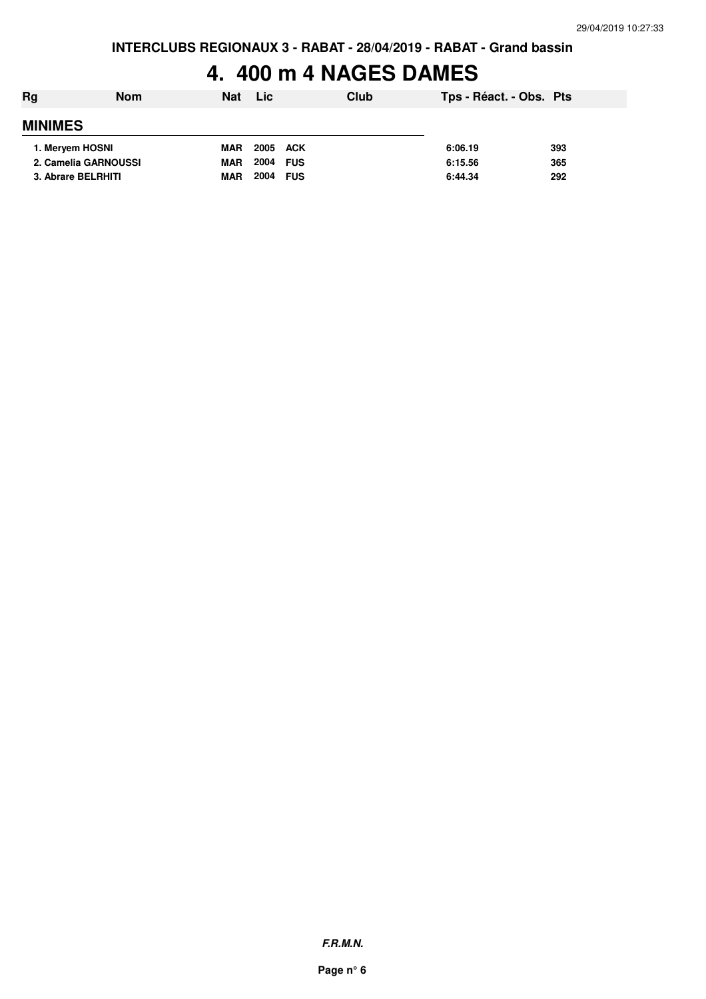### **4. 400 m 4 NAGES DAMES**

| Rg                   | <b>Nom</b> | <b>Nat</b> | Lic      |            | Club | Tps - Réact. - Obs. Pts |     |
|----------------------|------------|------------|----------|------------|------|-------------------------|-----|
| <b>MINIMES</b>       |            |            |          |            |      |                         |     |
| 1. Mervem HOSNI      |            | <b>MAR</b> | 2005 ACK |            |      | 6:06.19                 | 393 |
| 2. Camelia GARNOUSSI |            | <b>MAR</b> | 2004     | <b>FUS</b> |      | 6:15.56                 | 365 |
| 3. Abrare BELRHITI   |            | <b>MAR</b> | 2004     | <b>FUS</b> |      | 6:44.34                 | 292 |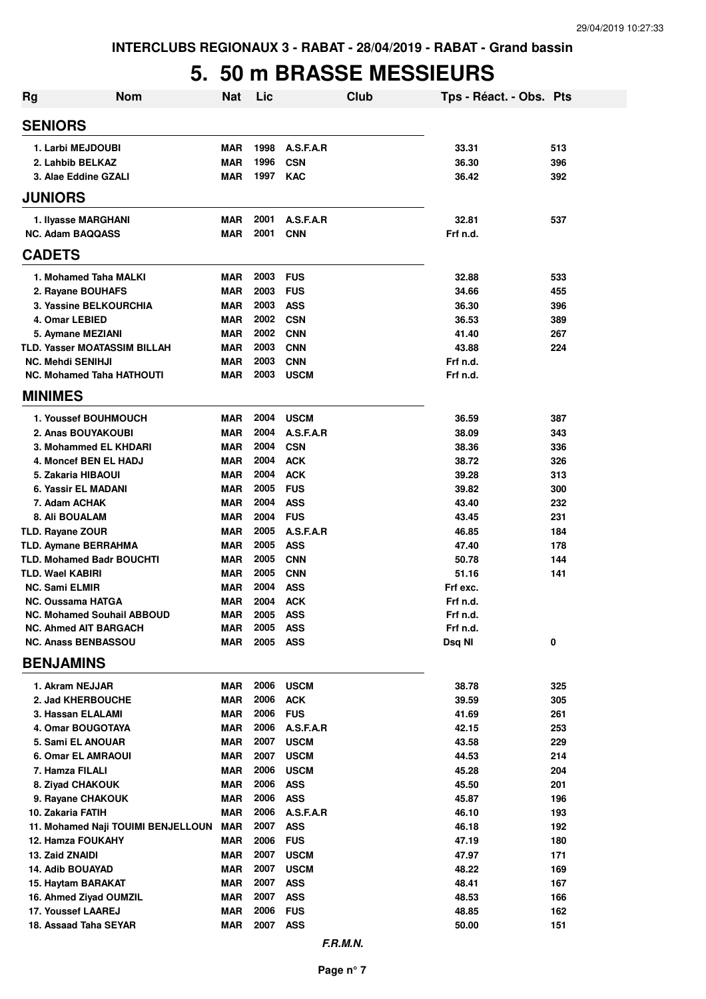### **5. 50 m BRASSE MESSIEURS**

| <b>Nom</b><br>Rg                                               | <b>Nat</b>               | Lic          |                          | Club | Tps - Réact. - Obs. Pts |            |
|----------------------------------------------------------------|--------------------------|--------------|--------------------------|------|-------------------------|------------|
| <b>SENIORS</b>                                                 |                          |              |                          |      |                         |            |
| 1. Larbi MEJDOUBI                                              | <b>MAR</b>               | 1998         | A.S.F.A.R                |      | 33.31                   | 513        |
| 2. Lahbib BELKAZ                                               | <b>MAR</b>               | 1996         | <b>CSN</b>               |      | 36.30                   | 396        |
| 3. Alae Eddine GZALI                                           | <b>MAR</b>               | 1997         | <b>KAC</b>               |      | 36.42                   | 392        |
| <b>JUNIORS</b>                                                 |                          |              |                          |      |                         |            |
| 1. Ilyasse MARGHANI                                            | <b>MAR</b>               | 2001         | A.S.F.A.R                |      | 32.81                   | 537        |
| <b>NC. Adam BAQQASS</b>                                        | <b>MAR</b>               | 2001         | <b>CNN</b>               |      | Frf n.d.                |            |
| <b>CADETS</b>                                                  |                          |              |                          |      |                         |            |
| 1. Mohamed Taha MALKI                                          | <b>MAR</b>               | 2003         | <b>FUS</b>               |      | 32.88                   | 533        |
| 2. Rayane BOUHAFS                                              | <b>MAR</b>               | 2003         | <b>FUS</b>               |      | 34.66                   | 455        |
| 3. Yassine BELKOURCHIA                                         | <b>MAR</b>               | 2003         | <b>ASS</b>               |      | 36.30                   | 396        |
| 4. Omar LEBIED                                                 | <b>MAR</b>               | 2002         | <b>CSN</b>               |      | 36.53                   | 389        |
| 5. Aymane MEZIANI                                              | <b>MAR</b>               | 2002         | <b>CNN</b>               |      | 41.40                   | 267        |
| <b>TLD. Yasser MOATASSIM BILLAH</b>                            | <b>MAR</b>               | 2003         | <b>CNN</b>               |      | 43.88                   | 224        |
| <b>NC. Mehdi SENIHJI</b>                                       | <b>MAR</b>               | 2003         | <b>CNN</b>               |      | Frf n.d.                |            |
| <b>NC. Mohamed Taha HATHOUTI</b>                               | MAR                      | 2003         | <b>USCM</b>              |      | Frf n.d.                |            |
| <b>MINIMES</b>                                                 |                          |              |                          |      |                         |            |
| 1. Youssef BOUHMOUCH                                           | <b>MAR</b>               | 2004<br>2004 | <b>USCM</b><br>A.S.F.A.R |      | 36.59                   | 387        |
| 2. Anas BOUYAKOUBI<br>3. Mohammed EL KHDARI                    | <b>MAR</b><br><b>MAR</b> | 2004         | <b>CSN</b>               |      | 38.09<br>38.36          | 343<br>336 |
| 4. Moncef BEN EL HADJ                                          | <b>MAR</b>               | 2004         | <b>ACK</b>               |      | 38.72                   | 326        |
| 5. Zakaria HIBAOUI                                             | <b>MAR</b>               | 2004         | <b>ACK</b>               |      | 39.28                   | 313        |
| 6. Yassir EL MADANI                                            | <b>MAR</b>               | 2005         | <b>FUS</b>               |      | 39.82                   | 300        |
| 7. Adam ACHAK                                                  | <b>MAR</b>               | 2004         | <b>ASS</b>               |      | 43.40                   | 232        |
| 8. Ali BOUALAM                                                 | <b>MAR</b>               | 2004         | <b>FUS</b>               |      | 43.45                   | 231        |
| TLD. Rayane ZOUR                                               | <b>MAR</b>               | 2005         | A.S.F.A.R                |      | 46.85                   | 184        |
| TLD. Aymane BERRAHMA                                           | MAR                      | 2005         | <b>ASS</b>               |      | 47.40                   | 178        |
| <b>TLD. Mohamed Badr BOUCHTI</b>                               | MAR                      | 2005         | <b>CNN</b>               |      | 50.78                   | 144        |
| TLD. Wael KABIRI                                               | <b>MAR</b>               | 2005         | <b>CNN</b>               |      | 51.16                   | 141        |
| <b>NC. Sami ELMIR</b>                                          | <b>MAR</b>               | 2004         | <b>ASS</b>               |      | Frf exc.                |            |
| <b>NC. Oussama HATGA</b>                                       | <b>MAR</b>               | 2004         | <b>ACK</b>               |      | Frf n.d.                |            |
| <b>NC. Mohamed Souhail ABBOUD</b>                              | MAR                      | 2005         | <b>ASS</b>               |      | Frf n.d.                |            |
| <b>NC. Ahmed AIT BARGACH</b>                                   | <b>MAR</b>               | 2005         | <b>ASS</b>               |      | Frf n.d.                |            |
| <b>NC. Anass BENBASSOU</b>                                     | <b>MAR</b>               | 2005         | <b>ASS</b>               |      | Dsq NI                  | 0          |
| <b>BENJAMINS</b>                                               |                          |              |                          |      |                         |            |
| 1. Akram NEJJAR                                                | MAR                      | 2006         | <b>USCM</b>              |      | 38.78                   | 325        |
| 2. Jad KHERBOUCHE                                              | <b>MAR</b>               | 2006         | <b>ACK</b>               |      | 39.59                   | 305        |
| 3. Hassan ELALAMI                                              | <b>MAR</b>               | 2006         | <b>FUS</b>               |      | 41.69                   | 261        |
| 4. Omar BOUGOTAYA                                              | <b>MAR</b>               | 2006         | A.S.F.A.R                |      | 42.15                   | 253        |
| 5. Sami EL ANOUAR                                              | <b>MAR</b>               | 2007         | <b>USCM</b>              |      | 43.58                   | 229        |
| <b>6. Omar EL AMRAOUI</b>                                      | <b>MAR</b>               | 2007         | <b>USCM</b>              |      | 44.53                   | 214        |
| 7. Hamza FILALI                                                | <b>MAR</b>               | 2006         | <b>USCM</b>              |      | 45.28                   | 204        |
| 8. Ziyad CHAKOUK                                               | <b>MAR</b>               | 2006         | <b>ASS</b>               |      | 45.50                   | 201        |
| 9. Rayane CHAKOUK                                              | <b>MAR</b>               | 2006         | <b>ASS</b>               |      | 45.87                   | 196        |
| 10. Zakaria FATIH                                              | <b>MAR</b>               | 2006         | A.S.F.A.R                |      | 46.10                   | 193        |
| 11. Mohamed Naji TOUIMI BENJELLOUN<br><b>12. Hamza FOUKAHY</b> | <b>MAR</b><br>MAR        | 2007<br>2006 | <b>ASS</b><br><b>FUS</b> |      | 46.18<br>47.19          | 192<br>180 |
| 13. Zaid ZNAIDI                                                | <b>MAR</b>               | 2007         | <b>USCM</b>              |      | 47.97                   | 171        |
| 14. Adib BOUAYAD                                               | <b>MAR</b>               | 2007         | <b>USCM</b>              |      | 48.22                   | 169        |
| 15. Haytam BARAKAT                                             | <b>MAR</b>               | 2007         | <b>ASS</b>               |      | 48.41                   | 167        |
| 16. Ahmed Ziyad OUMZIL                                         | <b>MAR</b>               | 2007         | <b>ASS</b>               |      | 48.53                   | 166        |
| 17. Youssef LAAREJ                                             | <b>MAR</b>               | 2006         | <b>FUS</b>               |      | 48.85                   | 162        |
| 18. Assaad Taha SEYAR                                          | <b>MAR</b>               | 2007         | <b>ASS</b>               |      | 50.00                   | 151        |
|                                                                |                          |              | F.R.M.N.                 |      |                         |            |

**Page n° 7**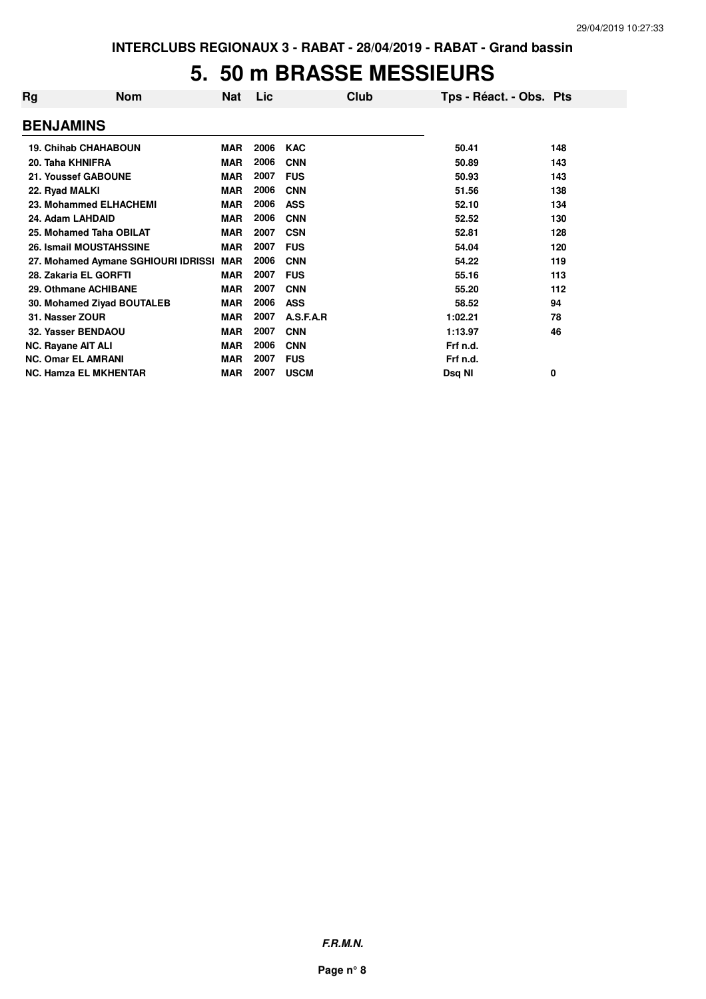#### **5. 50 m BRASSE MESSIEURS**

| Rg               | <b>Nom</b>                          | Nat        | Lic  | Club        | Tps - Réact. - Obs. Pts |     |
|------------------|-------------------------------------|------------|------|-------------|-------------------------|-----|
| <b>BENJAMINS</b> |                                     |            |      |             |                         |     |
|                  | <b>19. Chihab CHAHABOUN</b>         | <b>MAR</b> | 2006 | <b>KAC</b>  | 50.41                   | 148 |
|                  | 20. Taha KHNIFRA                    | <b>MAR</b> | 2006 | <b>CNN</b>  | 50.89                   | 143 |
|                  | 21. Youssef GABOUNE                 | <b>MAR</b> | 2007 | <b>FUS</b>  | 50.93                   | 143 |
| 22. Ryad MALKI   |                                     | <b>MAR</b> | 2006 | <b>CNN</b>  | 51.56                   | 138 |
|                  | 23. Mohammed ELHACHEMI              | <b>MAR</b> | 2006 | <b>ASS</b>  | 52.10                   | 134 |
|                  | 24. Adam LAHDAID                    | <b>MAR</b> | 2006 | <b>CNN</b>  | 52.52                   | 130 |
|                  | 25. Mohamed Taha OBILAT             | <b>MAR</b> | 2007 | <b>CSN</b>  | 52.81                   | 128 |
|                  | <b>26. Ismail MOUSTAHSSINE</b>      | <b>MAR</b> | 2007 | <b>FUS</b>  | 54.04                   | 120 |
|                  | 27. Mohamed Aymane SGHIOURI IDRISSI | <b>MAR</b> | 2006 | <b>CNN</b>  | 54.22                   | 119 |
|                  | 28. Zakaria EL GORFTI               | <b>MAR</b> | 2007 | <b>FUS</b>  | 55.16                   | 113 |
|                  | 29. Othmane ACHIBANE                | <b>MAR</b> | 2007 | <b>CNN</b>  | 55.20                   | 112 |
|                  | 30. Mohamed Ziyad BOUTALEB          | MAR        | 2006 | <b>ASS</b>  | 58.52                   | 94  |
|                  | 31. Nasser ZOUR                     | <b>MAR</b> | 2007 | A.S.F.A.R   | 1:02.21                 | 78  |
|                  | 32. Yasser BENDAOU                  | <b>MAR</b> | 2007 | <b>CNN</b>  | 1:13.97                 | 46  |
|                  | <b>NC. Rayane AIT ALI</b>           | <b>MAR</b> | 2006 | <b>CNN</b>  | Frf n.d.                |     |
|                  | <b>NC. Omar EL AMRANI</b>           | <b>MAR</b> | 2007 | <b>FUS</b>  | Frf n.d.                |     |
|                  | <b>NC. Hamza EL MKHENTAR</b>        | <b>MAR</b> | 2007 | <b>USCM</b> | Dsq NI                  | 0   |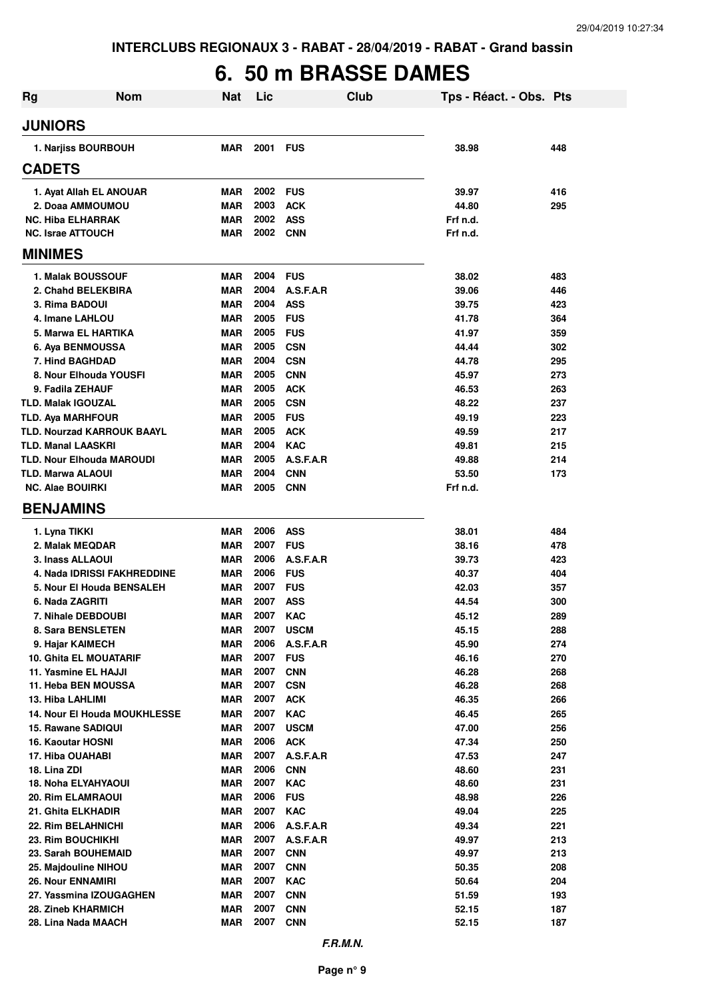## **6. 50 m BRASSE DAMES**

| <b>Rg</b> | <b>Nom</b>                                    | <b>Nat</b>               | Lic          |                          | Club | Tps - Réact. - Obs. Pts |            |
|-----------|-----------------------------------------------|--------------------------|--------------|--------------------------|------|-------------------------|------------|
|           | <b>JUNIORS</b>                                |                          |              |                          |      |                         |            |
|           | 1. Narjiss BOURBOUH                           | MAR                      | 2001         | <b>FUS</b>               |      | 38.98                   | 448        |
|           | <b>CADETS</b>                                 |                          |              |                          |      |                         |            |
|           | 1. Ayat Allah EL ANOUAR                       | MAR                      | 2002         | <b>FUS</b>               |      | 39.97                   | 416        |
|           | 2. Doaa AMMOUMOU                              | <b>MAR</b>               | 2003         | <b>ACK</b>               |      | 44.80                   | 295        |
|           | <b>NC. Hiba ELHARRAK</b>                      | <b>MAR</b>               | 2002         | <b>ASS</b>               |      | Frf n.d.                |            |
|           | <b>NC. Israe ATTOUCH</b>                      | MAR                      | 2002         | <b>CNN</b>               |      | Frf n.d.                |            |
|           | <b>MINIMES</b>                                |                          |              |                          |      |                         |            |
|           | 1. Malak BOUSSOUF                             | <b>MAR</b>               | 2004         | <b>FUS</b>               |      | 38.02                   | 483        |
|           | 2. Chahd BELEKBIRA                            | <b>MAR</b>               | 2004         | A.S.F.A.R                |      | 39.06                   | 446        |
|           | 3. Rima BADOUI                                | <b>MAR</b>               | 2004         | <b>ASS</b>               |      | 39.75                   | 423        |
|           | 4. Imane LAHLOU                               | <b>MAR</b>               | 2005         | <b>FUS</b>               |      | 41.78                   | 364        |
|           | 5. Marwa EL HARTIKA                           | <b>MAR</b>               | 2005         | <b>FUS</b>               |      | 41.97                   | 359        |
|           | 6. Aya BENMOUSSA                              | MAR                      | 2005         | <b>CSN</b>               |      | 44.44                   | 302        |
|           | 7. Hind BAGHDAD<br>8. Nour Elhouda YOUSFI     | <b>MAR</b><br><b>MAR</b> | 2004<br>2005 | <b>CSN</b><br><b>CNN</b> |      | 44.78<br>45.97          | 295<br>273 |
|           | 9. Fadila ZEHAUF                              | MAR                      | 2005         | <b>ACK</b>               |      | 46.53                   | 263        |
|           | <b>TLD. Malak IGOUZAL</b>                     | <b>MAR</b>               | 2005         | <b>CSN</b>               |      | 48.22                   | 237        |
|           | <b>TLD. Aya MARHFOUR</b>                      | <b>MAR</b>               | 2005         | <b>FUS</b>               |      | 49.19                   | 223        |
|           | <b>TLD. Nourzad KARROUK BAAYL</b>             | <b>MAR</b>               | 2005         | <b>ACK</b>               |      | 49.59                   | 217        |
|           | <b>TLD. Manal LAASKRI</b>                     | <b>MAR</b>               | 2004         | <b>KAC</b>               |      | 49.81                   | 215        |
|           | <b>TLD. Nour Elhouda MAROUDI</b>              | <b>MAR</b>               | 2005         | A.S.F.A.R                |      | 49.88                   | 214        |
|           | TLD. Marwa ALAOUI                             | <b>MAR</b>               | 2004         | <b>CNN</b>               |      | 53.50                   | 173        |
|           | <b>NC. Alae BOUIRKI</b>                       | MAR                      | 2005         | <b>CNN</b>               |      | Frf n.d.                |            |
|           | <b>BENJAMINS</b>                              |                          |              |                          |      |                         |            |
|           | 1. Lyna TIKKI                                 | <b>MAR</b>               | 2006         | <b>ASS</b>               |      | 38.01                   | 484        |
|           | 2. Malak MEQDAR                               | <b>MAR</b>               | 2007         | <b>FUS</b>               |      | 38.16                   | 478        |
|           | 3. Inass ALLAOUI                              | <b>MAR</b>               | 2006         | A.S.F.A.R                |      | 39.73                   | 423        |
|           | 4. Nada IDRISSI FAKHREDDINE                   | <b>MAR</b>               | 2006         | <b>FUS</b>               |      | 40.37                   | 404        |
|           | 5. Nour El Houda BENSALEH                     | <b>MAR</b>               | 2007         | <b>FUS</b>               |      | 42.03                   | 357        |
|           | 6. Nada ZAGRITI                               | MAR                      | 2007         | <b>ASS</b>               |      | 44.54                   | 300        |
|           | 7. Nihale DEBDOUBI                            | <b>MAR</b>               | 2007         | <b>KAC</b>               |      | 45.12                   | 289        |
|           | 8. Sara BENSLETEN                             | <b>MAR</b>               | 2007         | <b>USCM</b>              |      | 45.15                   | 288        |
|           | 9. Hajar KAIMECH                              | <b>MAR</b>               | 2006         | A.S.F.A.R                |      | 45.90                   | 274        |
|           | 10. Ghita EL MOUATARIF                        | <b>MAR</b>               | 2007         | <b>FUS</b>               |      | 46.16                   | 270        |
|           | 11. Yasmine EL HAJJI<br>11. Heba BEN MOUSSA   | <b>MAR</b><br><b>MAR</b> | 2007<br>2007 | <b>CNN</b>               |      | 46.28<br>46.28          | 268<br>268 |
|           | 13. Hiba LAHLIMI                              | <b>MAR</b>               | 2007         | CSN<br><b>ACK</b>        |      | 46.35                   | 266        |
|           | <b>14. Nour El Houda MOUKHLESSE</b>           | <b>MAR</b>               | 2007         | <b>KAC</b>               |      | 46.45                   | 265        |
|           | 15. Rawane SADIQUI                            | <b>MAR</b>               | 2007         | <b>USCM</b>              |      | 47.00                   | 256        |
|           | 16. Kaoutar HOSNI                             | MAR                      | 2006         | <b>ACK</b>               |      | 47.34                   | 250        |
|           | 17. Hiba OUAHABI                              | <b>MAR</b>               | 2007         | A.S.F.A.R                |      | 47.53                   | 247        |
|           | 18. Lina ZDI                                  | <b>MAR</b>               | 2006         | <b>CNN</b>               |      | 48.60                   | 231        |
|           | 18. Noha ELYAHYAOUI                           | <b>MAR</b>               | 2007         | <b>KAC</b>               |      | 48.60                   | 231        |
|           | 20. Rim ELAMRAOUI                             | <b>MAR</b>               | 2006         | <b>FUS</b>               |      | 48.98                   | 226        |
|           | 21. Ghita ELKHADIR                            | <b>MAR</b>               | 2007         | <b>KAC</b>               |      | 49.04                   | 225        |
|           | 22. Rim BELAHNICHI                            | <b>MAR</b>               | 2006         | A.S.F.A.R                |      | 49.34                   | 221        |
|           | 23. Rim BOUCHIKHI                             | <b>MAR</b>               | 2007         | A.S.F.A.R                |      | 49.97                   | 213        |
|           | 23. Sarah BOUHEMAID                           | <b>MAR</b>               | 2007         | <b>CNN</b>               |      | 49.97                   | 213        |
|           | 25. Majdouline NIHOU                          | <b>MAR</b>               | 2007         | <b>CNN</b>               |      | 50.35                   | 208        |
|           | <b>26. Nour ENNAMIRI</b>                      | <b>MAR</b>               | 2007         | <b>KAC</b>               |      | 50.64                   | 204        |
|           | 27. Yassmina IZOUGAGHEN<br>28. Zineb KHARMICH | <b>MAR</b><br><b>MAR</b> | 2007<br>2007 | <b>CNN</b><br><b>CNN</b> |      | 51.59<br>52.15          | 193<br>187 |
|           | 28. Lina Nada MAACH                           | <b>MAR</b>               | 2007         | <b>CNN</b>               |      | 52.15                   | 187        |
|           |                                               |                          |              |                          |      |                         |            |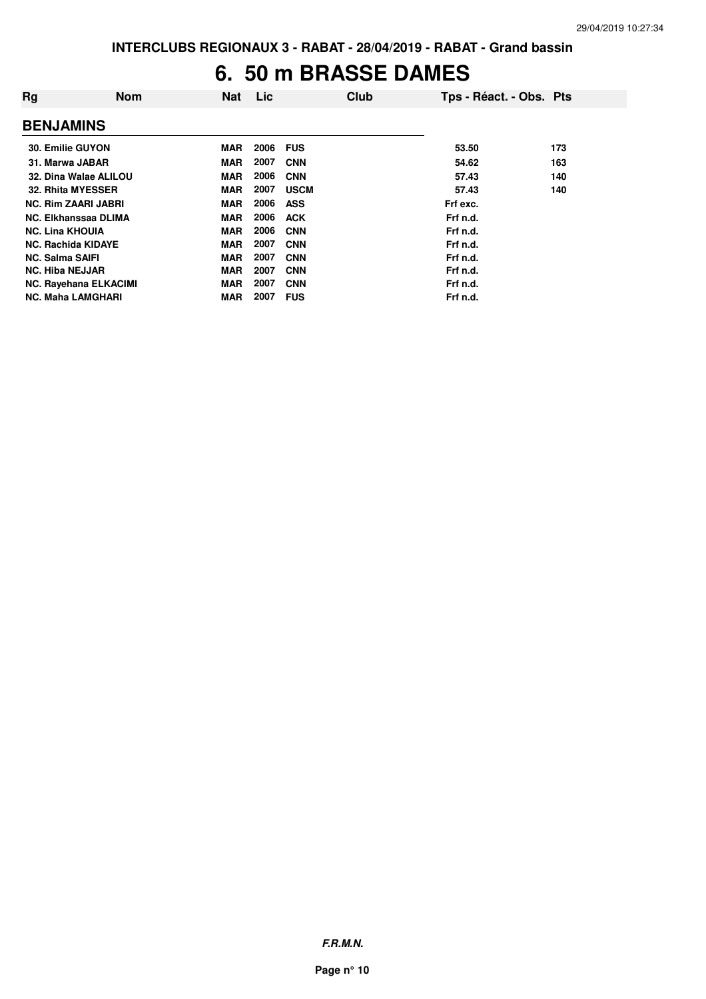### **6. 50 m BRASSE DAMES**

| Rg                         | <b>Nom</b>                   | <b>Nat</b> | <b>Lic</b> | Club        | Tps - Réact. - Obs. Pts |     |
|----------------------------|------------------------------|------------|------------|-------------|-------------------------|-----|
| <b>BENJAMINS</b>           |                              |            |            |             |                         |     |
| 30. Emilie GUYON           |                              | <b>MAR</b> | 2006       | <b>FUS</b>  | 53.50                   | 173 |
| 31. Marwa JABAR            |                              | <b>MAR</b> | 2007       | <b>CNN</b>  | 54.62                   | 163 |
|                            | 32. Dina Walae ALILOU        | <b>MAR</b> | 2006       | <b>CNN</b>  | 57.43                   | 140 |
| 32. Rhita MYESSER          |                              | <b>MAR</b> | 2007       | <b>USCM</b> | 57.43                   | 140 |
| <b>NC. Rim ZAARI JABRI</b> |                              | <b>MAR</b> | 2006       | <b>ASS</b>  | Frf exc.                |     |
| NC. Elkhanssaa DLIMA       |                              | <b>MAR</b> | 2006       | <b>ACK</b>  | Frf n.d.                |     |
| <b>NC. Lina KHOUIA</b>     |                              | <b>MAR</b> | 2006       | <b>CNN</b>  | Frf n.d.                |     |
| <b>NC. Rachida KIDAYE</b>  |                              | <b>MAR</b> | 2007       | <b>CNN</b>  | Frf n.d.                |     |
| <b>NC. Salma SAIFI</b>     |                              | <b>MAR</b> | 2007       | <b>CNN</b>  | Frf n.d.                |     |
| <b>NC. Hiba NEJJAR</b>     |                              | <b>MAR</b> | 2007       | <b>CNN</b>  | Frf n.d.                |     |
|                            | <b>NC. Rayehana ELKACIMI</b> | <b>MAR</b> | 2007       | <b>CNN</b>  | Frf n.d.                |     |
| <b>NC. Maha LAMGHARI</b>   |                              | <b>MAR</b> | 2007       | <b>FUS</b>  | Frf n.d.                |     |

**F.R.M.N.**

**Page n° 10**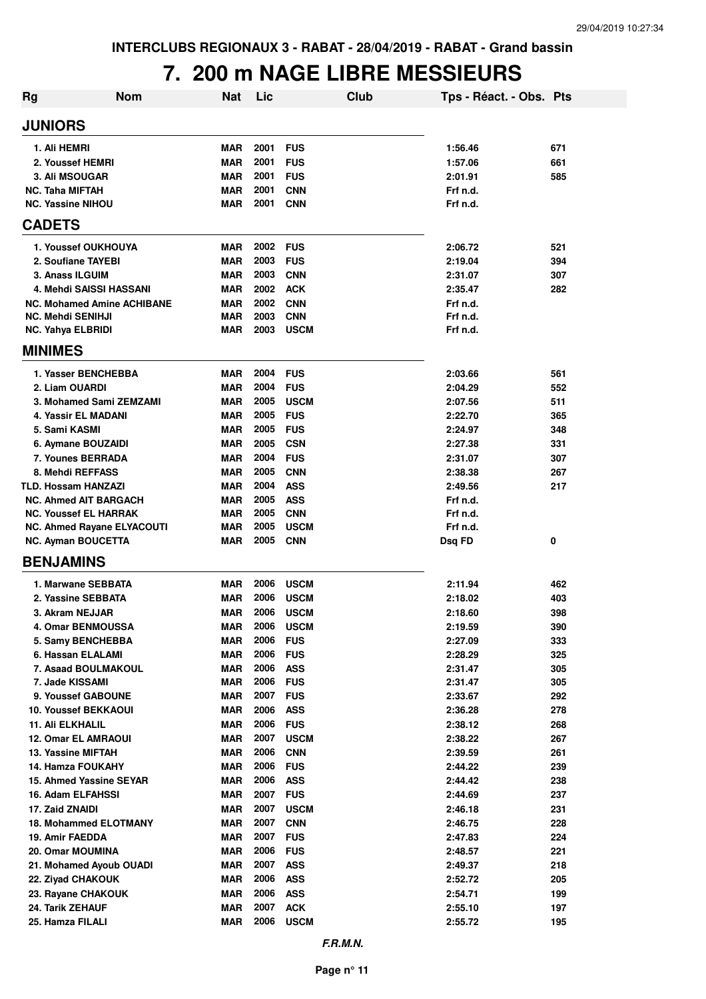#### **7. 200 m NAGE LIBRE MESSIEURS**

| <b>JUNIORS</b><br>2001<br><b>MAR</b><br><b>FUS</b><br>671<br>1. Ali HEMRI<br>1:56.46<br>2001<br><b>FUS</b><br>2. Youssef HEMRI<br><b>MAR</b><br>1:57.06<br>661<br>2001<br><b>FUS</b><br>3. Ali MSOUGAR<br><b>MAR</b><br>2:01.91<br>585<br>2001<br><b>CNN</b><br><b>NC. Taha MIFTAH</b><br><b>MAR</b><br>Frf n.d.<br>2001<br><b>NC. Yassine NIHOU</b><br><b>MAR</b><br><b>CNN</b><br>Frf n.d.<br><b>CADETS</b><br>2002<br>1. Youssef OUKHOUYA<br><b>FUS</b><br>521<br>MAR<br>2:06.72<br>2003<br>2. Soufiane TAYEBI<br><b>MAR</b><br><b>FUS</b><br>2:19.04<br>394<br>2003<br>3. Anass ILGUIM<br><b>MAR</b><br><b>CNN</b><br>2:31.07<br>307<br>2002<br><b>ACK</b><br>282<br>4. Mehdi SAISSI HASSANI<br><b>MAR</b><br>2:35.47<br>2002<br><b>CNN</b><br><b>NC. Mohamed Amine ACHIBANE</b><br><b>MAR</b><br>Frf n.d.<br>2003<br><b>CNN</b><br><b>NC. Mehdi SENIHJI</b><br><b>MAR</b><br>Frf n.d.<br>2003<br><b>MAR</b><br><b>USCM</b><br>Frf n.d.<br><b>NC. Yahya ELBRIDI</b><br><b>MINIMES</b><br>2004<br>1. Yasser BENCHEBBA<br><b>MAR</b><br><b>FUS</b><br>561<br>2:03.66<br>2004<br>2. Liam OUARDI<br><b>MAR</b><br><b>FUS</b><br>2:04.29<br>552<br>2005<br><b>USCM</b><br>3. Mohamed Sami ZEMZAMI<br><b>MAR</b><br>2:07.56<br>511<br>2005<br><b>FUS</b><br>4. Yassir EL MADANI<br><b>MAR</b><br>2:22.70<br>365<br>2005<br><b>FUS</b><br>5. Sami KASMI<br><b>MAR</b><br>2:24.97<br>348<br>2005<br><b>CSN</b><br>6. Aymane BOUZAIDI<br><b>MAR</b><br>2:27.38<br>331<br>2004<br><b>FUS</b><br><b>7. Younes BERRADA</b><br><b>MAR</b><br>2:31.07<br>307<br>2005<br>8. Mehdi REFFASS<br><b>MAR</b><br><b>CNN</b><br>2:38.38<br>267<br>2004<br><b>ASS</b><br><b>TLD. Hossam HANZAZI</b><br><b>MAR</b><br>2:49.56<br>217<br>2005<br><b>ASS</b><br><b>NC. Ahmed AIT BARGACH</b><br><b>MAR</b><br>Frf n.d.<br>2005<br><b>CNN</b><br><b>NC. Youssef EL HARRAK</b><br><b>MAR</b><br>Frf n.d.<br>2005<br><b>MAR</b><br><b>USCM</b><br>Frf n.d.<br><b>NC. Ahmed Rayane ELYACOUTI</b><br>2005<br><b>MAR</b><br><b>CNN</b><br>0<br><b>NC. Ayman BOUCETTA</b><br>Dsq FD<br><b>BENJAMINS</b><br>2006<br>1. Marwane SEBBATA<br><b>MAR</b><br><b>USCM</b><br>2:11.94<br>462<br>2006<br>2. Yassine SEBBATA<br><b>MAR</b><br><b>USCM</b><br>2:18.02<br>403<br>2006<br>3. Akram NEJJAR<br><b>MAR</b><br><b>USCM</b><br>398<br>2:18.60<br>2006<br><b>USCM</b><br>390<br>4. Omar BENMOUSSA<br><b>MAR</b><br>2:19.59<br>2006<br><b>FUS</b><br>333<br>5. Samy BENCHEBBA<br><b>MAR</b><br>2:27.09<br>2006<br><b>FUS</b><br>6. Hassan ELALAMI<br><b>MAR</b><br>325<br>2:28.29<br>2006<br><b>ASS</b><br>7. Asaad BOULMAKOUL<br><b>MAR</b><br>2:31.47<br>305<br>2006<br>7. Jade KISSAMI<br><b>MAR</b><br><b>FUS</b><br>305<br>2:31.47<br><b>MAR</b><br>2007<br><b>FUS</b><br>292<br>9. Youssef GABOUNE<br>2:33.67<br>2006<br><b>ASS</b><br>278<br><b>10. Youssef BEKKAOUI</b><br><b>MAR</b><br>2:36.28<br>2006<br><b>FUS</b><br><b>11. Ali ELKHALIL</b><br><b>MAR</b><br>268<br>2:38.12<br>2007<br><b>USCM</b><br>267<br><b>12. Omar EL AMRAOUI</b><br><b>MAR</b><br>2:38.22<br>2006<br><b>CNN</b><br>13. Yassine MIFTAH<br><b>MAR</b><br>2:39.59<br>261<br>2006<br><b>FUS</b><br>239<br>14. Hamza FOUKAHY<br><b>MAR</b><br>2:44.22<br><b>ASS</b><br>15. Ahmed Yassine SEYAR<br><b>MAR</b><br>2006<br>238<br>2:44.42<br>2007<br><b>FUS</b><br>16. Adam ELFAHSSI<br><b>MAR</b><br>237<br>2:44.69<br>2007<br><b>USCM</b><br>17. Zaid ZNAIDI<br><b>MAR</b><br>231<br>2:46.18<br><b>18. Mohammed ELOTMANY</b><br><b>MAR</b><br>2007<br><b>CNN</b><br>228<br>2:46.75<br>19. Amir FAEDDA<br><b>MAR</b><br>2007<br><b>FUS</b><br>224<br>2:47.83<br>2006<br>20. Omar MOUMINA<br><b>MAR</b><br><b>FUS</b><br>221<br>2:48.57<br>2007<br>21. Mohamed Ayoub OUADI<br><b>MAR</b><br><b>ASS</b><br>218<br>2:49.37<br>2006<br><b>ASS</b><br>205<br>22. Ziyad CHAKOUK<br>MAR<br>2:52.72<br>2006<br><b>ASS</b><br>199<br>23. Rayane CHAKOUK<br>MAR<br>2:54.71<br>2007<br><b>ACK</b><br>24. Tarik ZEHAUF<br><b>MAR</b><br>197<br>2:55.10<br>2006<br>25. Hamza FILALI<br><b>USCM</b><br>195<br>MAR<br>2:55.72 | Rg | <b>Nom</b> | <b>Nat</b> | Lic | <b>Club</b> | Tps - Réact. - Obs. Pts |  |
|-------------------------------------------------------------------------------------------------------------------------------------------------------------------------------------------------------------------------------------------------------------------------------------------------------------------------------------------------------------------------------------------------------------------------------------------------------------------------------------------------------------------------------------------------------------------------------------------------------------------------------------------------------------------------------------------------------------------------------------------------------------------------------------------------------------------------------------------------------------------------------------------------------------------------------------------------------------------------------------------------------------------------------------------------------------------------------------------------------------------------------------------------------------------------------------------------------------------------------------------------------------------------------------------------------------------------------------------------------------------------------------------------------------------------------------------------------------------------------------------------------------------------------------------------------------------------------------------------------------------------------------------------------------------------------------------------------------------------------------------------------------------------------------------------------------------------------------------------------------------------------------------------------------------------------------------------------------------------------------------------------------------------------------------------------------------------------------------------------------------------------------------------------------------------------------------------------------------------------------------------------------------------------------------------------------------------------------------------------------------------------------------------------------------------------------------------------------------------------------------------------------------------------------------------------------------------------------------------------------------------------------------------------------------------------------------------------------------------------------------------------------------------------------------------------------------------------------------------------------------------------------------------------------------------------------------------------------------------------------------------------------------------------------------------------------------------------------------------------------------------------------------------------------------------------------------------------------------------------------------------------------------------------------------------------------------------------------------------------------------------------------------------------------------------------------------------------------------------------------------------------------------------------------------------------------------------------------------------------------------------------------------------------------------------------------------------------------------------------------------------------------------------------------------------------------------------------------------------------------------------------------------------------------------------------------------------------------------------------------------------------------------------------------------------------------|----|------------|------------|-----|-------------|-------------------------|--|
|                                                                                                                                                                                                                                                                                                                                                                                                                                                                                                                                                                                                                                                                                                                                                                                                                                                                                                                                                                                                                                                                                                                                                                                                                                                                                                                                                                                                                                                                                                                                                                                                                                                                                                                                                                                                                                                                                                                                                                                                                                                                                                                                                                                                                                                                                                                                                                                                                                                                                                                                                                                                                                                                                                                                                                                                                                                                                                                                                                                                                                                                                                                                                                                                                                                                                                                                                                                                                                                                                                                                                                                                                                                                                                                                                                                                                                                                                                                                                                                                                                                             |    |            |            |     |             |                         |  |
|                                                                                                                                                                                                                                                                                                                                                                                                                                                                                                                                                                                                                                                                                                                                                                                                                                                                                                                                                                                                                                                                                                                                                                                                                                                                                                                                                                                                                                                                                                                                                                                                                                                                                                                                                                                                                                                                                                                                                                                                                                                                                                                                                                                                                                                                                                                                                                                                                                                                                                                                                                                                                                                                                                                                                                                                                                                                                                                                                                                                                                                                                                                                                                                                                                                                                                                                                                                                                                                                                                                                                                                                                                                                                                                                                                                                                                                                                                                                                                                                                                                             |    |            |            |     |             |                         |  |
|                                                                                                                                                                                                                                                                                                                                                                                                                                                                                                                                                                                                                                                                                                                                                                                                                                                                                                                                                                                                                                                                                                                                                                                                                                                                                                                                                                                                                                                                                                                                                                                                                                                                                                                                                                                                                                                                                                                                                                                                                                                                                                                                                                                                                                                                                                                                                                                                                                                                                                                                                                                                                                                                                                                                                                                                                                                                                                                                                                                                                                                                                                                                                                                                                                                                                                                                                                                                                                                                                                                                                                                                                                                                                                                                                                                                                                                                                                                                                                                                                                                             |    |            |            |     |             |                         |  |
|                                                                                                                                                                                                                                                                                                                                                                                                                                                                                                                                                                                                                                                                                                                                                                                                                                                                                                                                                                                                                                                                                                                                                                                                                                                                                                                                                                                                                                                                                                                                                                                                                                                                                                                                                                                                                                                                                                                                                                                                                                                                                                                                                                                                                                                                                                                                                                                                                                                                                                                                                                                                                                                                                                                                                                                                                                                                                                                                                                                                                                                                                                                                                                                                                                                                                                                                                                                                                                                                                                                                                                                                                                                                                                                                                                                                                                                                                                                                                                                                                                                             |    |            |            |     |             |                         |  |
|                                                                                                                                                                                                                                                                                                                                                                                                                                                                                                                                                                                                                                                                                                                                                                                                                                                                                                                                                                                                                                                                                                                                                                                                                                                                                                                                                                                                                                                                                                                                                                                                                                                                                                                                                                                                                                                                                                                                                                                                                                                                                                                                                                                                                                                                                                                                                                                                                                                                                                                                                                                                                                                                                                                                                                                                                                                                                                                                                                                                                                                                                                                                                                                                                                                                                                                                                                                                                                                                                                                                                                                                                                                                                                                                                                                                                                                                                                                                                                                                                                                             |    |            |            |     |             |                         |  |
|                                                                                                                                                                                                                                                                                                                                                                                                                                                                                                                                                                                                                                                                                                                                                                                                                                                                                                                                                                                                                                                                                                                                                                                                                                                                                                                                                                                                                                                                                                                                                                                                                                                                                                                                                                                                                                                                                                                                                                                                                                                                                                                                                                                                                                                                                                                                                                                                                                                                                                                                                                                                                                                                                                                                                                                                                                                                                                                                                                                                                                                                                                                                                                                                                                                                                                                                                                                                                                                                                                                                                                                                                                                                                                                                                                                                                                                                                                                                                                                                                                                             |    |            |            |     |             |                         |  |
|                                                                                                                                                                                                                                                                                                                                                                                                                                                                                                                                                                                                                                                                                                                                                                                                                                                                                                                                                                                                                                                                                                                                                                                                                                                                                                                                                                                                                                                                                                                                                                                                                                                                                                                                                                                                                                                                                                                                                                                                                                                                                                                                                                                                                                                                                                                                                                                                                                                                                                                                                                                                                                                                                                                                                                                                                                                                                                                                                                                                                                                                                                                                                                                                                                                                                                                                                                                                                                                                                                                                                                                                                                                                                                                                                                                                                                                                                                                                                                                                                                                             |    |            |            |     |             |                         |  |
|                                                                                                                                                                                                                                                                                                                                                                                                                                                                                                                                                                                                                                                                                                                                                                                                                                                                                                                                                                                                                                                                                                                                                                                                                                                                                                                                                                                                                                                                                                                                                                                                                                                                                                                                                                                                                                                                                                                                                                                                                                                                                                                                                                                                                                                                                                                                                                                                                                                                                                                                                                                                                                                                                                                                                                                                                                                                                                                                                                                                                                                                                                                                                                                                                                                                                                                                                                                                                                                                                                                                                                                                                                                                                                                                                                                                                                                                                                                                                                                                                                                             |    |            |            |     |             |                         |  |
|                                                                                                                                                                                                                                                                                                                                                                                                                                                                                                                                                                                                                                                                                                                                                                                                                                                                                                                                                                                                                                                                                                                                                                                                                                                                                                                                                                                                                                                                                                                                                                                                                                                                                                                                                                                                                                                                                                                                                                                                                                                                                                                                                                                                                                                                                                                                                                                                                                                                                                                                                                                                                                                                                                                                                                                                                                                                                                                                                                                                                                                                                                                                                                                                                                                                                                                                                                                                                                                                                                                                                                                                                                                                                                                                                                                                                                                                                                                                                                                                                                                             |    |            |            |     |             |                         |  |
|                                                                                                                                                                                                                                                                                                                                                                                                                                                                                                                                                                                                                                                                                                                                                                                                                                                                                                                                                                                                                                                                                                                                                                                                                                                                                                                                                                                                                                                                                                                                                                                                                                                                                                                                                                                                                                                                                                                                                                                                                                                                                                                                                                                                                                                                                                                                                                                                                                                                                                                                                                                                                                                                                                                                                                                                                                                                                                                                                                                                                                                                                                                                                                                                                                                                                                                                                                                                                                                                                                                                                                                                                                                                                                                                                                                                                                                                                                                                                                                                                                                             |    |            |            |     |             |                         |  |
|                                                                                                                                                                                                                                                                                                                                                                                                                                                                                                                                                                                                                                                                                                                                                                                                                                                                                                                                                                                                                                                                                                                                                                                                                                                                                                                                                                                                                                                                                                                                                                                                                                                                                                                                                                                                                                                                                                                                                                                                                                                                                                                                                                                                                                                                                                                                                                                                                                                                                                                                                                                                                                                                                                                                                                                                                                                                                                                                                                                                                                                                                                                                                                                                                                                                                                                                                                                                                                                                                                                                                                                                                                                                                                                                                                                                                                                                                                                                                                                                                                                             |    |            |            |     |             |                         |  |
|                                                                                                                                                                                                                                                                                                                                                                                                                                                                                                                                                                                                                                                                                                                                                                                                                                                                                                                                                                                                                                                                                                                                                                                                                                                                                                                                                                                                                                                                                                                                                                                                                                                                                                                                                                                                                                                                                                                                                                                                                                                                                                                                                                                                                                                                                                                                                                                                                                                                                                                                                                                                                                                                                                                                                                                                                                                                                                                                                                                                                                                                                                                                                                                                                                                                                                                                                                                                                                                                                                                                                                                                                                                                                                                                                                                                                                                                                                                                                                                                                                                             |    |            |            |     |             |                         |  |
|                                                                                                                                                                                                                                                                                                                                                                                                                                                                                                                                                                                                                                                                                                                                                                                                                                                                                                                                                                                                                                                                                                                                                                                                                                                                                                                                                                                                                                                                                                                                                                                                                                                                                                                                                                                                                                                                                                                                                                                                                                                                                                                                                                                                                                                                                                                                                                                                                                                                                                                                                                                                                                                                                                                                                                                                                                                                                                                                                                                                                                                                                                                                                                                                                                                                                                                                                                                                                                                                                                                                                                                                                                                                                                                                                                                                                                                                                                                                                                                                                                                             |    |            |            |     |             |                         |  |
|                                                                                                                                                                                                                                                                                                                                                                                                                                                                                                                                                                                                                                                                                                                                                                                                                                                                                                                                                                                                                                                                                                                                                                                                                                                                                                                                                                                                                                                                                                                                                                                                                                                                                                                                                                                                                                                                                                                                                                                                                                                                                                                                                                                                                                                                                                                                                                                                                                                                                                                                                                                                                                                                                                                                                                                                                                                                                                                                                                                                                                                                                                                                                                                                                                                                                                                                                                                                                                                                                                                                                                                                                                                                                                                                                                                                                                                                                                                                                                                                                                                             |    |            |            |     |             |                         |  |
|                                                                                                                                                                                                                                                                                                                                                                                                                                                                                                                                                                                                                                                                                                                                                                                                                                                                                                                                                                                                                                                                                                                                                                                                                                                                                                                                                                                                                                                                                                                                                                                                                                                                                                                                                                                                                                                                                                                                                                                                                                                                                                                                                                                                                                                                                                                                                                                                                                                                                                                                                                                                                                                                                                                                                                                                                                                                                                                                                                                                                                                                                                                                                                                                                                                                                                                                                                                                                                                                                                                                                                                                                                                                                                                                                                                                                                                                                                                                                                                                                                                             |    |            |            |     |             |                         |  |
|                                                                                                                                                                                                                                                                                                                                                                                                                                                                                                                                                                                                                                                                                                                                                                                                                                                                                                                                                                                                                                                                                                                                                                                                                                                                                                                                                                                                                                                                                                                                                                                                                                                                                                                                                                                                                                                                                                                                                                                                                                                                                                                                                                                                                                                                                                                                                                                                                                                                                                                                                                                                                                                                                                                                                                                                                                                                                                                                                                                                                                                                                                                                                                                                                                                                                                                                                                                                                                                                                                                                                                                                                                                                                                                                                                                                                                                                                                                                                                                                                                                             |    |            |            |     |             |                         |  |
|                                                                                                                                                                                                                                                                                                                                                                                                                                                                                                                                                                                                                                                                                                                                                                                                                                                                                                                                                                                                                                                                                                                                                                                                                                                                                                                                                                                                                                                                                                                                                                                                                                                                                                                                                                                                                                                                                                                                                                                                                                                                                                                                                                                                                                                                                                                                                                                                                                                                                                                                                                                                                                                                                                                                                                                                                                                                                                                                                                                                                                                                                                                                                                                                                                                                                                                                                                                                                                                                                                                                                                                                                                                                                                                                                                                                                                                                                                                                                                                                                                                             |    |            |            |     |             |                         |  |
|                                                                                                                                                                                                                                                                                                                                                                                                                                                                                                                                                                                                                                                                                                                                                                                                                                                                                                                                                                                                                                                                                                                                                                                                                                                                                                                                                                                                                                                                                                                                                                                                                                                                                                                                                                                                                                                                                                                                                                                                                                                                                                                                                                                                                                                                                                                                                                                                                                                                                                                                                                                                                                                                                                                                                                                                                                                                                                                                                                                                                                                                                                                                                                                                                                                                                                                                                                                                                                                                                                                                                                                                                                                                                                                                                                                                                                                                                                                                                                                                                                                             |    |            |            |     |             |                         |  |
|                                                                                                                                                                                                                                                                                                                                                                                                                                                                                                                                                                                                                                                                                                                                                                                                                                                                                                                                                                                                                                                                                                                                                                                                                                                                                                                                                                                                                                                                                                                                                                                                                                                                                                                                                                                                                                                                                                                                                                                                                                                                                                                                                                                                                                                                                                                                                                                                                                                                                                                                                                                                                                                                                                                                                                                                                                                                                                                                                                                                                                                                                                                                                                                                                                                                                                                                                                                                                                                                                                                                                                                                                                                                                                                                                                                                                                                                                                                                                                                                                                                             |    |            |            |     |             |                         |  |
|                                                                                                                                                                                                                                                                                                                                                                                                                                                                                                                                                                                                                                                                                                                                                                                                                                                                                                                                                                                                                                                                                                                                                                                                                                                                                                                                                                                                                                                                                                                                                                                                                                                                                                                                                                                                                                                                                                                                                                                                                                                                                                                                                                                                                                                                                                                                                                                                                                                                                                                                                                                                                                                                                                                                                                                                                                                                                                                                                                                                                                                                                                                                                                                                                                                                                                                                                                                                                                                                                                                                                                                                                                                                                                                                                                                                                                                                                                                                                                                                                                                             |    |            |            |     |             |                         |  |
|                                                                                                                                                                                                                                                                                                                                                                                                                                                                                                                                                                                                                                                                                                                                                                                                                                                                                                                                                                                                                                                                                                                                                                                                                                                                                                                                                                                                                                                                                                                                                                                                                                                                                                                                                                                                                                                                                                                                                                                                                                                                                                                                                                                                                                                                                                                                                                                                                                                                                                                                                                                                                                                                                                                                                                                                                                                                                                                                                                                                                                                                                                                                                                                                                                                                                                                                                                                                                                                                                                                                                                                                                                                                                                                                                                                                                                                                                                                                                                                                                                                             |    |            |            |     |             |                         |  |
|                                                                                                                                                                                                                                                                                                                                                                                                                                                                                                                                                                                                                                                                                                                                                                                                                                                                                                                                                                                                                                                                                                                                                                                                                                                                                                                                                                                                                                                                                                                                                                                                                                                                                                                                                                                                                                                                                                                                                                                                                                                                                                                                                                                                                                                                                                                                                                                                                                                                                                                                                                                                                                                                                                                                                                                                                                                                                                                                                                                                                                                                                                                                                                                                                                                                                                                                                                                                                                                                                                                                                                                                                                                                                                                                                                                                                                                                                                                                                                                                                                                             |    |            |            |     |             |                         |  |
|                                                                                                                                                                                                                                                                                                                                                                                                                                                                                                                                                                                                                                                                                                                                                                                                                                                                                                                                                                                                                                                                                                                                                                                                                                                                                                                                                                                                                                                                                                                                                                                                                                                                                                                                                                                                                                                                                                                                                                                                                                                                                                                                                                                                                                                                                                                                                                                                                                                                                                                                                                                                                                                                                                                                                                                                                                                                                                                                                                                                                                                                                                                                                                                                                                                                                                                                                                                                                                                                                                                                                                                                                                                                                                                                                                                                                                                                                                                                                                                                                                                             |    |            |            |     |             |                         |  |
|                                                                                                                                                                                                                                                                                                                                                                                                                                                                                                                                                                                                                                                                                                                                                                                                                                                                                                                                                                                                                                                                                                                                                                                                                                                                                                                                                                                                                                                                                                                                                                                                                                                                                                                                                                                                                                                                                                                                                                                                                                                                                                                                                                                                                                                                                                                                                                                                                                                                                                                                                                                                                                                                                                                                                                                                                                                                                                                                                                                                                                                                                                                                                                                                                                                                                                                                                                                                                                                                                                                                                                                                                                                                                                                                                                                                                                                                                                                                                                                                                                                             |    |            |            |     |             |                         |  |
|                                                                                                                                                                                                                                                                                                                                                                                                                                                                                                                                                                                                                                                                                                                                                                                                                                                                                                                                                                                                                                                                                                                                                                                                                                                                                                                                                                                                                                                                                                                                                                                                                                                                                                                                                                                                                                                                                                                                                                                                                                                                                                                                                                                                                                                                                                                                                                                                                                                                                                                                                                                                                                                                                                                                                                                                                                                                                                                                                                                                                                                                                                                                                                                                                                                                                                                                                                                                                                                                                                                                                                                                                                                                                                                                                                                                                                                                                                                                                                                                                                                             |    |            |            |     |             |                         |  |
|                                                                                                                                                                                                                                                                                                                                                                                                                                                                                                                                                                                                                                                                                                                                                                                                                                                                                                                                                                                                                                                                                                                                                                                                                                                                                                                                                                                                                                                                                                                                                                                                                                                                                                                                                                                                                                                                                                                                                                                                                                                                                                                                                                                                                                                                                                                                                                                                                                                                                                                                                                                                                                                                                                                                                                                                                                                                                                                                                                                                                                                                                                                                                                                                                                                                                                                                                                                                                                                                                                                                                                                                                                                                                                                                                                                                                                                                                                                                                                                                                                                             |    |            |            |     |             |                         |  |
|                                                                                                                                                                                                                                                                                                                                                                                                                                                                                                                                                                                                                                                                                                                                                                                                                                                                                                                                                                                                                                                                                                                                                                                                                                                                                                                                                                                                                                                                                                                                                                                                                                                                                                                                                                                                                                                                                                                                                                                                                                                                                                                                                                                                                                                                                                                                                                                                                                                                                                                                                                                                                                                                                                                                                                                                                                                                                                                                                                                                                                                                                                                                                                                                                                                                                                                                                                                                                                                                                                                                                                                                                                                                                                                                                                                                                                                                                                                                                                                                                                                             |    |            |            |     |             |                         |  |
|                                                                                                                                                                                                                                                                                                                                                                                                                                                                                                                                                                                                                                                                                                                                                                                                                                                                                                                                                                                                                                                                                                                                                                                                                                                                                                                                                                                                                                                                                                                                                                                                                                                                                                                                                                                                                                                                                                                                                                                                                                                                                                                                                                                                                                                                                                                                                                                                                                                                                                                                                                                                                                                                                                                                                                                                                                                                                                                                                                                                                                                                                                                                                                                                                                                                                                                                                                                                                                                                                                                                                                                                                                                                                                                                                                                                                                                                                                                                                                                                                                                             |    |            |            |     |             |                         |  |
|                                                                                                                                                                                                                                                                                                                                                                                                                                                                                                                                                                                                                                                                                                                                                                                                                                                                                                                                                                                                                                                                                                                                                                                                                                                                                                                                                                                                                                                                                                                                                                                                                                                                                                                                                                                                                                                                                                                                                                                                                                                                                                                                                                                                                                                                                                                                                                                                                                                                                                                                                                                                                                                                                                                                                                                                                                                                                                                                                                                                                                                                                                                                                                                                                                                                                                                                                                                                                                                                                                                                                                                                                                                                                                                                                                                                                                                                                                                                                                                                                                                             |    |            |            |     |             |                         |  |
|                                                                                                                                                                                                                                                                                                                                                                                                                                                                                                                                                                                                                                                                                                                                                                                                                                                                                                                                                                                                                                                                                                                                                                                                                                                                                                                                                                                                                                                                                                                                                                                                                                                                                                                                                                                                                                                                                                                                                                                                                                                                                                                                                                                                                                                                                                                                                                                                                                                                                                                                                                                                                                                                                                                                                                                                                                                                                                                                                                                                                                                                                                                                                                                                                                                                                                                                                                                                                                                                                                                                                                                                                                                                                                                                                                                                                                                                                                                                                                                                                                                             |    |            |            |     |             |                         |  |
|                                                                                                                                                                                                                                                                                                                                                                                                                                                                                                                                                                                                                                                                                                                                                                                                                                                                                                                                                                                                                                                                                                                                                                                                                                                                                                                                                                                                                                                                                                                                                                                                                                                                                                                                                                                                                                                                                                                                                                                                                                                                                                                                                                                                                                                                                                                                                                                                                                                                                                                                                                                                                                                                                                                                                                                                                                                                                                                                                                                                                                                                                                                                                                                                                                                                                                                                                                                                                                                                                                                                                                                                                                                                                                                                                                                                                                                                                                                                                                                                                                                             |    |            |            |     |             |                         |  |
|                                                                                                                                                                                                                                                                                                                                                                                                                                                                                                                                                                                                                                                                                                                                                                                                                                                                                                                                                                                                                                                                                                                                                                                                                                                                                                                                                                                                                                                                                                                                                                                                                                                                                                                                                                                                                                                                                                                                                                                                                                                                                                                                                                                                                                                                                                                                                                                                                                                                                                                                                                                                                                                                                                                                                                                                                                                                                                                                                                                                                                                                                                                                                                                                                                                                                                                                                                                                                                                                                                                                                                                                                                                                                                                                                                                                                                                                                                                                                                                                                                                             |    |            |            |     |             |                         |  |
|                                                                                                                                                                                                                                                                                                                                                                                                                                                                                                                                                                                                                                                                                                                                                                                                                                                                                                                                                                                                                                                                                                                                                                                                                                                                                                                                                                                                                                                                                                                                                                                                                                                                                                                                                                                                                                                                                                                                                                                                                                                                                                                                                                                                                                                                                                                                                                                                                                                                                                                                                                                                                                                                                                                                                                                                                                                                                                                                                                                                                                                                                                                                                                                                                                                                                                                                                                                                                                                                                                                                                                                                                                                                                                                                                                                                                                                                                                                                                                                                                                                             |    |            |            |     |             |                         |  |
|                                                                                                                                                                                                                                                                                                                                                                                                                                                                                                                                                                                                                                                                                                                                                                                                                                                                                                                                                                                                                                                                                                                                                                                                                                                                                                                                                                                                                                                                                                                                                                                                                                                                                                                                                                                                                                                                                                                                                                                                                                                                                                                                                                                                                                                                                                                                                                                                                                                                                                                                                                                                                                                                                                                                                                                                                                                                                                                                                                                                                                                                                                                                                                                                                                                                                                                                                                                                                                                                                                                                                                                                                                                                                                                                                                                                                                                                                                                                                                                                                                                             |    |            |            |     |             |                         |  |
|                                                                                                                                                                                                                                                                                                                                                                                                                                                                                                                                                                                                                                                                                                                                                                                                                                                                                                                                                                                                                                                                                                                                                                                                                                                                                                                                                                                                                                                                                                                                                                                                                                                                                                                                                                                                                                                                                                                                                                                                                                                                                                                                                                                                                                                                                                                                                                                                                                                                                                                                                                                                                                                                                                                                                                                                                                                                                                                                                                                                                                                                                                                                                                                                                                                                                                                                                                                                                                                                                                                                                                                                                                                                                                                                                                                                                                                                                                                                                                                                                                                             |    |            |            |     |             |                         |  |
|                                                                                                                                                                                                                                                                                                                                                                                                                                                                                                                                                                                                                                                                                                                                                                                                                                                                                                                                                                                                                                                                                                                                                                                                                                                                                                                                                                                                                                                                                                                                                                                                                                                                                                                                                                                                                                                                                                                                                                                                                                                                                                                                                                                                                                                                                                                                                                                                                                                                                                                                                                                                                                                                                                                                                                                                                                                                                                                                                                                                                                                                                                                                                                                                                                                                                                                                                                                                                                                                                                                                                                                                                                                                                                                                                                                                                                                                                                                                                                                                                                                             |    |            |            |     |             |                         |  |
|                                                                                                                                                                                                                                                                                                                                                                                                                                                                                                                                                                                                                                                                                                                                                                                                                                                                                                                                                                                                                                                                                                                                                                                                                                                                                                                                                                                                                                                                                                                                                                                                                                                                                                                                                                                                                                                                                                                                                                                                                                                                                                                                                                                                                                                                                                                                                                                                                                                                                                                                                                                                                                                                                                                                                                                                                                                                                                                                                                                                                                                                                                                                                                                                                                                                                                                                                                                                                                                                                                                                                                                                                                                                                                                                                                                                                                                                                                                                                                                                                                                             |    |            |            |     |             |                         |  |
|                                                                                                                                                                                                                                                                                                                                                                                                                                                                                                                                                                                                                                                                                                                                                                                                                                                                                                                                                                                                                                                                                                                                                                                                                                                                                                                                                                                                                                                                                                                                                                                                                                                                                                                                                                                                                                                                                                                                                                                                                                                                                                                                                                                                                                                                                                                                                                                                                                                                                                                                                                                                                                                                                                                                                                                                                                                                                                                                                                                                                                                                                                                                                                                                                                                                                                                                                                                                                                                                                                                                                                                                                                                                                                                                                                                                                                                                                                                                                                                                                                                             |    |            |            |     |             |                         |  |
|                                                                                                                                                                                                                                                                                                                                                                                                                                                                                                                                                                                                                                                                                                                                                                                                                                                                                                                                                                                                                                                                                                                                                                                                                                                                                                                                                                                                                                                                                                                                                                                                                                                                                                                                                                                                                                                                                                                                                                                                                                                                                                                                                                                                                                                                                                                                                                                                                                                                                                                                                                                                                                                                                                                                                                                                                                                                                                                                                                                                                                                                                                                                                                                                                                                                                                                                                                                                                                                                                                                                                                                                                                                                                                                                                                                                                                                                                                                                                                                                                                                             |    |            |            |     |             |                         |  |
|                                                                                                                                                                                                                                                                                                                                                                                                                                                                                                                                                                                                                                                                                                                                                                                                                                                                                                                                                                                                                                                                                                                                                                                                                                                                                                                                                                                                                                                                                                                                                                                                                                                                                                                                                                                                                                                                                                                                                                                                                                                                                                                                                                                                                                                                                                                                                                                                                                                                                                                                                                                                                                                                                                                                                                                                                                                                                                                                                                                                                                                                                                                                                                                                                                                                                                                                                                                                                                                                                                                                                                                                                                                                                                                                                                                                                                                                                                                                                                                                                                                             |    |            |            |     |             |                         |  |
|                                                                                                                                                                                                                                                                                                                                                                                                                                                                                                                                                                                                                                                                                                                                                                                                                                                                                                                                                                                                                                                                                                                                                                                                                                                                                                                                                                                                                                                                                                                                                                                                                                                                                                                                                                                                                                                                                                                                                                                                                                                                                                                                                                                                                                                                                                                                                                                                                                                                                                                                                                                                                                                                                                                                                                                                                                                                                                                                                                                                                                                                                                                                                                                                                                                                                                                                                                                                                                                                                                                                                                                                                                                                                                                                                                                                                                                                                                                                                                                                                                                             |    |            |            |     |             |                         |  |
|                                                                                                                                                                                                                                                                                                                                                                                                                                                                                                                                                                                                                                                                                                                                                                                                                                                                                                                                                                                                                                                                                                                                                                                                                                                                                                                                                                                                                                                                                                                                                                                                                                                                                                                                                                                                                                                                                                                                                                                                                                                                                                                                                                                                                                                                                                                                                                                                                                                                                                                                                                                                                                                                                                                                                                                                                                                                                                                                                                                                                                                                                                                                                                                                                                                                                                                                                                                                                                                                                                                                                                                                                                                                                                                                                                                                                                                                                                                                                                                                                                                             |    |            |            |     |             |                         |  |
|                                                                                                                                                                                                                                                                                                                                                                                                                                                                                                                                                                                                                                                                                                                                                                                                                                                                                                                                                                                                                                                                                                                                                                                                                                                                                                                                                                                                                                                                                                                                                                                                                                                                                                                                                                                                                                                                                                                                                                                                                                                                                                                                                                                                                                                                                                                                                                                                                                                                                                                                                                                                                                                                                                                                                                                                                                                                                                                                                                                                                                                                                                                                                                                                                                                                                                                                                                                                                                                                                                                                                                                                                                                                                                                                                                                                                                                                                                                                                                                                                                                             |    |            |            |     |             |                         |  |
|                                                                                                                                                                                                                                                                                                                                                                                                                                                                                                                                                                                                                                                                                                                                                                                                                                                                                                                                                                                                                                                                                                                                                                                                                                                                                                                                                                                                                                                                                                                                                                                                                                                                                                                                                                                                                                                                                                                                                                                                                                                                                                                                                                                                                                                                                                                                                                                                                                                                                                                                                                                                                                                                                                                                                                                                                                                                                                                                                                                                                                                                                                                                                                                                                                                                                                                                                                                                                                                                                                                                                                                                                                                                                                                                                                                                                                                                                                                                                                                                                                                             |    |            |            |     |             |                         |  |
|                                                                                                                                                                                                                                                                                                                                                                                                                                                                                                                                                                                                                                                                                                                                                                                                                                                                                                                                                                                                                                                                                                                                                                                                                                                                                                                                                                                                                                                                                                                                                                                                                                                                                                                                                                                                                                                                                                                                                                                                                                                                                                                                                                                                                                                                                                                                                                                                                                                                                                                                                                                                                                                                                                                                                                                                                                                                                                                                                                                                                                                                                                                                                                                                                                                                                                                                                                                                                                                                                                                                                                                                                                                                                                                                                                                                                                                                                                                                                                                                                                                             |    |            |            |     |             |                         |  |
|                                                                                                                                                                                                                                                                                                                                                                                                                                                                                                                                                                                                                                                                                                                                                                                                                                                                                                                                                                                                                                                                                                                                                                                                                                                                                                                                                                                                                                                                                                                                                                                                                                                                                                                                                                                                                                                                                                                                                                                                                                                                                                                                                                                                                                                                                                                                                                                                                                                                                                                                                                                                                                                                                                                                                                                                                                                                                                                                                                                                                                                                                                                                                                                                                                                                                                                                                                                                                                                                                                                                                                                                                                                                                                                                                                                                                                                                                                                                                                                                                                                             |    |            |            |     |             |                         |  |
|                                                                                                                                                                                                                                                                                                                                                                                                                                                                                                                                                                                                                                                                                                                                                                                                                                                                                                                                                                                                                                                                                                                                                                                                                                                                                                                                                                                                                                                                                                                                                                                                                                                                                                                                                                                                                                                                                                                                                                                                                                                                                                                                                                                                                                                                                                                                                                                                                                                                                                                                                                                                                                                                                                                                                                                                                                                                                                                                                                                                                                                                                                                                                                                                                                                                                                                                                                                                                                                                                                                                                                                                                                                                                                                                                                                                                                                                                                                                                                                                                                                             |    |            |            |     |             |                         |  |
|                                                                                                                                                                                                                                                                                                                                                                                                                                                                                                                                                                                                                                                                                                                                                                                                                                                                                                                                                                                                                                                                                                                                                                                                                                                                                                                                                                                                                                                                                                                                                                                                                                                                                                                                                                                                                                                                                                                                                                                                                                                                                                                                                                                                                                                                                                                                                                                                                                                                                                                                                                                                                                                                                                                                                                                                                                                                                                                                                                                                                                                                                                                                                                                                                                                                                                                                                                                                                                                                                                                                                                                                                                                                                                                                                                                                                                                                                                                                                                                                                                                             |    |            |            |     |             |                         |  |
|                                                                                                                                                                                                                                                                                                                                                                                                                                                                                                                                                                                                                                                                                                                                                                                                                                                                                                                                                                                                                                                                                                                                                                                                                                                                                                                                                                                                                                                                                                                                                                                                                                                                                                                                                                                                                                                                                                                                                                                                                                                                                                                                                                                                                                                                                                                                                                                                                                                                                                                                                                                                                                                                                                                                                                                                                                                                                                                                                                                                                                                                                                                                                                                                                                                                                                                                                                                                                                                                                                                                                                                                                                                                                                                                                                                                                                                                                                                                                                                                                                                             |    |            |            |     |             |                         |  |
|                                                                                                                                                                                                                                                                                                                                                                                                                                                                                                                                                                                                                                                                                                                                                                                                                                                                                                                                                                                                                                                                                                                                                                                                                                                                                                                                                                                                                                                                                                                                                                                                                                                                                                                                                                                                                                                                                                                                                                                                                                                                                                                                                                                                                                                                                                                                                                                                                                                                                                                                                                                                                                                                                                                                                                                                                                                                                                                                                                                                                                                                                                                                                                                                                                                                                                                                                                                                                                                                                                                                                                                                                                                                                                                                                                                                                                                                                                                                                                                                                                                             |    |            |            |     |             |                         |  |
|                                                                                                                                                                                                                                                                                                                                                                                                                                                                                                                                                                                                                                                                                                                                                                                                                                                                                                                                                                                                                                                                                                                                                                                                                                                                                                                                                                                                                                                                                                                                                                                                                                                                                                                                                                                                                                                                                                                                                                                                                                                                                                                                                                                                                                                                                                                                                                                                                                                                                                                                                                                                                                                                                                                                                                                                                                                                                                                                                                                                                                                                                                                                                                                                                                                                                                                                                                                                                                                                                                                                                                                                                                                                                                                                                                                                                                                                                                                                                                                                                                                             |    |            |            |     |             |                         |  |
|                                                                                                                                                                                                                                                                                                                                                                                                                                                                                                                                                                                                                                                                                                                                                                                                                                                                                                                                                                                                                                                                                                                                                                                                                                                                                                                                                                                                                                                                                                                                                                                                                                                                                                                                                                                                                                                                                                                                                                                                                                                                                                                                                                                                                                                                                                                                                                                                                                                                                                                                                                                                                                                                                                                                                                                                                                                                                                                                                                                                                                                                                                                                                                                                                                                                                                                                                                                                                                                                                                                                                                                                                                                                                                                                                                                                                                                                                                                                                                                                                                                             |    |            |            |     |             |                         |  |
|                                                                                                                                                                                                                                                                                                                                                                                                                                                                                                                                                                                                                                                                                                                                                                                                                                                                                                                                                                                                                                                                                                                                                                                                                                                                                                                                                                                                                                                                                                                                                                                                                                                                                                                                                                                                                                                                                                                                                                                                                                                                                                                                                                                                                                                                                                                                                                                                                                                                                                                                                                                                                                                                                                                                                                                                                                                                                                                                                                                                                                                                                                                                                                                                                                                                                                                                                                                                                                                                                                                                                                                                                                                                                                                                                                                                                                                                                                                                                                                                                                                             |    |            |            |     |             |                         |  |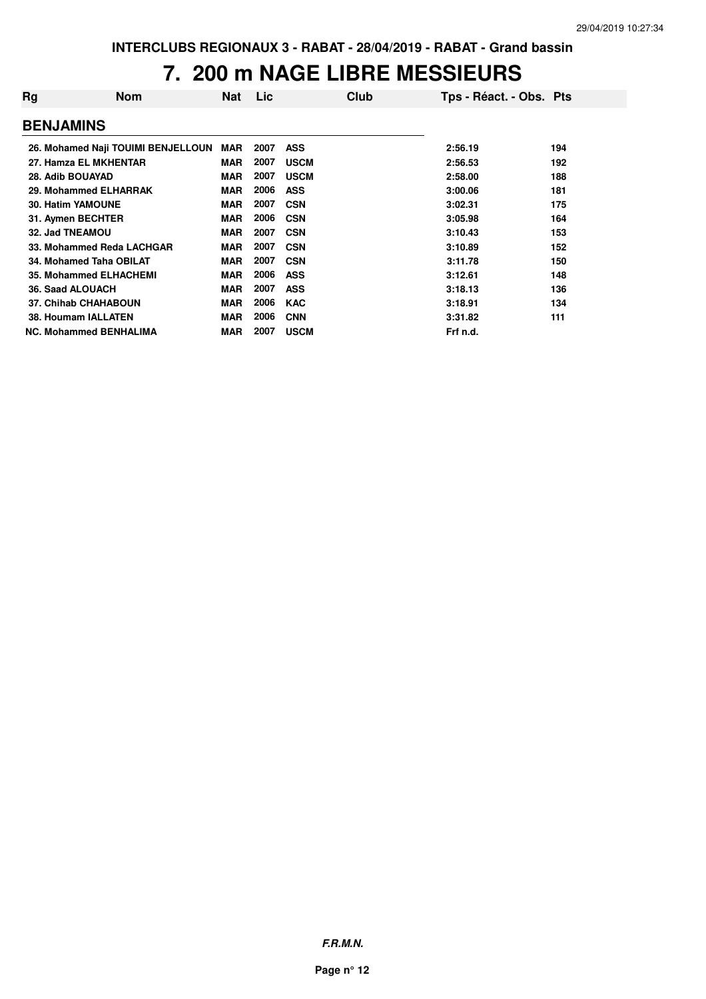#### **7. 200 m NAGE LIBRE MESSIEURS**

| Rg               | <b>Nom</b>                         | Nat        | Lic  | Club        | Tps - Réact. - Obs. Pts |     |
|------------------|------------------------------------|------------|------|-------------|-------------------------|-----|
| <b>BENJAMINS</b> |                                    |            |      |             |                         |     |
|                  | 26. Mohamed Naji TOUIMI BENJELLOUN | MAR        | 2007 | <b>ASS</b>  | 2:56.19                 | 194 |
|                  | 27. Hamza EL MKHENTAR              | <b>MAR</b> | 2007 | <b>USCM</b> | 2:56.53                 | 192 |
| 28. Adib BOUAYAD |                                    | <b>MAR</b> | 2007 | <b>USCM</b> | 2:58.00                 | 188 |
|                  | 29. Mohammed ELHARRAK              | <b>MAR</b> | 2006 | <b>ASS</b>  | 3:00.06                 | 181 |
|                  | <b>30. Hatim YAMOUNE</b>           | <b>MAR</b> | 2007 | <b>CSN</b>  | 3:02.31                 | 175 |
|                  | 31. Aymen BECHTER                  | <b>MAR</b> | 2006 | <b>CSN</b>  | 3:05.98                 | 164 |
| 32. Jad TNEAMOU  |                                    | <b>MAR</b> | 2007 | <b>CSN</b>  | 3:10.43                 | 153 |
|                  | 33. Mohammed Reda LACHGAR          | <b>MAR</b> | 2007 | <b>CSN</b>  | 3:10.89                 | 152 |
|                  | 34. Mohamed Taha OBILAT            | <b>MAR</b> | 2007 | <b>CSN</b>  | 3:11.78                 | 150 |
|                  | <b>35. Mohammed ELHACHEMI</b>      | <b>MAR</b> | 2006 | <b>ASS</b>  | 3:12.61                 | 148 |
|                  | 36. Saad ALOUACH                   | <b>MAR</b> | 2007 | <b>ASS</b>  | 3:18.13                 | 136 |
|                  | <b>37. Chihab CHAHABOUN</b>        | <b>MAR</b> | 2006 | <b>KAC</b>  | 3:18.91                 | 134 |
|                  | <b>38. Houmam IALLATEN</b>         | <b>MAR</b> | 2006 | <b>CNN</b>  | 3:31.82                 | 111 |
|                  | <b>NC. Mohammed BENHALIMA</b>      | <b>MAR</b> | 2007 | <b>USCM</b> | Frf n.d.                |     |

**F.R.M.N.**

**Page n° 12**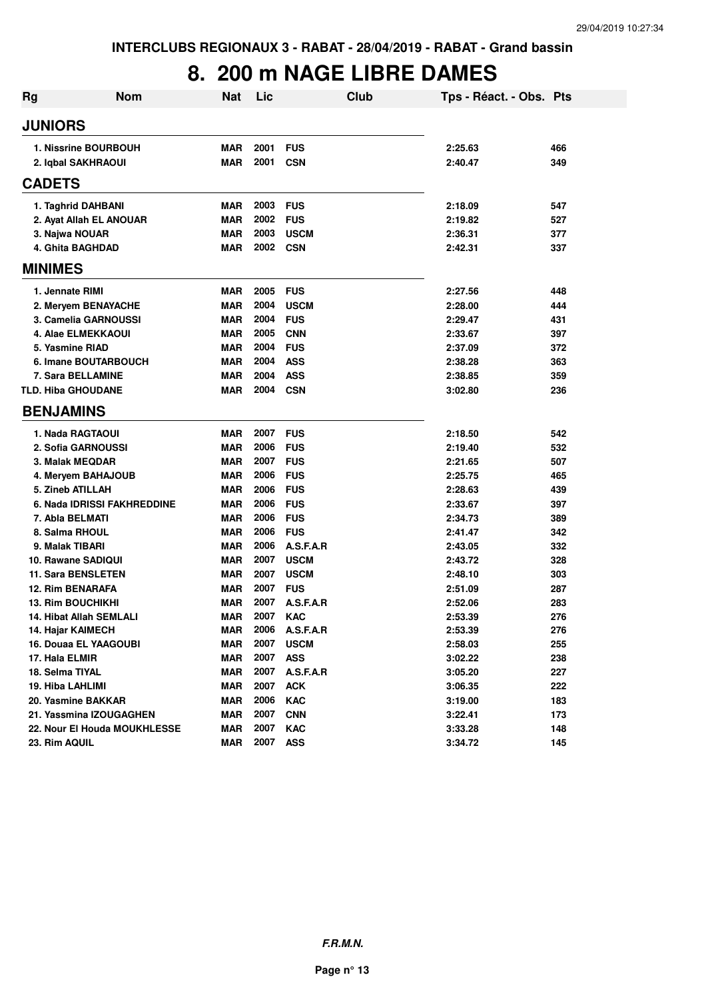### **8. 200 m NAGE LIBRE DAMES**

| <b>JUNIORS</b><br>2001<br><b>1. Nissrine BOURBOUH</b><br><b>MAR</b><br><b>FUS</b><br>2:25.63<br>466<br>2001<br>2. Iqbal SAKHRAOUI<br><b>MAR</b><br><b>CSN</b><br>2:40.47<br>349<br><b>CADETS</b><br>2003<br><b>FUS</b><br>1. Taghrid DAHBANI<br><b>MAR</b><br>2:18.09<br>547<br><b>MAR</b><br>2002<br>2. Ayat Allah EL ANOUAR<br><b>FUS</b><br>2:19.82<br>527<br>2003<br><b>MAR</b><br><b>USCM</b><br>2:36.31<br>377<br>3. Najwa NOUAR<br>2002<br><b>MAR</b><br><b>CSN</b><br>4. Ghita BAGHDAD<br>2:42.31<br>337<br><b>MINIMES</b><br>2005<br>1. Jennate RIMI<br><b>MAR</b><br><b>FUS</b><br>2:27.56<br>448<br><b>MAR</b><br>2004<br><b>USCM</b><br>2:28.00<br>444<br>2. Meryem BENAYACHE<br>2004<br>3. Camelia GARNOUSSI<br><b>MAR</b><br><b>FUS</b><br>2:29.47<br>431<br><b>MAR</b><br>2005<br><b>CNN</b><br>397<br>4. Alae ELMEKKAOUI<br>2:33.67<br><b>MAR</b><br>2004<br><b>FUS</b><br>5. Yasmine RIAD<br>2:37.09<br>372<br>2004<br><b>MAR</b><br><b>ASS</b><br>6. Imane BOUTARBOUCH<br>2:38.28<br>363<br>2004<br><b>ASS</b><br><b>7. Sara BELLAMINE</b><br><b>MAR</b><br>2:38.85<br>359<br>2004<br><b>TLD. Hiba GHOUDANE</b><br><b>MAR</b><br><b>CSN</b><br>3:02.80<br>236<br><b>BENJAMINS</b><br>2007<br><b>FUS</b><br>1. Nada RAGTAOUI<br><b>MAR</b><br>2:18.50<br>542<br><b>MAR</b><br>2006<br>2. Sofia GARNOUSSI<br><b>FUS</b><br>2:19.40<br>532<br><b>MAR</b><br>2007<br><b>FUS</b><br>3. Malak MEQDAR<br>2:21.65<br>507<br>2006<br><b>MAR</b><br><b>FUS</b><br>4. Meryem BAHAJOUB<br>2:25.75<br>465<br>5. Zineb ATILLAH<br>2006<br><b>MAR</b><br><b>FUS</b><br>2:28.63<br>439<br><b>MAR</b><br>2006<br><b>FUS</b><br>6. Nada IDRISSI FAKHREDDINE<br>2:33.67<br>397<br><b>MAR</b><br>2006<br><b>FUS</b><br>7. Abla BELMATI<br>2:34.73<br>389<br>2006<br><b>MAR</b><br><b>FUS</b><br>8. Salma RHOUL<br>2:41.47<br>342<br>2006<br>9. Malak TIBARI<br><b>MAR</b><br>A.S.F.A.R<br>332<br>2:43.05<br><b>MAR</b><br>2007<br>10. Rawane SADIQUI<br><b>USCM</b><br>2:43.72<br>328<br>2007<br><b>11. Sara BENSLETEN</b><br><b>MAR</b><br><b>USCM</b><br>2:48.10<br>303<br>2007<br>12. Rim BENARAFA<br><b>MAR</b><br><b>FUS</b><br>287<br>2:51.09<br>2007<br>A.S.F.A.R<br><b>13. Rim BOUCHIKHI</b><br><b>MAR</b><br>2:52.06<br>283<br>2007<br><b>MAR</b><br><b>KAC</b><br>276<br>2:53.39<br>14. Hibat Allah SEMLALI<br>2006<br>14. Hajar KAIMECH<br><b>MAR</b><br>A.S.F.A.R<br>276<br>2:53.39<br>2007<br><b>MAR</b><br>16. Douaa EL YAAGOUBI<br><b>USCM</b><br>2:58.03<br>255<br>2007<br><b>MAR</b><br><b>ASS</b><br>238<br>17. Hala ELMIR<br>3:02.22<br>2007<br><b>MAR</b><br>A.S.F.A.R<br>227<br>18. Selma TIYAL<br>3:05.20<br><b>MAR</b><br>2007<br><b>ACK</b><br>222<br>19. Hiba LAHLIMI<br>3:06.35<br>2006<br><b>MAR</b><br><b>KAC</b><br>183<br>20. Yasmine BAKKAR<br>3:19.00<br>2007<br>21. Yassmina IZOUGAGHEN<br><b>MAR</b><br><b>CNN</b><br>3:22.41<br>173<br><b>MAR</b><br>2007<br>KAC<br>22. Nour El Houda MOUKHLESSE<br>3:33.28<br>148<br><b>MAR</b><br>2007<br><b>ASS</b><br>3:34.72<br>23. Rim AQUIL<br>145 | <b>Rg</b> | <b>Nom</b> | <b>Nat</b> | Lic | Club | Tps - Réact. - Obs. Pts |  |
|----------------------------------------------------------------------------------------------------------------------------------------------------------------------------------------------------------------------------------------------------------------------------------------------------------------------------------------------------------------------------------------------------------------------------------------------------------------------------------------------------------------------------------------------------------------------------------------------------------------------------------------------------------------------------------------------------------------------------------------------------------------------------------------------------------------------------------------------------------------------------------------------------------------------------------------------------------------------------------------------------------------------------------------------------------------------------------------------------------------------------------------------------------------------------------------------------------------------------------------------------------------------------------------------------------------------------------------------------------------------------------------------------------------------------------------------------------------------------------------------------------------------------------------------------------------------------------------------------------------------------------------------------------------------------------------------------------------------------------------------------------------------------------------------------------------------------------------------------------------------------------------------------------------------------------------------------------------------------------------------------------------------------------------------------------------------------------------------------------------------------------------------------------------------------------------------------------------------------------------------------------------------------------------------------------------------------------------------------------------------------------------------------------------------------------------------------------------------------------------------------------------------------------------------------------------------------------------------------------------------------------------------------------------------------------------------------------------------------------------------------------------------------------------------------------------------------------------------------------------------------------------------------------------------------------------------------------------------------------------------------------------------------|-----------|------------|------------|-----|------|-------------------------|--|
|                                                                                                                                                                                                                                                                                                                                                                                                                                                                                                                                                                                                                                                                                                                                                                                                                                                                                                                                                                                                                                                                                                                                                                                                                                                                                                                                                                                                                                                                                                                                                                                                                                                                                                                                                                                                                                                                                                                                                                                                                                                                                                                                                                                                                                                                                                                                                                                                                                                                                                                                                                                                                                                                                                                                                                                                                                                                                                                                                                                                                            |           |            |            |     |      |                         |  |
|                                                                                                                                                                                                                                                                                                                                                                                                                                                                                                                                                                                                                                                                                                                                                                                                                                                                                                                                                                                                                                                                                                                                                                                                                                                                                                                                                                                                                                                                                                                                                                                                                                                                                                                                                                                                                                                                                                                                                                                                                                                                                                                                                                                                                                                                                                                                                                                                                                                                                                                                                                                                                                                                                                                                                                                                                                                                                                                                                                                                                            |           |            |            |     |      |                         |  |
|                                                                                                                                                                                                                                                                                                                                                                                                                                                                                                                                                                                                                                                                                                                                                                                                                                                                                                                                                                                                                                                                                                                                                                                                                                                                                                                                                                                                                                                                                                                                                                                                                                                                                                                                                                                                                                                                                                                                                                                                                                                                                                                                                                                                                                                                                                                                                                                                                                                                                                                                                                                                                                                                                                                                                                                                                                                                                                                                                                                                                            |           |            |            |     |      |                         |  |
|                                                                                                                                                                                                                                                                                                                                                                                                                                                                                                                                                                                                                                                                                                                                                                                                                                                                                                                                                                                                                                                                                                                                                                                                                                                                                                                                                                                                                                                                                                                                                                                                                                                                                                                                                                                                                                                                                                                                                                                                                                                                                                                                                                                                                                                                                                                                                                                                                                                                                                                                                                                                                                                                                                                                                                                                                                                                                                                                                                                                                            |           |            |            |     |      |                         |  |
|                                                                                                                                                                                                                                                                                                                                                                                                                                                                                                                                                                                                                                                                                                                                                                                                                                                                                                                                                                                                                                                                                                                                                                                                                                                                                                                                                                                                                                                                                                                                                                                                                                                                                                                                                                                                                                                                                                                                                                                                                                                                                                                                                                                                                                                                                                                                                                                                                                                                                                                                                                                                                                                                                                                                                                                                                                                                                                                                                                                                                            |           |            |            |     |      |                         |  |
|                                                                                                                                                                                                                                                                                                                                                                                                                                                                                                                                                                                                                                                                                                                                                                                                                                                                                                                                                                                                                                                                                                                                                                                                                                                                                                                                                                                                                                                                                                                                                                                                                                                                                                                                                                                                                                                                                                                                                                                                                                                                                                                                                                                                                                                                                                                                                                                                                                                                                                                                                                                                                                                                                                                                                                                                                                                                                                                                                                                                                            |           |            |            |     |      |                         |  |
|                                                                                                                                                                                                                                                                                                                                                                                                                                                                                                                                                                                                                                                                                                                                                                                                                                                                                                                                                                                                                                                                                                                                                                                                                                                                                                                                                                                                                                                                                                                                                                                                                                                                                                                                                                                                                                                                                                                                                                                                                                                                                                                                                                                                                                                                                                                                                                                                                                                                                                                                                                                                                                                                                                                                                                                                                                                                                                                                                                                                                            |           |            |            |     |      |                         |  |
|                                                                                                                                                                                                                                                                                                                                                                                                                                                                                                                                                                                                                                                                                                                                                                                                                                                                                                                                                                                                                                                                                                                                                                                                                                                                                                                                                                                                                                                                                                                                                                                                                                                                                                                                                                                                                                                                                                                                                                                                                                                                                                                                                                                                                                                                                                                                                                                                                                                                                                                                                                                                                                                                                                                                                                                                                                                                                                                                                                                                                            |           |            |            |     |      |                         |  |
|                                                                                                                                                                                                                                                                                                                                                                                                                                                                                                                                                                                                                                                                                                                                                                                                                                                                                                                                                                                                                                                                                                                                                                                                                                                                                                                                                                                                                                                                                                                                                                                                                                                                                                                                                                                                                                                                                                                                                                                                                                                                                                                                                                                                                                                                                                                                                                                                                                                                                                                                                                                                                                                                                                                                                                                                                                                                                                                                                                                                                            |           |            |            |     |      |                         |  |
|                                                                                                                                                                                                                                                                                                                                                                                                                                                                                                                                                                                                                                                                                                                                                                                                                                                                                                                                                                                                                                                                                                                                                                                                                                                                                                                                                                                                                                                                                                                                                                                                                                                                                                                                                                                                                                                                                                                                                                                                                                                                                                                                                                                                                                                                                                                                                                                                                                                                                                                                                                                                                                                                                                                                                                                                                                                                                                                                                                                                                            |           |            |            |     |      |                         |  |
|                                                                                                                                                                                                                                                                                                                                                                                                                                                                                                                                                                                                                                                                                                                                                                                                                                                                                                                                                                                                                                                                                                                                                                                                                                                                                                                                                                                                                                                                                                                                                                                                                                                                                                                                                                                                                                                                                                                                                                                                                                                                                                                                                                                                                                                                                                                                                                                                                                                                                                                                                                                                                                                                                                                                                                                                                                                                                                                                                                                                                            |           |            |            |     |      |                         |  |
|                                                                                                                                                                                                                                                                                                                                                                                                                                                                                                                                                                                                                                                                                                                                                                                                                                                                                                                                                                                                                                                                                                                                                                                                                                                                                                                                                                                                                                                                                                                                                                                                                                                                                                                                                                                                                                                                                                                                                                                                                                                                                                                                                                                                                                                                                                                                                                                                                                                                                                                                                                                                                                                                                                                                                                                                                                                                                                                                                                                                                            |           |            |            |     |      |                         |  |
|                                                                                                                                                                                                                                                                                                                                                                                                                                                                                                                                                                                                                                                                                                                                                                                                                                                                                                                                                                                                                                                                                                                                                                                                                                                                                                                                                                                                                                                                                                                                                                                                                                                                                                                                                                                                                                                                                                                                                                                                                                                                                                                                                                                                                                                                                                                                                                                                                                                                                                                                                                                                                                                                                                                                                                                                                                                                                                                                                                                                                            |           |            |            |     |      |                         |  |
|                                                                                                                                                                                                                                                                                                                                                                                                                                                                                                                                                                                                                                                                                                                                                                                                                                                                                                                                                                                                                                                                                                                                                                                                                                                                                                                                                                                                                                                                                                                                                                                                                                                                                                                                                                                                                                                                                                                                                                                                                                                                                                                                                                                                                                                                                                                                                                                                                                                                                                                                                                                                                                                                                                                                                                                                                                                                                                                                                                                                                            |           |            |            |     |      |                         |  |
|                                                                                                                                                                                                                                                                                                                                                                                                                                                                                                                                                                                                                                                                                                                                                                                                                                                                                                                                                                                                                                                                                                                                                                                                                                                                                                                                                                                                                                                                                                                                                                                                                                                                                                                                                                                                                                                                                                                                                                                                                                                                                                                                                                                                                                                                                                                                                                                                                                                                                                                                                                                                                                                                                                                                                                                                                                                                                                                                                                                                                            |           |            |            |     |      |                         |  |
|                                                                                                                                                                                                                                                                                                                                                                                                                                                                                                                                                                                                                                                                                                                                                                                                                                                                                                                                                                                                                                                                                                                                                                                                                                                                                                                                                                                                                                                                                                                                                                                                                                                                                                                                                                                                                                                                                                                                                                                                                                                                                                                                                                                                                                                                                                                                                                                                                                                                                                                                                                                                                                                                                                                                                                                                                                                                                                                                                                                                                            |           |            |            |     |      |                         |  |
|                                                                                                                                                                                                                                                                                                                                                                                                                                                                                                                                                                                                                                                                                                                                                                                                                                                                                                                                                                                                                                                                                                                                                                                                                                                                                                                                                                                                                                                                                                                                                                                                                                                                                                                                                                                                                                                                                                                                                                                                                                                                                                                                                                                                                                                                                                                                                                                                                                                                                                                                                                                                                                                                                                                                                                                                                                                                                                                                                                                                                            |           |            |            |     |      |                         |  |
|                                                                                                                                                                                                                                                                                                                                                                                                                                                                                                                                                                                                                                                                                                                                                                                                                                                                                                                                                                                                                                                                                                                                                                                                                                                                                                                                                                                                                                                                                                                                                                                                                                                                                                                                                                                                                                                                                                                                                                                                                                                                                                                                                                                                                                                                                                                                                                                                                                                                                                                                                                                                                                                                                                                                                                                                                                                                                                                                                                                                                            |           |            |            |     |      |                         |  |
|                                                                                                                                                                                                                                                                                                                                                                                                                                                                                                                                                                                                                                                                                                                                                                                                                                                                                                                                                                                                                                                                                                                                                                                                                                                                                                                                                                                                                                                                                                                                                                                                                                                                                                                                                                                                                                                                                                                                                                                                                                                                                                                                                                                                                                                                                                                                                                                                                                                                                                                                                                                                                                                                                                                                                                                                                                                                                                                                                                                                                            |           |            |            |     |      |                         |  |
|                                                                                                                                                                                                                                                                                                                                                                                                                                                                                                                                                                                                                                                                                                                                                                                                                                                                                                                                                                                                                                                                                                                                                                                                                                                                                                                                                                                                                                                                                                                                                                                                                                                                                                                                                                                                                                                                                                                                                                                                                                                                                                                                                                                                                                                                                                                                                                                                                                                                                                                                                                                                                                                                                                                                                                                                                                                                                                                                                                                                                            |           |            |            |     |      |                         |  |
|                                                                                                                                                                                                                                                                                                                                                                                                                                                                                                                                                                                                                                                                                                                                                                                                                                                                                                                                                                                                                                                                                                                                                                                                                                                                                                                                                                                                                                                                                                                                                                                                                                                                                                                                                                                                                                                                                                                                                                                                                                                                                                                                                                                                                                                                                                                                                                                                                                                                                                                                                                                                                                                                                                                                                                                                                                                                                                                                                                                                                            |           |            |            |     |      |                         |  |
|                                                                                                                                                                                                                                                                                                                                                                                                                                                                                                                                                                                                                                                                                                                                                                                                                                                                                                                                                                                                                                                                                                                                                                                                                                                                                                                                                                                                                                                                                                                                                                                                                                                                                                                                                                                                                                                                                                                                                                                                                                                                                                                                                                                                                                                                                                                                                                                                                                                                                                                                                                                                                                                                                                                                                                                                                                                                                                                                                                                                                            |           |            |            |     |      |                         |  |
|                                                                                                                                                                                                                                                                                                                                                                                                                                                                                                                                                                                                                                                                                                                                                                                                                                                                                                                                                                                                                                                                                                                                                                                                                                                                                                                                                                                                                                                                                                                                                                                                                                                                                                                                                                                                                                                                                                                                                                                                                                                                                                                                                                                                                                                                                                                                                                                                                                                                                                                                                                                                                                                                                                                                                                                                                                                                                                                                                                                                                            |           |            |            |     |      |                         |  |
|                                                                                                                                                                                                                                                                                                                                                                                                                                                                                                                                                                                                                                                                                                                                                                                                                                                                                                                                                                                                                                                                                                                                                                                                                                                                                                                                                                                                                                                                                                                                                                                                                                                                                                                                                                                                                                                                                                                                                                                                                                                                                                                                                                                                                                                                                                                                                                                                                                                                                                                                                                                                                                                                                                                                                                                                                                                                                                                                                                                                                            |           |            |            |     |      |                         |  |
|                                                                                                                                                                                                                                                                                                                                                                                                                                                                                                                                                                                                                                                                                                                                                                                                                                                                                                                                                                                                                                                                                                                                                                                                                                                                                                                                                                                                                                                                                                                                                                                                                                                                                                                                                                                                                                                                                                                                                                                                                                                                                                                                                                                                                                                                                                                                                                                                                                                                                                                                                                                                                                                                                                                                                                                                                                                                                                                                                                                                                            |           |            |            |     |      |                         |  |
|                                                                                                                                                                                                                                                                                                                                                                                                                                                                                                                                                                                                                                                                                                                                                                                                                                                                                                                                                                                                                                                                                                                                                                                                                                                                                                                                                                                                                                                                                                                                                                                                                                                                                                                                                                                                                                                                                                                                                                                                                                                                                                                                                                                                                                                                                                                                                                                                                                                                                                                                                                                                                                                                                                                                                                                                                                                                                                                                                                                                                            |           |            |            |     |      |                         |  |
|                                                                                                                                                                                                                                                                                                                                                                                                                                                                                                                                                                                                                                                                                                                                                                                                                                                                                                                                                                                                                                                                                                                                                                                                                                                                                                                                                                                                                                                                                                                                                                                                                                                                                                                                                                                                                                                                                                                                                                                                                                                                                                                                                                                                                                                                                                                                                                                                                                                                                                                                                                                                                                                                                                                                                                                                                                                                                                                                                                                                                            |           |            |            |     |      |                         |  |
|                                                                                                                                                                                                                                                                                                                                                                                                                                                                                                                                                                                                                                                                                                                                                                                                                                                                                                                                                                                                                                                                                                                                                                                                                                                                                                                                                                                                                                                                                                                                                                                                                                                                                                                                                                                                                                                                                                                                                                                                                                                                                                                                                                                                                                                                                                                                                                                                                                                                                                                                                                                                                                                                                                                                                                                                                                                                                                                                                                                                                            |           |            |            |     |      |                         |  |
|                                                                                                                                                                                                                                                                                                                                                                                                                                                                                                                                                                                                                                                                                                                                                                                                                                                                                                                                                                                                                                                                                                                                                                                                                                                                                                                                                                                                                                                                                                                                                                                                                                                                                                                                                                                                                                                                                                                                                                                                                                                                                                                                                                                                                                                                                                                                                                                                                                                                                                                                                                                                                                                                                                                                                                                                                                                                                                                                                                                                                            |           |            |            |     |      |                         |  |
|                                                                                                                                                                                                                                                                                                                                                                                                                                                                                                                                                                                                                                                                                                                                                                                                                                                                                                                                                                                                                                                                                                                                                                                                                                                                                                                                                                                                                                                                                                                                                                                                                                                                                                                                                                                                                                                                                                                                                                                                                                                                                                                                                                                                                                                                                                                                                                                                                                                                                                                                                                                                                                                                                                                                                                                                                                                                                                                                                                                                                            |           |            |            |     |      |                         |  |
|                                                                                                                                                                                                                                                                                                                                                                                                                                                                                                                                                                                                                                                                                                                                                                                                                                                                                                                                                                                                                                                                                                                                                                                                                                                                                                                                                                                                                                                                                                                                                                                                                                                                                                                                                                                                                                                                                                                                                                                                                                                                                                                                                                                                                                                                                                                                                                                                                                                                                                                                                                                                                                                                                                                                                                                                                                                                                                                                                                                                                            |           |            |            |     |      |                         |  |
|                                                                                                                                                                                                                                                                                                                                                                                                                                                                                                                                                                                                                                                                                                                                                                                                                                                                                                                                                                                                                                                                                                                                                                                                                                                                                                                                                                                                                                                                                                                                                                                                                                                                                                                                                                                                                                                                                                                                                                                                                                                                                                                                                                                                                                                                                                                                                                                                                                                                                                                                                                                                                                                                                                                                                                                                                                                                                                                                                                                                                            |           |            |            |     |      |                         |  |
|                                                                                                                                                                                                                                                                                                                                                                                                                                                                                                                                                                                                                                                                                                                                                                                                                                                                                                                                                                                                                                                                                                                                                                                                                                                                                                                                                                                                                                                                                                                                                                                                                                                                                                                                                                                                                                                                                                                                                                                                                                                                                                                                                                                                                                                                                                                                                                                                                                                                                                                                                                                                                                                                                                                                                                                                                                                                                                                                                                                                                            |           |            |            |     |      |                         |  |
|                                                                                                                                                                                                                                                                                                                                                                                                                                                                                                                                                                                                                                                                                                                                                                                                                                                                                                                                                                                                                                                                                                                                                                                                                                                                                                                                                                                                                                                                                                                                                                                                                                                                                                                                                                                                                                                                                                                                                                                                                                                                                                                                                                                                                                                                                                                                                                                                                                                                                                                                                                                                                                                                                                                                                                                                                                                                                                                                                                                                                            |           |            |            |     |      |                         |  |
|                                                                                                                                                                                                                                                                                                                                                                                                                                                                                                                                                                                                                                                                                                                                                                                                                                                                                                                                                                                                                                                                                                                                                                                                                                                                                                                                                                                                                                                                                                                                                                                                                                                                                                                                                                                                                                                                                                                                                                                                                                                                                                                                                                                                                                                                                                                                                                                                                                                                                                                                                                                                                                                                                                                                                                                                                                                                                                                                                                                                                            |           |            |            |     |      |                         |  |
|                                                                                                                                                                                                                                                                                                                                                                                                                                                                                                                                                                                                                                                                                                                                                                                                                                                                                                                                                                                                                                                                                                                                                                                                                                                                                                                                                                                                                                                                                                                                                                                                                                                                                                                                                                                                                                                                                                                                                                                                                                                                                                                                                                                                                                                                                                                                                                                                                                                                                                                                                                                                                                                                                                                                                                                                                                                                                                                                                                                                                            |           |            |            |     |      |                         |  |
|                                                                                                                                                                                                                                                                                                                                                                                                                                                                                                                                                                                                                                                                                                                                                                                                                                                                                                                                                                                                                                                                                                                                                                                                                                                                                                                                                                                                                                                                                                                                                                                                                                                                                                                                                                                                                                                                                                                                                                                                                                                                                                                                                                                                                                                                                                                                                                                                                                                                                                                                                                                                                                                                                                                                                                                                                                                                                                                                                                                                                            |           |            |            |     |      |                         |  |
|                                                                                                                                                                                                                                                                                                                                                                                                                                                                                                                                                                                                                                                                                                                                                                                                                                                                                                                                                                                                                                                                                                                                                                                                                                                                                                                                                                                                                                                                                                                                                                                                                                                                                                                                                                                                                                                                                                                                                                                                                                                                                                                                                                                                                                                                                                                                                                                                                                                                                                                                                                                                                                                                                                                                                                                                                                                                                                                                                                                                                            |           |            |            |     |      |                         |  |
|                                                                                                                                                                                                                                                                                                                                                                                                                                                                                                                                                                                                                                                                                                                                                                                                                                                                                                                                                                                                                                                                                                                                                                                                                                                                                                                                                                                                                                                                                                                                                                                                                                                                                                                                                                                                                                                                                                                                                                                                                                                                                                                                                                                                                                                                                                                                                                                                                                                                                                                                                                                                                                                                                                                                                                                                                                                                                                                                                                                                                            |           |            |            |     |      |                         |  |
|                                                                                                                                                                                                                                                                                                                                                                                                                                                                                                                                                                                                                                                                                                                                                                                                                                                                                                                                                                                                                                                                                                                                                                                                                                                                                                                                                                                                                                                                                                                                                                                                                                                                                                                                                                                                                                                                                                                                                                                                                                                                                                                                                                                                                                                                                                                                                                                                                                                                                                                                                                                                                                                                                                                                                                                                                                                                                                                                                                                                                            |           |            |            |     |      |                         |  |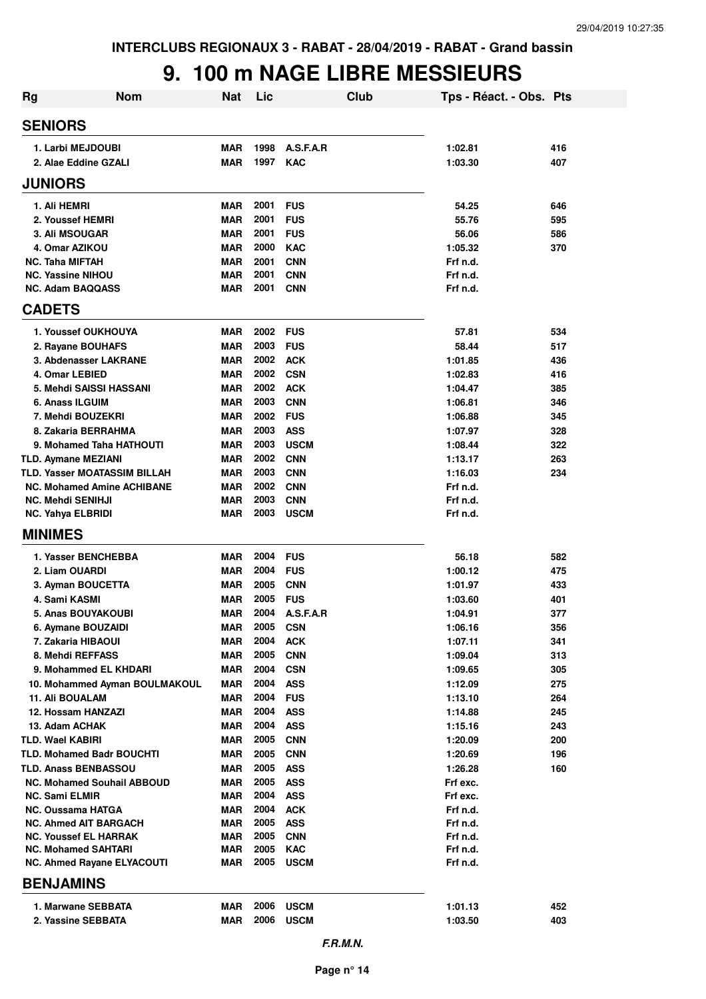### **9. 100 m NAGE LIBRE MESSIEURS**

| <b>Nom</b><br><b>Rg</b>                                    | <b>Nat</b>               | Lic          | <b>Club</b>              | Tps - Réact. - Obs. Pts |            |
|------------------------------------------------------------|--------------------------|--------------|--------------------------|-------------------------|------------|
| <b>SENIORS</b>                                             |                          |              |                          |                         |            |
| 1. Larbi MEJDOUBI                                          | <b>MAR</b>               | 1998         | A.S.F.A.R                | 1:02.81                 | 416        |
| 2. Alae Eddine GZALI                                       | <b>MAR</b>               | 1997         | <b>KAC</b>               | 1:03.30                 | 407        |
| <b>JUNIORS</b>                                             |                          |              |                          |                         |            |
| 1. Ali HEMRI                                               | <b>MAR</b>               | 2001         | <b>FUS</b>               | 54.25                   | 646        |
| 2. Youssef HEMRI                                           | <b>MAR</b>               | 2001         | <b>FUS</b>               | 55.76                   | 595        |
| 3. Ali MSOUGAR                                             | <b>MAR</b>               | 2001         | <b>FUS</b>               | 56.06                   | 586        |
| 4. Omar AZIKOU                                             | <b>MAR</b>               | 2000         | <b>KAC</b>               | 1:05.32                 | 370        |
| <b>NC. Taha MIFTAH</b>                                     | <b>MAR</b>               | 2001         | <b>CNN</b>               | Frf n.d.                |            |
| <b>NC. Yassine NIHOU</b>                                   | <b>MAR</b>               | 2001         | <b>CNN</b>               | Frf n.d.                |            |
| <b>NC. Adam BAQQASS</b>                                    | <b>MAR</b>               | 2001         | <b>CNN</b>               | Frf n.d.                |            |
| <b>CADETS</b>                                              |                          |              |                          |                         |            |
| 1. Youssef OUKHOUYA                                        | <b>MAR</b>               | 2002         | <b>FUS</b>               | 57.81                   | 534        |
| 2. Rayane BOUHAFS                                          | <b>MAR</b>               | 2003         | <b>FUS</b>               | 58.44                   | 517        |
| 3. Abdenasser LAKRANE                                      | <b>MAR</b>               | 2002         | <b>ACK</b>               | 1:01.85                 | 436        |
| 4. Omar LEBIED                                             | <b>MAR</b>               | 2002         | <b>CSN</b>               | 1:02.83                 | 416        |
| 5. Mehdi SAISSI HASSANI                                    | <b>MAR</b>               | 2002         | <b>ACK</b>               | 1:04.47                 | 385        |
| 6. Anass ILGUIM                                            | <b>MAR</b>               | 2003         | <b>CNN</b>               | 1:06.81                 | 346        |
| 7. Mehdi BOUZEKRI                                          | <b>MAR</b>               | 2002         | <b>FUS</b>               | 1:06.88                 | 345        |
| 8. Zakaria BERRAHMA                                        | <b>MAR</b>               | 2003         | <b>ASS</b>               | 1:07.97                 | 328        |
| 9. Mohamed Taha HATHOUTI                                   | <b>MAR</b>               | 2003<br>2002 | <b>USCM</b>              | 1:08.44                 | 322        |
| <b>TLD. Aymane MEZIANI</b><br>TLD. Yasser MOATASSIM BILLAH | <b>MAR</b><br><b>MAR</b> | 2003         | <b>CNN</b><br><b>CNN</b> | 1:13.17<br>1:16.03      | 263<br>234 |
| <b>NC. Mohamed Amine ACHIBANE</b>                          | <b>MAR</b>               | 2002         | <b>CNN</b>               | Frf n.d.                |            |
| <b>NC. Mehdi SENIHJI</b>                                   | <b>MAR</b>               | 2003         | <b>CNN</b>               | Frf n.d.                |            |
| <b>NC. Yahya ELBRIDI</b>                                   | <b>MAR</b>               | 2003         | <b>USCM</b>              | Frf n.d.                |            |
| <b>MINIMES</b>                                             |                          |              |                          |                         |            |
| 1. Yasser BENCHEBBA                                        | <b>MAR</b>               | 2004         | <b>FUS</b>               | 56.18                   | 582        |
| 2. Liam OUARDI                                             | <b>MAR</b>               | 2004         | <b>FUS</b>               | 1:00.12                 | 475        |
| 3. Ayman BOUCETTA                                          | <b>MAR</b>               | 2005         | <b>CNN</b>               | 1:01.97                 | 433        |
| 4. Sami KASMI                                              | <b>MAR</b>               | 2005         | <b>FUS</b>               | 1:03.60                 | 401        |
| 5. Anas BOUYAKOUBI                                         | <b>MAR</b>               | 2004         | A.S.F.A.R                | 1:04.91                 | 377        |
| 6. Aymane BOUZAIDI                                         | <b>MAR</b>               | 2005         | <b>CSN</b>               | 1:06.16                 | 356        |
| 7. Zakaria HIBAOUI                                         | MAR                      | 2004         | <b>ACK</b>               | 1:07.11                 | 341        |
| 8. Mehdi REFFASS                                           | MAR                      | 2005         | <b>CNN</b>               | 1:09.04                 | 313        |
| 9. Mohammed EL KHDARI                                      | MAR                      | 2004         | <b>CSN</b>               | 1:09.65                 | 305        |
| 10. Mohammed Ayman BOULMAKOUL                              | MAR                      | 2004         | <b>ASS</b>               | 1:12.09                 | 275        |
| 11. Ali BOUALAM                                            | MAR                      | 2004         | <b>FUS</b>               | 1:13.10                 | 264        |
| 12. Hossam HANZAZI                                         | MAR                      | 2004         | <b>ASS</b>               | 1:14.88                 | 245        |
| 13. Adam ACHAK                                             | MAR                      | 2004         | <b>ASS</b>               | 1:15.16                 | 243        |
| <b>TLD. Wael KABIRI</b>                                    | <b>MAR</b>               | 2005         | <b>CNN</b>               | 1:20.09                 | 200        |
| <b>TLD. Mohamed Badr BOUCHTI</b>                           | <b>MAR</b>               | 2005         | <b>CNN</b>               | 1:20.69                 | 196        |
| TLD. Anass BENBASSOU                                       | <b>MAR</b>               | 2005<br>2005 | <b>ASS</b>               | 1:26.28                 | 160        |
| <b>NC. Mohamed Souhail ABBOUD</b><br><b>NC. Sami ELMIR</b> | <b>MAR</b><br>MAR        | 2004         | <b>ASS</b><br><b>ASS</b> | Frf exc.<br>Frf exc.    |            |
| <b>NC. Oussama HATGA</b>                                   | MAR                      | 2004         | <b>ACK</b>               | Frf n.d.                |            |
| <b>NC. Ahmed AIT BARGACH</b>                               | <b>MAR</b>               | 2005         | <b>ASS</b>               | Frf n.d.                |            |
| <b>NC. Youssef EL HARRAK</b>                               | MAR                      | 2005         | <b>CNN</b>               | Frf n.d.                |            |
| <b>NC. Mohamed SAHTARI</b>                                 | MAR                      | 2005         | <b>KAC</b>               | Frf n.d.                |            |
| <b>NC. Ahmed Rayane ELYACOUTI</b>                          | MAR                      | 2005         | <b>USCM</b>              | Frf n.d.                |            |
| <b>BENJAMINS</b>                                           |                          |              |                          |                         |            |
| 1. Marwane SEBBATA                                         | MAR                      | 2006         | <b>USCM</b>              | 1:01.13                 | 452        |
| 2. Yassine SEBBATA                                         | MAR                      | 2006         | <b>USCM</b>              | 1:03.50                 | 403        |
|                                                            |                          |              | F.R.M.N.                 |                         |            |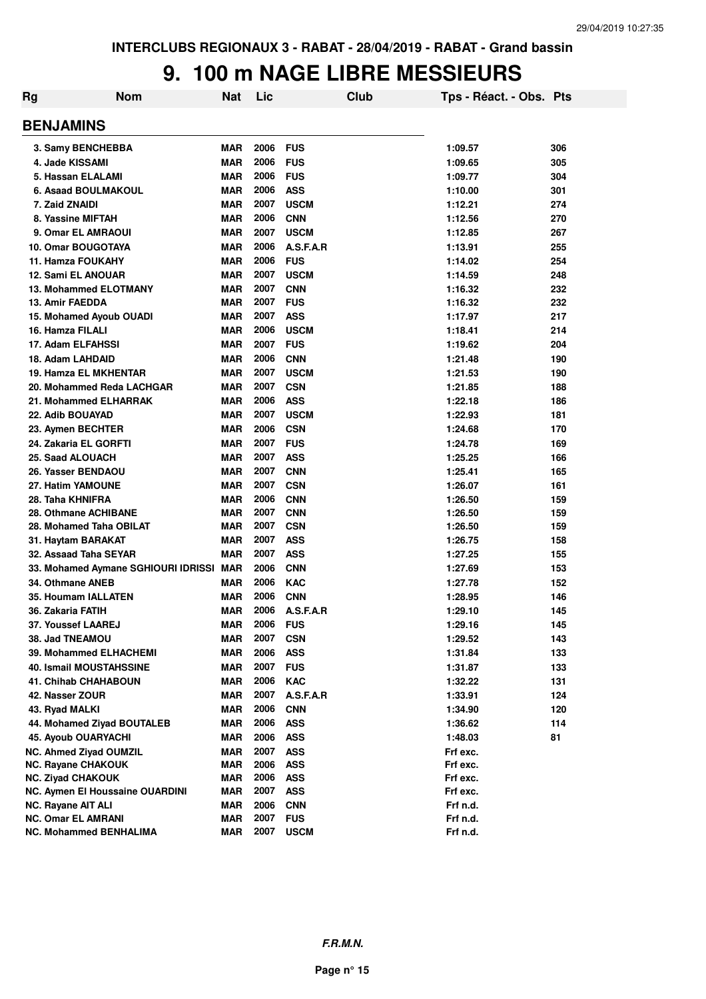### **9. 100 m NAGE LIBRE MESSIEURS**

| Rg | <b>Nom</b>                          | Nat        | Lic  |             | Club | Tps - Réact. - Obs. Pts |     |
|----|-------------------------------------|------------|------|-------------|------|-------------------------|-----|
|    | <b>BENJAMINS</b>                    |            |      |             |      |                         |     |
|    | 3. Samy BENCHEBBA                   | <b>MAR</b> | 2006 | <b>FUS</b>  |      | 1:09.57                 | 306 |
|    | 4. Jade KISSAMI                     | <b>MAR</b> | 2006 | <b>FUS</b>  |      | 1:09.65                 | 305 |
|    | 5. Hassan ELALAMI                   | <b>MAR</b> | 2006 | <b>FUS</b>  |      | 1:09.77                 | 304 |
|    | 6. Asaad BOULMAKOUL                 | <b>MAR</b> | 2006 | <b>ASS</b>  |      | 1:10.00                 | 301 |
|    | 7. Zaid ZNAIDI                      | <b>MAR</b> | 2007 | <b>USCM</b> |      | 1:12.21                 | 274 |
|    | 8. Yassine MIFTAH                   | <b>MAR</b> | 2006 | <b>CNN</b>  |      | 1:12.56                 | 270 |
|    | 9. Omar EL AMRAOUI                  | <b>MAR</b> | 2007 | <b>USCM</b> |      | 1:12.85                 | 267 |
|    | <b>10. Omar BOUGOTAYA</b>           | <b>MAR</b> | 2006 | A.S.F.A.R   |      | 1:13.91                 | 255 |
|    | <b>11. Hamza FOUKAHY</b>            | <b>MAR</b> | 2006 | <b>FUS</b>  |      | 1:14.02                 | 254 |
|    | <b>12. Sami EL ANOUAR</b>           | <b>MAR</b> | 2007 | <b>USCM</b> |      | 1:14.59                 | 248 |
|    | <b>13. Mohammed ELOTMANY</b>        | <b>MAR</b> | 2007 | <b>CNN</b>  |      | 1:16.32                 | 232 |
|    | 13. Amir FAEDDA                     | <b>MAR</b> | 2007 | <b>FUS</b>  |      | 1:16.32                 | 232 |
|    | 15. Mohamed Ayoub OUADI             | <b>MAR</b> | 2007 | <b>ASS</b>  |      | 1:17.97                 | 217 |
|    | 16. Hamza FILALI                    | <b>MAR</b> | 2006 | <b>USCM</b> |      | 1:18.41                 | 214 |
|    | 17. Adam ELFAHSSI                   | <b>MAR</b> | 2007 | <b>FUS</b>  |      | 1:19.62                 | 204 |
|    | 18. Adam LAHDAID                    | <b>MAR</b> | 2006 | <b>CNN</b>  |      | 1:21.48                 | 190 |
|    | 19. Hamza EL MKHENTAR               | <b>MAR</b> | 2007 | <b>USCM</b> |      | 1:21.53                 | 190 |
|    | 20. Mohammed Reda LACHGAR           | <b>MAR</b> | 2007 | <b>CSN</b>  |      | 1:21.85                 | 188 |
|    | 21. Mohammed ELHARRAK               | <b>MAR</b> | 2006 | <b>ASS</b>  |      | 1:22.18                 | 186 |
|    | 22. Adib BOUAYAD                    | <b>MAR</b> | 2007 | <b>USCM</b> |      | 1:22.93                 | 181 |
|    | 23. Aymen BECHTER                   | <b>MAR</b> | 2006 | <b>CSN</b>  |      | 1:24.68                 | 170 |
|    | 24. Zakaria EL GORFTI               | <b>MAR</b> | 2007 | <b>FUS</b>  |      | 1:24.78                 | 169 |
|    | 25. Saad ALOUACH                    | <b>MAR</b> | 2007 | <b>ASS</b>  |      | 1:25.25                 | 166 |
|    | 26. Yasser BENDAOU                  | <b>MAR</b> | 2007 | <b>CNN</b>  |      | 1:25.41                 | 165 |
|    | 27. Hatim YAMOUNE                   | <b>MAR</b> | 2007 | <b>CSN</b>  |      | 1:26.07                 | 161 |
|    | 28. Taha KHNIFRA                    | <b>MAR</b> | 2006 | <b>CNN</b>  |      | 1:26.50                 | 159 |
|    | 28. Othmane ACHIBANE                | <b>MAR</b> | 2007 | <b>CNN</b>  |      | 1:26.50                 | 159 |
|    | 28. Mohamed Taha OBILAT             | <b>MAR</b> | 2007 | <b>CSN</b>  |      | 1:26.50                 | 159 |
|    | 31. Haytam BARAKAT                  | <b>MAR</b> | 2007 | <b>ASS</b>  |      | 1:26.75                 | 158 |
|    | 32. Assaad Taha SEYAR               | <b>MAR</b> | 2007 | <b>ASS</b>  |      | 1:27.25                 | 155 |
|    | 33. Mohamed Aymane SGHIOURI IDRISSI | <b>MAR</b> | 2006 | <b>CNN</b>  |      | 1:27.69                 | 153 |
|    | 34. Othmane ANEB                    | <b>MAR</b> | 2006 | <b>KAC</b>  |      | 1:27.78                 | 152 |
|    | <b>35. Houmam IALLATEN</b>          | <b>MAR</b> | 2006 | <b>CNN</b>  |      | 1:28.95                 | 146 |
|    | 36. Zakaria FATIH                   | <b>MAR</b> | 2006 | A.S.F.A.R   |      | 1:29.10                 | 145 |
|    | 37. Youssef LAAREJ                  | <b>MAR</b> | 2006 | <b>FUS</b>  |      | 1:29.16                 | 145 |
|    | 38. Jad TNEAMOU                     | <b>MAR</b> | 2007 | <b>CSN</b>  |      | 1:29.52                 | 143 |
|    | 39. Mohammed ELHACHEMI              | <b>MAR</b> | 2006 | <b>ASS</b>  |      | 1:31.84                 | 133 |
|    | <b>40. Ismail MOUSTAHSSINE</b>      | <b>MAR</b> | 2007 | <b>FUS</b>  |      | 1:31.87                 | 133 |
|    | <b>41. Chihab CHAHABOUN</b>         | <b>MAR</b> | 2006 | <b>KAC</b>  |      | 1:32.22                 | 131 |
|    | 42. Nasser ZOUR                     | <b>MAR</b> | 2007 | A.S.F.A.R   |      | 1:33.91                 | 124 |
|    | 43. Ryad MALKI                      | <b>MAR</b> | 2006 | <b>CNN</b>  |      | 1:34.90                 | 120 |
|    | 44. Mohamed Zivad BOUTALEB          | <b>MAR</b> | 2006 | <b>ASS</b>  |      | 1:36.62                 | 114 |
|    | <b>45. Ayoub OUARYACHI</b>          | <b>MAR</b> | 2006 | <b>ASS</b>  |      | 1:48.03                 | 81  |
|    | NC. Ahmed Ziyad OUMZIL              | <b>MAR</b> | 2007 | <b>ASS</b>  |      | Frf exc.                |     |
|    | <b>NC. Rayane CHAKOUK</b>           | <b>MAR</b> | 2006 | <b>ASS</b>  |      | Frf exc.                |     |
|    | <b>NC. Ziyad CHAKOUK</b>            | <b>MAR</b> | 2006 | <b>ASS</b>  |      | Frf exc.                |     |
|    | NC. Aymen El Houssaine OUARDINI     | <b>MAR</b> | 2007 | ASS         |      | Frf exc.                |     |
|    | <b>NC. Rayane AIT ALI</b>           | <b>MAR</b> | 2006 | <b>CNN</b>  |      | Frf n.d.                |     |
|    | <b>NC. Omar EL AMRANI</b>           | <b>MAR</b> | 2007 | <b>FUS</b>  |      | Frf n.d.                |     |
|    | <b>NC. Mohammed BENHALIMA</b>       | <b>MAR</b> | 2007 | <b>USCM</b> |      | Frf n.d.                |     |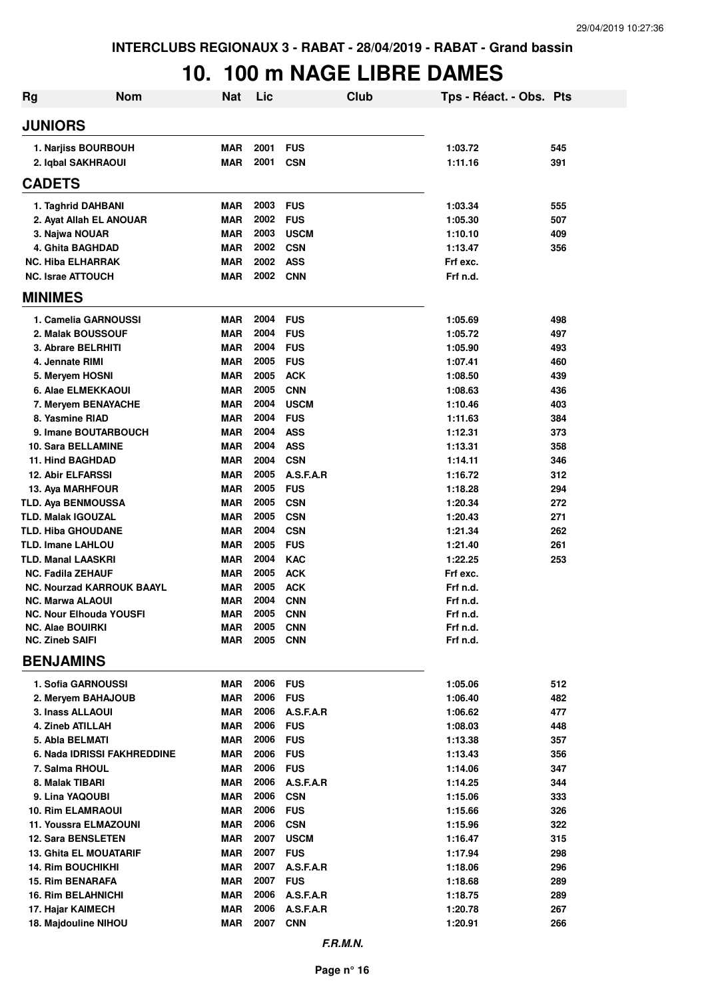# **10. 100 m NAGE LIBRE DAMES**

| <b>Nom</b><br>Rg                                            | <b>Nat</b>               | Lic          |                          | Club | Tps - Réact. - Obs. Pts |     |
|-------------------------------------------------------------|--------------------------|--------------|--------------------------|------|-------------------------|-----|
| <b>JUNIORS</b>                                              |                          |              |                          |      |                         |     |
| 1. Narjiss BOURBOUH                                         | <b>MAR</b>               | 2001         | <b>FUS</b>               |      | 1:03.72                 | 545 |
| 2. Iqbal SAKHRAOUI                                          | <b>MAR</b>               | 2001         | <b>CSN</b>               |      | 1:11.16                 | 391 |
| <b>CADETS</b>                                               |                          |              |                          |      |                         |     |
| 1. Taghrid DAHBANI                                          | <b>MAR</b>               | 2003         | <b>FUS</b>               |      | 1:03.34                 | 555 |
| 2. Ayat Allah EL ANOUAR                                     | <b>MAR</b>               | 2002         | <b>FUS</b>               |      | 1:05.30                 | 507 |
| 3. Najwa NOUAR                                              | <b>MAR</b>               | 2003         | <b>USCM</b>              |      | 1:10.10                 | 409 |
| 4. Ghita BAGHDAD                                            | <b>MAR</b>               | 2002         | <b>CSN</b>               |      | 1:13.47                 | 356 |
| <b>NC. Hiba ELHARRAK</b>                                    | <b>MAR</b>               | 2002         | <b>ASS</b>               |      | Frf exc.                |     |
| <b>NC. Israe ATTOUCH</b>                                    | <b>MAR</b>               | 2002 CNN     |                          |      | Frf n.d.                |     |
| <b>MINIMES</b>                                              |                          |              |                          |      |                         |     |
| 1. Camelia GARNOUSSI                                        | <b>MAR</b>               | 2004         | <b>FUS</b>               |      | 1:05.69                 | 498 |
| 2. Malak BOUSSOUF                                           | <b>MAR</b>               | 2004         | <b>FUS</b>               |      | 1:05.72                 | 497 |
| 3. Abrare BELRHITI                                          | <b>MAR</b>               | 2004         | <b>FUS</b>               |      | 1:05.90                 | 493 |
| 4. Jennate RIMI                                             | <b>MAR</b>               | 2005         | <b>FUS</b>               |      | 1:07.41                 | 460 |
| 5. Meryem HOSNI                                             | <b>MAR</b>               | 2005         | <b>ACK</b>               |      | 1:08.50                 | 439 |
| 6. Alae ELMEKKAOUI                                          | <b>MAR</b>               | 2005         | <b>CNN</b>               |      | 1:08.63                 | 436 |
| 7. Meryem BENAYACHE                                         | <b>MAR</b>               | 2004         | <b>USCM</b>              |      | 1:10.46                 | 403 |
| 8. Yasmine RIAD                                             | <b>MAR</b>               | 2004         | <b>FUS</b>               |      | 1:11.63                 | 384 |
| 9. Imane BOUTARBOUCH                                        | <b>MAR</b>               | 2004         | ASS                      |      | 1:12.31                 | 373 |
| 10. Sara BELLAMINE                                          | <b>MAR</b>               | 2004         | <b>ASS</b>               |      | 1:13.31                 | 358 |
| 11. Hind BAGHDAD                                            | <b>MAR</b>               | 2004         | <b>CSN</b>               |      | 1:14.11                 | 346 |
| <b>12. Abir ELFARSSI</b>                                    | <b>MAR</b>               | 2005         | A.S.F.A.R                |      | 1:16.72                 | 312 |
| 13. Aya MARHFOUR                                            | <b>MAR</b>               | 2005         | <b>FUS</b>               |      | 1:18.28                 | 294 |
| <b>TLD. Aya BENMOUSSA</b>                                   | <b>MAR</b>               | 2005         | <b>CSN</b>               |      | 1:20.34                 | 272 |
| <b>TLD. Malak IGOUZAL</b>                                   | <b>MAR</b>               | 2005         | <b>CSN</b>               |      | 1:20.43                 | 271 |
| <b>TLD. Hiba GHOUDANE</b>                                   | <b>MAR</b>               | 2004         | <b>CSN</b>               |      | 1:21.34                 | 262 |
| <b>TLD. Imane LAHLOU</b>                                    | <b>MAR</b>               | 2005         | <b>FUS</b>               |      | 1:21.40                 | 261 |
| <b>TLD. Manal LAASKRI</b>                                   | <b>MAR</b>               | 2004         | <b>KAC</b>               |      | 1:22.25                 | 253 |
| <b>NC. Fadila ZEHAUF</b>                                    | <b>MAR</b>               | 2005         | <b>ACK</b>               |      | Frf exc.                |     |
| <b>NC. Nourzad KARROUK BAAYL</b><br><b>NC. Marwa ALAOUI</b> | <b>MAR</b><br><b>MAR</b> | 2005<br>2004 | <b>ACK</b><br><b>CNN</b> |      | Frf n.d.<br>Frf n.d.    |     |
| <b>NC. Nour Elhouda YOUSFI</b>                              | <b>MAR</b>               | 2005         | <b>CNN</b>               |      | Frf n.d.                |     |
| <b>NC. Alae BOUIRKI</b>                                     | MAR                      | 2005         | <b>CNN</b>               |      | Frf n.d.                |     |
| <b>NC. Zineb SAIFI</b>                                      | <b>MAR</b>               | 2005         | <b>CNN</b>               |      | Frf n.d.                |     |
| <b>BENJAMINS</b>                                            |                          |              |                          |      |                         |     |
| <b>1. Sofia GARNOUSSI</b>                                   | <b>MAR</b>               | 2006         | <b>FUS</b>               |      | 1:05.06                 | 512 |
| 2. Meryem BAHAJOUB                                          | <b>MAR</b>               | 2006         | <b>FUS</b>               |      | 1:06.40                 | 482 |
| 3. Inass ALLAOUI                                            | <b>MAR</b>               | 2006         | A.S.F.A.R                |      | 1:06.62                 | 477 |
| 4. Zineb ATILLAH                                            | <b>MAR</b>               | 2006         | <b>FUS</b>               |      | 1:08.03                 | 448 |
| 5. Abla BELMATI                                             | <b>MAR</b>               | 2006         | <b>FUS</b>               |      | 1:13.38                 | 357 |
| 6. Nada IDRISSI FAKHREDDINE                                 | <b>MAR</b>               | 2006         | <b>FUS</b>               |      | 1:13.43                 | 356 |
| 7. Salma RHOUL                                              | <b>MAR</b>               | 2006         | <b>FUS</b>               |      | 1:14.06                 | 347 |
| 8. Malak TIBARI                                             | <b>MAR</b>               | 2006         | A.S.F.A.R                |      | 1:14.25                 | 344 |
| 9. Lina YAQOUBI                                             | <b>MAR</b>               | 2006         | <b>CSN</b>               |      | 1:15.06                 | 333 |
| <b>10. Rim ELAMRAOUI</b>                                    | <b>MAR</b>               | 2006         | <b>FUS</b>               |      | 1:15.66                 | 326 |
| <b>11. Youssra ELMAZOUNI</b>                                | <b>MAR</b>               | 2006         | <b>CSN</b>               |      | 1:15.96                 | 322 |
| <b>12. Sara BENSLETEN</b>                                   | <b>MAR</b>               | 2007         | <b>USCM</b>              |      | 1:16.47                 | 315 |
| <b>13. Ghita EL MOUATARIF</b>                               | <b>MAR</b>               | 2007         | <b>FUS</b>               |      | 1:17.94                 | 298 |
| <b>14. Rim BOUCHIKHI</b>                                    | <b>MAR</b>               | 2007         | A.S.F.A.R                |      | 1:18.06                 | 296 |
| <b>15. Rim BENARAFA</b>                                     | <b>MAR</b>               | 2007         | <b>FUS</b>               |      | 1:18.68                 | 289 |
| <b>16. Rim BELAHNICHI</b>                                   | <b>MAR</b>               | 2006         | A.S.F.A.R                |      | 1:18.75                 | 289 |
| 17. Hajar KAIMECH                                           | <b>MAR</b>               | 2006         | A.S.F.A.R                |      | 1:20.78                 | 267 |
| 18. Majdouline NIHOU                                        | <b>MAR</b>               | 2007         | <b>CNN</b>               |      | 1:20.91                 | 266 |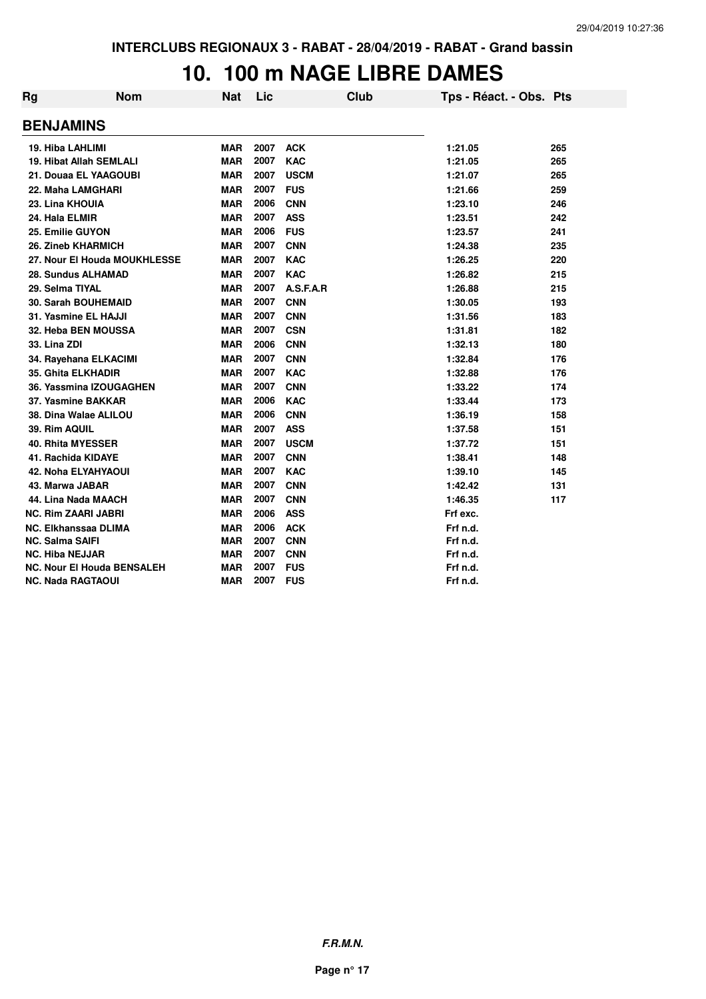#### **10. 100 m NAGE LIBRE DAMES**

| Rg           | <b>Nom</b>                        | Nat        | Lic  | Club        | Tps - Réact. - Obs. Pts |     |
|--------------|-----------------------------------|------------|------|-------------|-------------------------|-----|
|              | <b>BENJAMINS</b>                  |            |      |             |                         |     |
|              | 19. Hiba LAHLIMI                  | <b>MAR</b> | 2007 | <b>ACK</b>  | 1:21.05                 | 265 |
|              | 19. Hibat Allah SEMLALI           | <b>MAR</b> | 2007 | <b>KAC</b>  | 1:21.05                 | 265 |
|              | 21. Douaa EL YAAGOUBI             | <b>MAR</b> | 2007 | <b>USCM</b> | 1:21.07                 | 265 |
|              | 22. Maha LAMGHARI                 | <b>MAR</b> | 2007 | <b>FUS</b>  | 1:21.66                 | 259 |
|              | 23. Lina KHOUIA                   | <b>MAR</b> | 2006 | <b>CNN</b>  | 1:23.10                 | 246 |
|              | 24. Hala ELMIR                    | <b>MAR</b> | 2007 | <b>ASS</b>  | 1:23.51                 | 242 |
|              | 25. Emilie GUYON                  | <b>MAR</b> | 2006 | <b>FUS</b>  | 1:23.57                 | 241 |
|              | 26. Zineb KHARMICH                | <b>MAR</b> | 2007 | <b>CNN</b>  | 1:24.38                 | 235 |
|              | 27. Nour El Houda MOUKHLESSE      | <b>MAR</b> | 2007 | <b>KAC</b>  | 1:26.25                 | 220 |
|              | 28. Sundus ALHAMAD                | <b>MAR</b> | 2007 | <b>KAC</b>  | 1:26.82                 | 215 |
|              | 29. Selma TIYAL                   | <b>MAR</b> | 2007 | A.S.F.A.R   | 1:26.88                 | 215 |
|              | <b>30. Sarah BOUHEMAID</b>        | <b>MAR</b> | 2007 | <b>CNN</b>  | 1:30.05                 | 193 |
|              | 31. Yasmine EL HAJJI              | <b>MAR</b> | 2007 | <b>CNN</b>  | 1:31.56                 | 183 |
|              | 32. Heba BEN MOUSSA               | <b>MAR</b> | 2007 | <b>CSN</b>  | 1:31.81                 | 182 |
| 33. Lina ZDI |                                   | <b>MAR</b> | 2006 | <b>CNN</b>  | 1:32.13                 | 180 |
|              | 34. Rayehana ELKACIMI             | <b>MAR</b> | 2007 | <b>CNN</b>  | 1:32.84                 | 176 |
|              | 35. Ghita ELKHADIR                | <b>MAR</b> | 2007 | <b>KAC</b>  | 1:32.88                 | 176 |
|              | 36. Yassmina IZOUGAGHEN           | <b>MAR</b> | 2007 | <b>CNN</b>  | 1:33.22                 | 174 |
|              | 37. Yasmine BAKKAR                | <b>MAR</b> | 2006 | <b>KAC</b>  | 1:33.44                 | 173 |
|              | 38. Dina Walae ALILOU             | <b>MAR</b> | 2006 | <b>CNN</b>  | 1:36.19                 | 158 |
|              | 39. Rim AQUIL                     | <b>MAR</b> | 2007 | <b>ASS</b>  | 1:37.58                 | 151 |
|              | <b>40. Rhita MYESSER</b>          | <b>MAR</b> | 2007 | <b>USCM</b> | 1:37.72                 | 151 |
|              | 41. Rachida KIDAYE                | <b>MAR</b> | 2007 | <b>CNN</b>  | 1:38.41                 | 148 |
|              | <b>42. Noha ELYAHYAOUI</b>        | <b>MAR</b> | 2007 | <b>KAC</b>  | 1:39.10                 | 145 |
|              | 43. Marwa JABAR                   | <b>MAR</b> | 2007 | <b>CNN</b>  | 1:42.42                 | 131 |
|              | 44. Lina Nada MAACH               | <b>MAR</b> | 2007 | <b>CNN</b>  | 1:46.35                 | 117 |
|              | <b>NC. Rim ZAARI JABRI</b>        | <b>MAR</b> | 2006 | <b>ASS</b>  | Frf exc.                |     |
|              | <b>NC. Elkhanssaa DLIMA</b>       | <b>MAR</b> | 2006 | <b>ACK</b>  | Frf n.d.                |     |
|              | <b>NC. Salma SAIFI</b>            | <b>MAR</b> | 2007 | <b>CNN</b>  | Frf n.d.                |     |
|              | <b>NC. Hiba NEJJAR</b>            | <b>MAR</b> | 2007 | <b>CNN</b>  | Frf n.d.                |     |
|              | <b>NC. Nour El Houda BENSALEH</b> | <b>MAR</b> | 2007 | <b>FUS</b>  | Frf n.d.                |     |
|              | <b>NC. Nada RAGTAOUI</b>          | <b>MAR</b> | 2007 | <b>FUS</b>  | Frf n.d.                |     |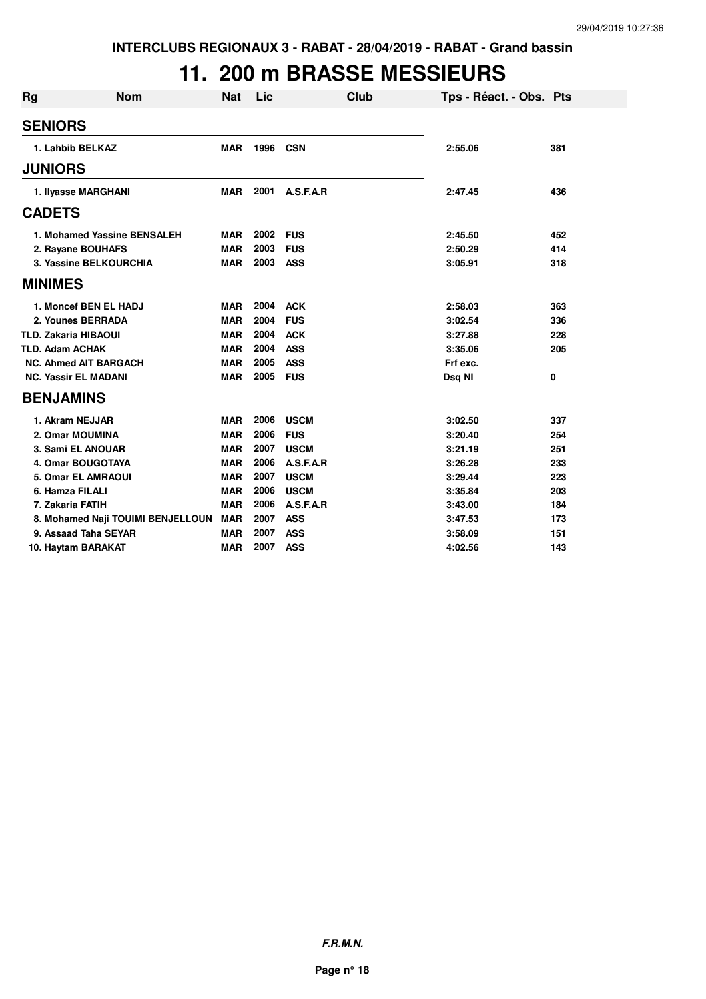### **11. 200 m BRASSE MESSIEURS**

| <b>Rg</b> | <b>Nom</b>                        | <b>Nat</b> | Lic  |             | Club | Tps - Réact. - Obs. Pts |     |
|-----------|-----------------------------------|------------|------|-------------|------|-------------------------|-----|
|           | <b>SENIORS</b>                    |            |      |             |      |                         |     |
|           | 1. Lahbib BELKAZ                  | <b>MAR</b> | 1996 | <b>CSN</b>  |      | 2:55.06                 | 381 |
|           | <b>JUNIORS</b>                    |            |      |             |      |                         |     |
|           | 1. Ilyasse MARGHANI               | <b>MAR</b> | 2001 | A.S.F.A.R   |      | 2:47.45                 | 436 |
|           | <b>CADETS</b>                     |            |      |             |      |                         |     |
|           | 1. Mohamed Yassine BENSALEH       | <b>MAR</b> | 2002 | <b>FUS</b>  |      | 2:45.50                 | 452 |
|           | 2. Rayane BOUHAFS                 | <b>MAR</b> | 2003 | <b>FUS</b>  |      | 2:50.29                 | 414 |
|           | 3. Yassine BELKOURCHIA            | <b>MAR</b> | 2003 | <b>ASS</b>  |      | 3:05.91                 | 318 |
|           | <b>MINIMES</b>                    |            |      |             |      |                         |     |
|           | 1. Moncef BEN EL HADJ             | <b>MAR</b> | 2004 | <b>ACK</b>  |      | 2:58.03                 | 363 |
|           | 2. Younes BERRADA                 | <b>MAR</b> | 2004 | <b>FUS</b>  |      | 3:02.54                 | 336 |
|           | <b>TLD. Zakaria HIBAOUI</b>       | <b>MAR</b> | 2004 | <b>ACK</b>  |      | 3:27.88                 | 228 |
|           | <b>TLD. Adam ACHAK</b>            | <b>MAR</b> | 2004 | <b>ASS</b>  |      | 3:35.06                 | 205 |
|           | <b>NC. Ahmed AIT BARGACH</b>      | <b>MAR</b> | 2005 | <b>ASS</b>  |      | Frf exc.                |     |
|           | <b>NC. Yassir EL MADANI</b>       | <b>MAR</b> | 2005 | <b>FUS</b>  |      | Dsq NI                  | 0   |
|           | <b>BENJAMINS</b>                  |            |      |             |      |                         |     |
|           | 1. Akram NEJJAR                   | <b>MAR</b> | 2006 | <b>USCM</b> |      | 3:02.50                 | 337 |
|           | 2. Omar MOUMINA                   | <b>MAR</b> | 2006 | <b>FUS</b>  |      | 3:20.40                 | 254 |
|           | 3. Sami EL ANOUAR                 | <b>MAR</b> | 2007 | <b>USCM</b> |      | 3:21.19                 | 251 |
|           | <b>4. Omar BOUGOTAYA</b>          | <b>MAR</b> | 2006 | A.S.F.A.R   |      | 3:26.28                 | 233 |
|           | 5. Omar EL AMRAOUI                | <b>MAR</b> | 2007 | <b>USCM</b> |      | 3:29.44                 | 223 |
|           | 6. Hamza FILALI                   | <b>MAR</b> | 2006 | <b>USCM</b> |      | 3:35.84                 | 203 |
|           | 7. Zakaria FATIH                  | <b>MAR</b> | 2006 | A.S.F.A.R   |      | 3:43.00                 | 184 |
|           | 8. Mohamed Naji TOUIMI BENJELLOUN | <b>MAR</b> | 2007 | <b>ASS</b>  |      | 3:47.53                 | 173 |
|           | 9. Assaad Taha SEYAR              | <b>MAR</b> | 2007 | <b>ASS</b>  |      | 3:58.09                 | 151 |
|           | 10. Haytam BARAKAT                | <b>MAR</b> | 2007 | <b>ASS</b>  |      | 4:02.56                 | 143 |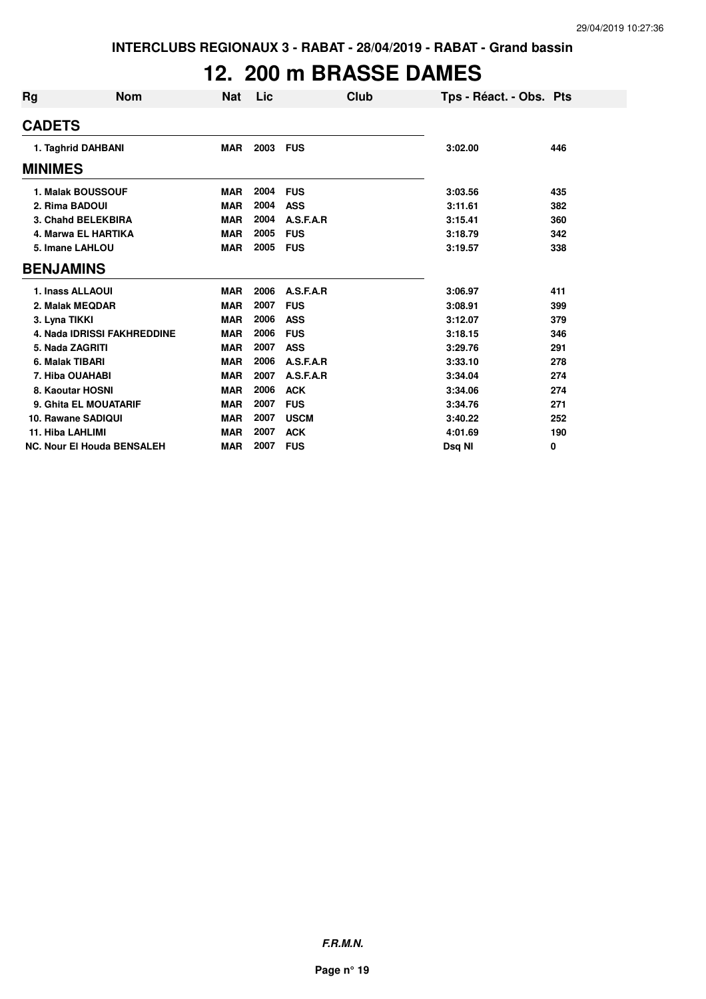## **12. 200 m BRASSE DAMES**

| Rg             | <b>Nom</b>                         | Nat        | Lic  | Club        | Tps - Réact. - Obs. Pts |     |
|----------------|------------------------------------|------------|------|-------------|-------------------------|-----|
| <b>CADETS</b>  |                                    |            |      |             |                         |     |
|                | 1. Taghrid DAHBANI                 | <b>MAR</b> | 2003 | <b>FUS</b>  | 3:02.00                 | 446 |
| <b>MINIMES</b> |                                    |            |      |             |                         |     |
|                | 1. Malak BOUSSOUF                  | <b>MAR</b> | 2004 | <b>FUS</b>  | 3:03.56                 | 435 |
|                | 2. Rima BADOUI                     | <b>MAR</b> | 2004 | <b>ASS</b>  | 3:11.61                 | 382 |
|                | 3. Chahd BELEKBIRA                 | <b>MAR</b> | 2004 | A.S.F.A.R   | 3:15.41                 | 360 |
|                | 4. Marwa EL HARTIKA                | <b>MAR</b> | 2005 | <b>FUS</b>  | 3:18.79                 | 342 |
|                | 5. Imane LAHLOU                    | <b>MAR</b> | 2005 | <b>FUS</b>  | 3:19.57                 | 338 |
|                | <b>BENJAMINS</b>                   |            |      |             |                         |     |
|                | 1. Inass ALLAOUI                   | <b>MAR</b> | 2006 | A.S.F.A.R   | 3:06.97                 | 411 |
|                | 2. Malak MEQDAR                    | <b>MAR</b> | 2007 | <b>FUS</b>  | 3:08.91                 | 399 |
|                | 3. Lyna TIKKI                      | <b>MAR</b> | 2006 | <b>ASS</b>  | 3:12.07                 | 379 |
|                | <b>4. Nada IDRISSI FAKHREDDINE</b> | <b>MAR</b> | 2006 | <b>FUS</b>  | 3:18.15                 | 346 |
|                | 5. Nada ZAGRITI                    | <b>MAR</b> | 2007 | <b>ASS</b>  | 3:29.76                 | 291 |
|                | 6. Malak TIBARI                    | <b>MAR</b> | 2006 | A.S.F.A.R   | 3:33.10                 | 278 |
|                | 7. Hiba OUAHABI                    | <b>MAR</b> | 2007 | A.S.F.A.R   | 3:34.04                 | 274 |
|                | 8. Kaoutar HOSNI                   | <b>MAR</b> | 2006 | <b>ACK</b>  | 3:34.06                 | 274 |
|                | 9. Ghita EL MOUATARIF              | <b>MAR</b> | 2007 | <b>FUS</b>  | 3:34.76                 | 271 |
|                | 10. Rawane SADIQUI                 | <b>MAR</b> | 2007 | <b>USCM</b> | 3:40.22                 | 252 |
|                | <b>11. Hiba LAHLIMI</b>            | <b>MAR</b> | 2007 | <b>ACK</b>  | 4:01.69                 | 190 |
|                | <b>NC. Nour El Houda BENSALEH</b>  | <b>MAR</b> | 2007 | <b>FUS</b>  | Dsg NI                  | 0   |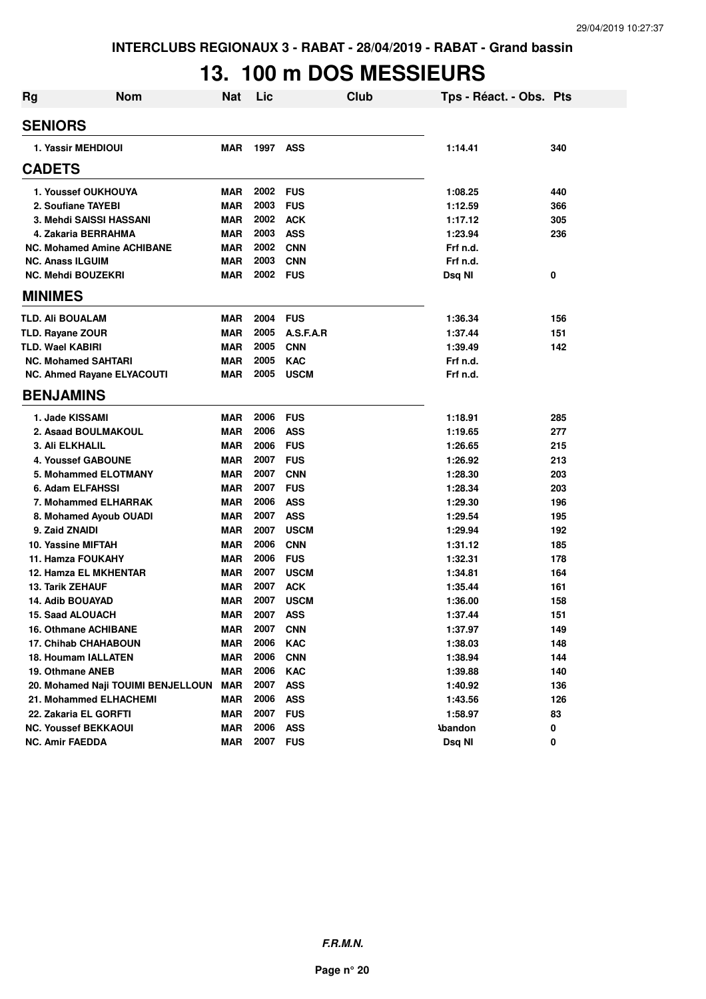# **13. 100 m DOS MESSIEURS**

| <b>Rg</b> | <b>Nom</b>                         | <b>Nat</b> | Lic      |             | <b>Club</b> | Tps - Réact. - Obs. Pts |     |
|-----------|------------------------------------|------------|----------|-------------|-------------|-------------------------|-----|
|           | <b>SENIORS</b>                     |            |          |             |             |                         |     |
|           | 1. Yassir MEHDIOUI                 | <b>MAR</b> | 1997 ASS |             |             | 1:14.41                 | 340 |
|           | <b>CADETS</b>                      |            |          |             |             |                         |     |
|           | 1. Youssef OUKHOUYA                | <b>MAR</b> | 2002     | <b>FUS</b>  |             | 1:08.25                 | 440 |
|           | 2. Soufiane TAYEBI                 | <b>MAR</b> | 2003     | <b>FUS</b>  |             | 1:12.59                 | 366 |
|           | 3. Mehdi SAISSI HASSANI            | <b>MAR</b> | 2002     | <b>ACK</b>  |             | 1:17.12                 | 305 |
|           | 4. Zakaria BERRAHMA                | <b>MAR</b> | 2003     | <b>ASS</b>  |             | 1:23.94                 | 236 |
|           | <b>NC. Mohamed Amine ACHIBANE</b>  | <b>MAR</b> | 2002     | <b>CNN</b>  |             | Frf n.d.                |     |
|           | <b>NC. Anass ILGUIM</b>            | <b>MAR</b> | 2003     | <b>CNN</b>  |             | Frf n.d.                |     |
|           | <b>NC. Mehdi BOUZEKRI</b>          | <b>MAR</b> | 2002     | <b>FUS</b>  |             | Dsq NI                  | 0   |
|           | <b>MINIMES</b>                     |            |          |             |             |                         |     |
|           | TLD. Ali BOUALAM                   | <b>MAR</b> | 2004     | <b>FUS</b>  |             | 1:36.34                 | 156 |
|           | <b>TLD. Rayane ZOUR</b>            | <b>MAR</b> | 2005     | A.S.F.A.R   |             | 1:37.44                 | 151 |
|           | TLD. Wael KABIRI                   | <b>MAR</b> | 2005     | <b>CNN</b>  |             | 1:39.49                 | 142 |
|           | <b>NC. Mohamed SAHTARI</b>         | <b>MAR</b> | 2005     | <b>KAC</b>  |             | Frf n.d.                |     |
|           | NC. Ahmed Rayane ELYACOUTI         | <b>MAR</b> | 2005     | <b>USCM</b> |             | Frf n.d.                |     |
|           | <b>BENJAMINS</b>                   |            |          |             |             |                         |     |
|           | 1. Jade KISSAMI                    | <b>MAR</b> | 2006     | <b>FUS</b>  |             | 1:18.91                 | 285 |
|           | 2. Asaad BOULMAKOUL                | <b>MAR</b> | 2006     | <b>ASS</b>  |             | 1:19.65                 | 277 |
|           | <b>3. Ali ELKHALIL</b>             | <b>MAR</b> | 2006     | <b>FUS</b>  |             | 1:26.65                 | 215 |
|           | <b>4. Youssef GABOUNE</b>          | <b>MAR</b> | 2007     | <b>FUS</b>  |             | 1:26.92                 | 213 |
|           | 5. Mohammed ELOTMANY               | <b>MAR</b> | 2007     | <b>CNN</b>  |             | 1:28.30                 | 203 |
|           | 6. Adam ELFAHSSI                   | <b>MAR</b> | 2007     | <b>FUS</b>  |             | 1:28.34                 | 203 |
|           | 7. Mohammed ELHARRAK               | <b>MAR</b> | 2006     | <b>ASS</b>  |             | 1:29.30                 | 196 |
|           | 8. Mohamed Ayoub OUADI             | <b>MAR</b> | 2007     | <b>ASS</b>  |             | 1:29.54                 | 195 |
|           | 9. Zaid ZNAIDI                     | <b>MAR</b> | 2007     | <b>USCM</b> |             | 1:29.94                 | 192 |
|           | 10. Yassine MIFTAH                 | <b>MAR</b> | 2006     | <b>CNN</b>  |             | 1:31.12                 | 185 |
|           | <b>11. Hamza FOUKAHY</b>           | <b>MAR</b> | 2006     | <b>FUS</b>  |             | 1:32.31                 | 178 |
|           | 12. Hamza EL MKHENTAR              | <b>MAR</b> | 2007     | <b>USCM</b> |             | 1:34.81                 | 164 |
|           | <b>13. Tarik ZEHAUF</b>            | <b>MAR</b> | 2007     | <b>ACK</b>  |             | 1:35.44                 | 161 |
|           | <b>14. Adib BOUAYAD</b>            | <b>MAR</b> | 2007     | <b>USCM</b> |             | 1:36.00                 | 158 |
|           | <b>15. Saad ALOUACH</b>            | <b>MAR</b> | 2007     | <b>ASS</b>  |             | 1:37.44                 | 151 |
|           | 16. Othmane ACHIBANE               | <b>MAR</b> | 2007     | <b>CNN</b>  |             | 1:37.97                 | 149 |
|           | 17. Chihab CHAHABOUN               | <b>MAR</b> | 2006     | <b>KAC</b>  |             | 1:38.03                 | 148 |
|           | <b>18. Houmam IALLATEN</b>         | <b>MAR</b> | 2006     | <b>CNN</b>  |             | 1:38.94                 | 144 |
|           | 19. Othmane ANEB                   | <b>MAR</b> | 2006     | <b>KAC</b>  |             | 1:39.88                 | 140 |
|           | 20. Mohamed Naji TOUIMI BENJELLOUN | <b>MAR</b> | 2007     | <b>ASS</b>  |             | 1:40.92                 | 136 |
|           | 21. Mohammed ELHACHEMI             | <b>MAR</b> | 2006     | <b>ASS</b>  |             | 1:43.56                 | 126 |
|           | 22. Zakaria EL GORFTI              | <b>MAR</b> | 2007     | <b>FUS</b>  |             | 1:58.97                 | 83  |
|           | <b>NC. Youssef BEKKAOUI</b>        | <b>MAR</b> | 2006     | <b>ASS</b>  |             | <b>Abandon</b>          | 0   |
|           | <b>NC. Amir FAEDDA</b>             | <b>MAR</b> | 2007     | <b>FUS</b>  |             | Dsq NI                  | 0   |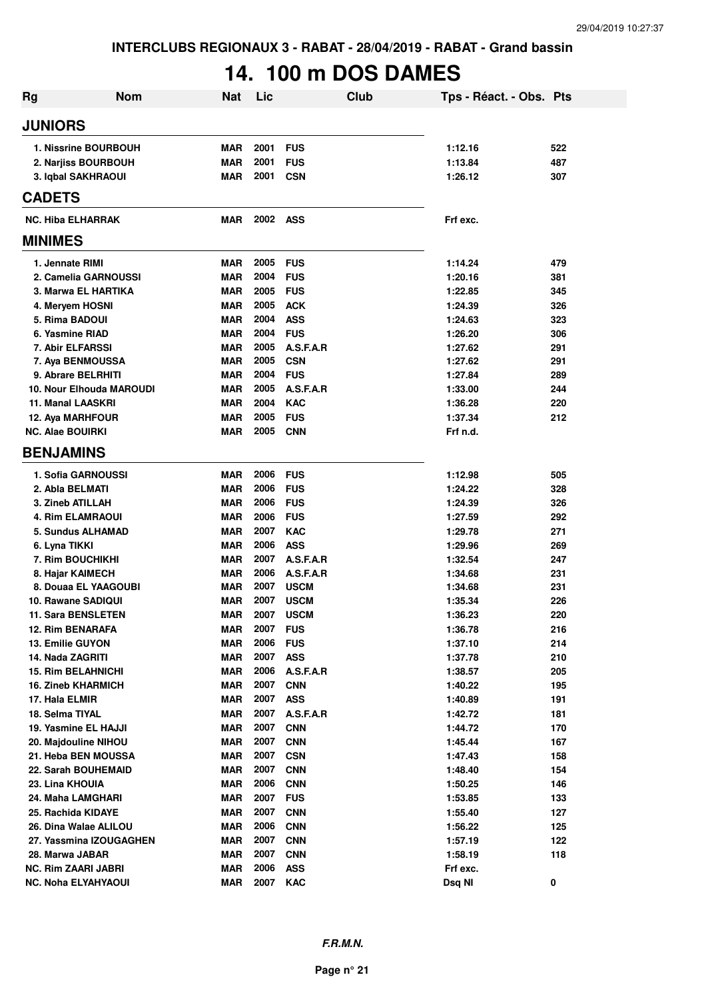# **14. 100 m DOS DAMES**

| Rg                       | <b>Nom</b>                 | <b>Nat</b>               | Lic          | Club                     | Tps - Réact. - Obs. Pts |            |
|--------------------------|----------------------------|--------------------------|--------------|--------------------------|-------------------------|------------|
| <b>JUNIORS</b>           |                            |                          |              |                          |                         |            |
|                          | 1. Nissrine BOURBOUH       | <b>MAR</b>               | 2001         | <b>FUS</b>               | 1:12.16                 | 522        |
|                          | 2. Narjiss BOURBOUH        | <b>MAR</b>               | 2001         | <b>FUS</b>               | 1:13.84                 | 487        |
|                          | 3. Iqbal SAKHRAOUI         | <b>MAR</b>               | 2001         | <b>CSN</b>               | 1:26.12                 | 307        |
| <b>CADETS</b>            |                            |                          |              |                          |                         |            |
| <b>NC. Hiba ELHARRAK</b> |                            | <b>MAR</b>               | 2002 ASS     |                          | Frf exc.                |            |
| <b>MINIMES</b>           |                            |                          |              |                          |                         |            |
| 1. Jennate RIMI          |                            | <b>MAR</b>               | 2005         | <b>FUS</b>               | 1:14.24                 | 479        |
|                          | 2. Camelia GARNOUSSI       | <b>MAR</b>               | 2004         | <b>FUS</b>               | 1:20.16                 | 381        |
|                          | 3. Marwa EL HARTIKA        | <b>MAR</b>               | 2005         | <b>FUS</b>               | 1:22.85                 | 345        |
|                          | 4. Meryem HOSNI            | <b>MAR</b>               | 2005         | <b>ACK</b>               | 1:24.39                 | 326        |
| 5. Rima BADOUI           |                            | <b>MAR</b>               | 2004         | <b>ASS</b>               | 1:24.63                 | 323        |
| 6. Yasmine RIAD          |                            | <b>MAR</b>               | 2004         | <b>FUS</b>               | 1:26.20                 | 306        |
|                          | 7. Abir ELFARSSI           | <b>MAR</b>               | 2005         | A.S.F.A.R                | 1:27.62                 | 291        |
|                          | 7. Aya BENMOUSSA           | MAR                      | 2005         | <b>CSN</b>               | 1:27.62                 | 291        |
|                          | 9. Abrare BELRHITI         | <b>MAR</b>               | 2004         | <b>FUS</b>               | 1:27.84                 | 289        |
|                          | 10. Nour Elhouda MAROUDI   | <b>MAR</b>               | 2005         | A.S.F.A.R                | 1:33.00                 | 244        |
| 11. Manal LAASKRI        |                            | <b>MAR</b>               | 2004         | <b>KAC</b>               | 1:36.28                 | 220        |
|                          | 12. Aya MARHFOUR           | <b>MAR</b>               | 2005         | <b>FUS</b>               | 1:37.34                 | 212        |
| <b>NC. Alae BOUIRKI</b>  |                            | <b>MAR</b>               | 2005         | <b>CNN</b>               | Frf n.d.                |            |
| <b>BENJAMINS</b>         |                            |                          |              |                          |                         |            |
|                          | 1. Sofia GARNOUSSI         | <b>MAR</b>               | 2006         | <b>FUS</b>               | 1:12.98                 | 505        |
| 2. Abla BELMATI          |                            | <b>MAR</b>               | 2006         | <b>FUS</b>               | 1:24.22                 | 328        |
| 3. Zineb ATILLAH         |                            | <b>MAR</b>               | 2006         | <b>FUS</b>               | 1:24.39                 | 326        |
|                          | <b>4. Rim ELAMRAOUI</b>    | <b>MAR</b>               | 2006         | <b>FUS</b>               | 1:27.59                 | 292        |
|                          | <b>5. Sundus ALHAMAD</b>   | <b>MAR</b>               | 2007         | <b>KAC</b>               | 1:29.78                 | 271        |
| 6. Lyna TIKKI            |                            | <b>MAR</b>               | 2006         | <b>ASS</b>               | 1:29.96                 | 269        |
|                          | 7. Rim BOUCHIKHI           | <b>MAR</b>               | 2007         | A.S.F.A.R                | 1:32.54                 | 247        |
|                          | 8. Hajar KAIMECH           | <b>MAR</b>               | 2006         | A.S.F.A.R                | 1:34.68                 | 231        |
|                          | 8. Douaa EL YAAGOUBI       | MAR                      | 2007         | <b>USCM</b>              | 1:34.68                 | 231        |
|                          | 10. Rawane SADIQUI         | <b>MAR</b>               | 2007         | <b>USCM</b>              | 1:35.34                 | 226        |
|                          | <b>11. Sara BENSLETEN</b>  | <b>MAR</b>               | 2007         | <b>USCM</b>              | 1:36.23                 | 220        |
|                          | <b>12. Rim BENARAFA</b>    | <b>MAR</b>               | 2007         | <b>FUS</b>               | 1:36.78                 | 216        |
| 13. Emilie GUYON         |                            | <b>MAR</b>               | 2006         | <b>FUS</b>               | 1:37.10                 | 214        |
| 14. Nada ZAGRITI         |                            | <b>MAR</b>               | 2007         | <b>ASS</b>               | 1:37.78                 | 210        |
|                          | <b>15. Rim BELAHNICHI</b>  | <b>MAR</b>               | 2006         | A.S.F.A.R                | 1:38.57                 | 205        |
|                          | <b>16. Zineb KHARMICH</b>  | <b>MAR</b>               | 2007         | <b>CNN</b>               | 1:40.22                 | 195        |
| 17. Hala ELMIR           |                            | <b>MAR</b>               | 2007         | <b>ASS</b>               | 1:40.89                 | 191        |
| 18. Selma TIYAL          | 19. Yasmine EL HAJJI       | <b>MAR</b><br><b>MAR</b> | 2007<br>2007 | A.S.F.A.R                | 1:42.72<br>1:44.72      | 181        |
|                          | 20. Majdouline NIHOU       | <b>MAR</b>               | 2007         | <b>CNN</b>               | 1:45.44                 | 170        |
|                          | 21. Heba BEN MOUSSA        | <b>MAR</b>               | 2007         | <b>CNN</b><br><b>CSN</b> | 1:47.43                 | 167        |
|                          | 22. Sarah BOUHEMAID        | <b>MAR</b>               | 2007         | <b>CNN</b>               | 1:48.40                 | 158<br>154 |
| 23. Lina KHOUIA          |                            | <b>MAR</b>               | 2006         | <b>CNN</b>               | 1:50.25                 | 146        |
|                          | 24. Maha LAMGHARI          | MAR                      | 2007         | <b>FUS</b>               | 1:53.85                 | 133        |
|                          | 25. Rachida KIDAYE         | <b>MAR</b>               | 2007         | <b>CNN</b>               | 1:55.40                 | 127        |
|                          | 26. Dina Walae ALILOU      | <b>MAR</b>               | 2006         | <b>CNN</b>               | 1:56.22                 | 125        |
|                          | 27. Yassmina IZOUGAGHEN    | <b>MAR</b>               | 2007         | <b>CNN</b>               | 1:57.19                 | 122        |
| 28. Marwa JABAR          |                            | <b>MAR</b>               | 2007         | <b>CNN</b>               | 1:58.19                 | 118        |
|                          | NC. Rim ZAARI JABRI        | <b>MAR</b>               | 2006         | <b>ASS</b>               | Frf exc.                |            |
|                          | <b>NC. Noha ELYAHYAOUI</b> | <b>MAR</b>               | 2007         | <b>KAC</b>               | Dsq NI                  | 0          |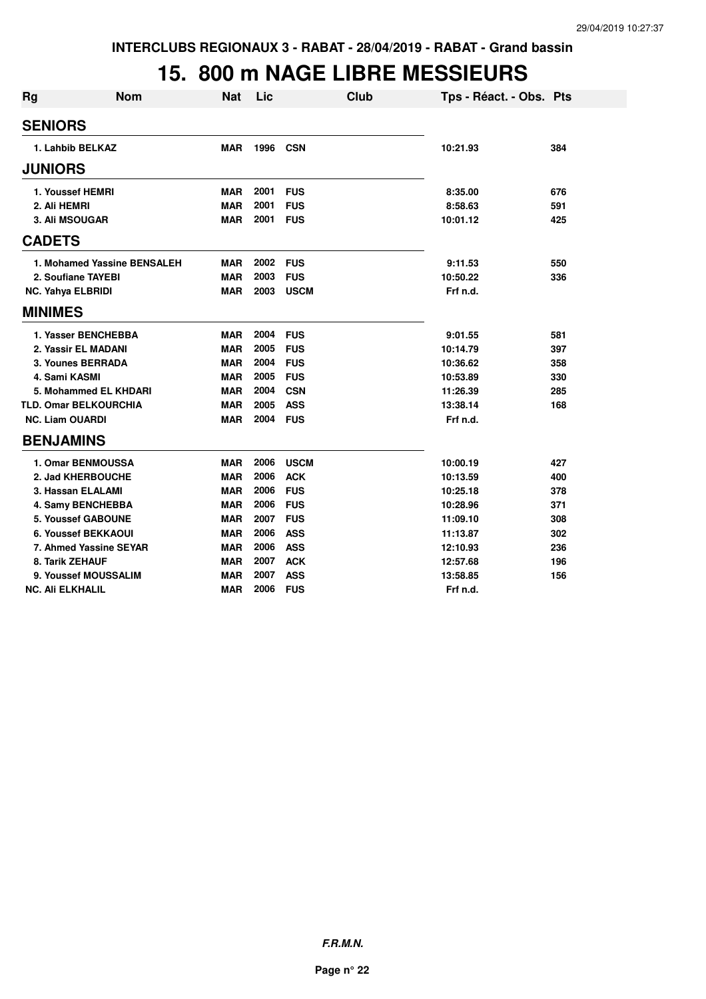#### **15. 800 m NAGE LIBRE MESSIEURS**

| <b>Rg</b>                | <b>Nom</b>                   | Nat        | Lic  |             | Club | Tps - Réact. - Obs. Pts |     |
|--------------------------|------------------------------|------------|------|-------------|------|-------------------------|-----|
| <b>SENIORS</b>           |                              |            |      |             |      |                         |     |
|                          | 1. Lahbib BELKAZ             | <b>MAR</b> | 1996 | <b>CSN</b>  |      | 10:21.93                | 384 |
| <b>JUNIORS</b>           |                              |            |      |             |      |                         |     |
|                          | 1. Youssef HEMRI             | <b>MAR</b> | 2001 | <b>FUS</b>  |      | 8:35.00                 | 676 |
| 2. Ali HEMRI             |                              | <b>MAR</b> | 2001 | <b>FUS</b>  |      | 8:58.63                 | 591 |
|                          | <b>3. Ali MSOUGAR</b>        | <b>MAR</b> | 2001 | <b>FUS</b>  |      | 10:01.12                | 425 |
| <b>CADETS</b>            |                              |            |      |             |      |                         |     |
|                          | 1. Mohamed Yassine BENSALEH  | <b>MAR</b> | 2002 | <b>FUS</b>  |      | 9:11.53                 | 550 |
|                          | 2. Soufiane TAYEBI           | <b>MAR</b> | 2003 | <b>FUS</b>  |      | 10:50.22                | 336 |
| <b>NC. Yahya ELBRIDI</b> |                              | <b>MAR</b> | 2003 | <b>USCM</b> |      | Frf n.d.                |     |
| <b>MINIMES</b>           |                              |            |      |             |      |                         |     |
|                          | 1. Yasser BENCHEBBA          | <b>MAR</b> | 2004 | <b>FUS</b>  |      | 9:01.55                 | 581 |
|                          | 2. Yassir EL MADANI          | <b>MAR</b> | 2005 | <b>FUS</b>  |      | 10:14.79                | 397 |
|                          | 3. Younes BERRADA            | <b>MAR</b> | 2004 | <b>FUS</b>  |      | 10:36.62                | 358 |
| 4. Sami KASMI            |                              | <b>MAR</b> | 2005 | <b>FUS</b>  |      | 10:53.89                | 330 |
|                          | 5. Mohammed EL KHDARI        | <b>MAR</b> | 2004 | <b>CSN</b>  |      | 11:26.39                | 285 |
|                          | <b>TLD. Omar BELKOURCHIA</b> | <b>MAR</b> | 2005 | <b>ASS</b>  |      | 13:38.14                | 168 |
| <b>NC. Liam OUARDI</b>   |                              | <b>MAR</b> | 2004 | <b>FUS</b>  |      | Frf n.d.                |     |
| <b>BENJAMINS</b>         |                              |            |      |             |      |                         |     |
|                          | <b>1. Omar BENMOUSSA</b>     | <b>MAR</b> | 2006 | <b>USCM</b> |      | 10:00.19                | 427 |
|                          | 2. Jad KHERBOUCHE            | <b>MAR</b> | 2006 | <b>ACK</b>  |      | 10:13.59                | 400 |
|                          | 3. Hassan ELALAMI            | <b>MAR</b> | 2006 | <b>FUS</b>  |      | 10:25.18                | 378 |
|                          | 4. Samy BENCHEBBA            | <b>MAR</b> | 2006 | <b>FUS</b>  |      | 10:28.96                | 371 |
|                          | <b>5. Youssef GABOUNE</b>    | <b>MAR</b> | 2007 | <b>FUS</b>  |      | 11:09.10                | 308 |
|                          | 6. Youssef BEKKAOUI          | <b>MAR</b> | 2006 | <b>ASS</b>  |      | 11:13.87                | 302 |
|                          | 7. Ahmed Yassine SEYAR       | <b>MAR</b> | 2006 | <b>ASS</b>  |      | 12:10.93                | 236 |
|                          | 8. Tarik ZEHAUF              | <b>MAR</b> | 2007 | <b>ACK</b>  |      | 12:57.68                | 196 |
|                          | 9. Youssef MOUSSALIM         | <b>MAR</b> | 2007 | <b>ASS</b>  |      | 13:58.85                | 156 |
| <b>NC. Ali ELKHALIL</b>  |                              | <b>MAR</b> | 2006 | <b>FUS</b>  |      | Frf n.d.                |     |